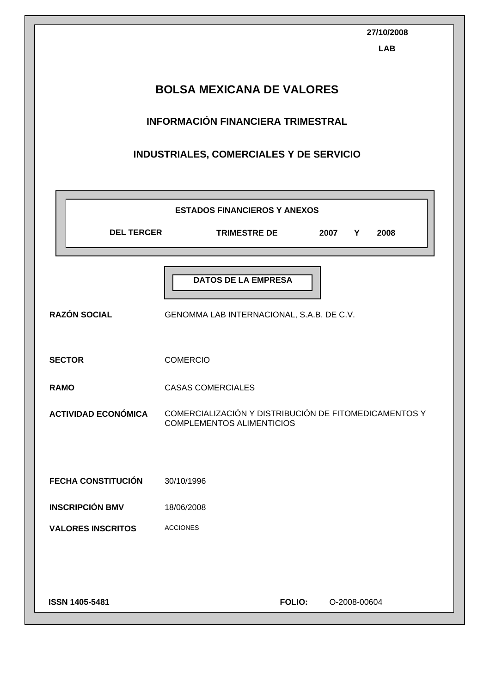|                            | 27/10/2008<br><b>LAB</b>                                                                  |  |  |  |  |
|----------------------------|-------------------------------------------------------------------------------------------|--|--|--|--|
|                            | <b>BOLSA MEXICANA DE VALORES</b>                                                          |  |  |  |  |
|                            | INFORMACIÓN FINANCIERA TRIMESTRAL                                                         |  |  |  |  |
|                            | <b>INDUSTRIALES, COMERCIALES Y DE SERVICIO</b>                                            |  |  |  |  |
|                            |                                                                                           |  |  |  |  |
| <b>DEL TERCER</b>          | <b>ESTADOS FINANCIEROS Y ANEXOS</b><br>TRIMESTRE DE 2007 Y<br>2008                        |  |  |  |  |
| <b>RAZÓN SOCIAL</b>        | <b>DATOS DE LA EMPRESA</b><br>GENOMMA LAB INTERNACIONAL, S.A.B. DE C.V.                   |  |  |  |  |
| <b>SECTOR</b>              | <b>COMERCIO</b>                                                                           |  |  |  |  |
| <b>RAMO</b>                | <b>CASAS COMERCIALES</b>                                                                  |  |  |  |  |
| <b>ACTIVIDAD ECONÓMICA</b> | COMERCIALIZACIÓN Y DISTRIBUCIÓN DE FITOMEDICAMENTOS Y<br><b>COMPLEMENTOS ALIMENTICIOS</b> |  |  |  |  |
| <b>FECHA CONSTITUCIÓN</b>  | 30/10/1996                                                                                |  |  |  |  |
| <b>INSCRIPCIÓN BMV</b>     | 18/06/2008                                                                                |  |  |  |  |
| <b>VALORES INSCRITOS</b>   | <b>ACCIONES</b>                                                                           |  |  |  |  |
|                            |                                                                                           |  |  |  |  |
| ISSN 1405-5481             | <b>FOLIO:</b><br>O-2008-00604                                                             |  |  |  |  |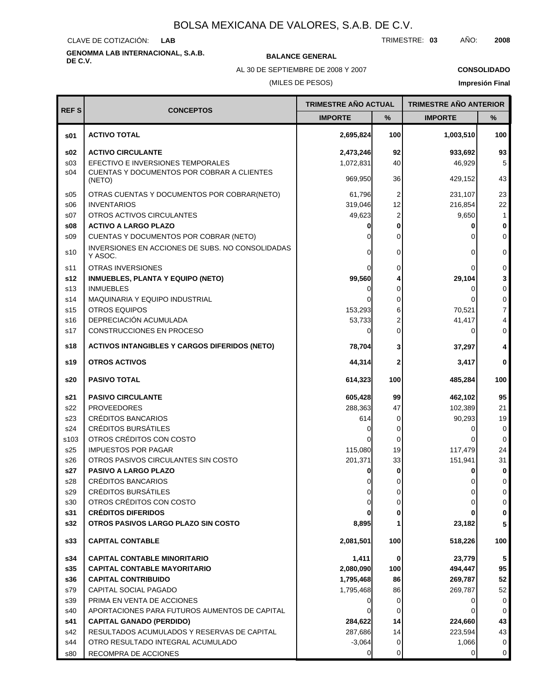CLAVE DE COTIZACIÓN: **LAB**

# **GENOMMA LAB INTERNACIONAL, S.A.B. DE C.V. BALANCE GENERAL**

AL 30 DE SEPTIEMBRE DE 2008 Y 2007

### **CONSOLIDADO**

(MILES DE PESOS)

|                 |                                                             | <b>TRIMESTRE AÑO ACTUAL</b> |                | <b>TRIMESTRE AÑO ANTERIOR</b> |                |
|-----------------|-------------------------------------------------------------|-----------------------------|----------------|-------------------------------|----------------|
| <b>REFS</b>     | <b>CONCEPTOS</b>                                            | <b>IMPORTE</b>              | %              | <b>IMPORTE</b>                | %              |
| \$01            | <b>ACTIVO TOTAL</b>                                         | 2,695,824                   | 100            | 1,003,510                     | 100            |
| s02             | <b>ACTIVO CIRCULANTE</b>                                    | 2,473,246                   | 92             | 933,692                       | 93             |
| s <sub>03</sub> | EFECTIVO E INVERSIONES TEMPORALES                           | 1,072,831                   | 40             | 46,929                        | 5 <sup>1</sup> |
| s04             | CUENTAS Y DOCUMENTOS POR COBRAR A CLIENTES<br>(NETO)        | 969,950                     | 36             | 429,152                       | 43             |
| s05             | OTRAS CUENTAS Y DOCUMENTOS POR COBRAR(NETO)                 | 61,796                      | 2              | 231,107                       | 23             |
| \$06            | <b>INVENTARIOS</b>                                          | 319,046                     | 12             | 216,854                       | 22             |
| s07             | OTROS ACTIVOS CIRCULANTES                                   | 49,623                      | $\overline{c}$ | 9,650                         | $\mathbf{1}$   |
| s08             | <b>ACTIVO A LARGO PLAZO</b>                                 |                             | 0              | 0                             | $\pmb{0}$      |
| S <sub>09</sub> | CUENTAS Y DOCUMENTOS POR COBRAR (NETO)                      |                             | 0              | $\Omega$                      | $\overline{0}$ |
| s10             | INVERSIONES EN ACCIONES DE SUBS. NO CONSOLIDADAS<br>Y ASOC. |                             | 0              | $\Omega$                      | 0              |
| s11             | <b>OTRAS INVERSIONES</b>                                    |                             | 0              | 0                             | $\overline{0}$ |
| s12             | <b>INMUEBLES, PLANTA Y EQUIPO (NETO)</b>                    | 99,560                      | 4              | 29,104                        | 3              |
| s13             | <b>INMUEBLES</b>                                            | 0                           | 0              | $\Omega$                      | $\overline{0}$ |
| s14             | MAQUINARIA Y EQUIPO INDUSTRIAL                              |                             | 0              | $\Omega$                      | $\overline{0}$ |
| s15             | <b>OTROS EQUIPOS</b>                                        | 153,293                     | 6              | 70,521                        | $\overline{7}$ |
| s16             | DEPRECIACIÓN ACUMULADA                                      | 53,733                      | 2              | 41,417                        | 4              |
| s17             | <b>CONSTRUCCIONES EN PROCESO</b>                            | 0                           | $\mathbf 0$    | 0                             | $\overline{0}$ |
| s18             | <b>ACTIVOS INTANGIBLES Y CARGOS DIFERIDOS (NETO)</b>        | 78,704                      | 3              | 37,297                        | 4              |
| s19             | <b>OTROS ACTIVOS</b>                                        | 44,314                      | $\mathbf 2$    | 3,417                         | $\mathbf{0}$   |
| s20             | <b>PASIVO TOTAL</b>                                         | 614,323                     | 100            | 485,284                       | 100            |
| s21             | <b>PASIVO CIRCULANTE</b>                                    | 605,428                     | 99             | 462,102                       | 95             |
| s22             | <b>PROVEEDORES</b>                                          | 288,363                     | 47             | 102,389                       | 21             |
| s23             | CRÉDITOS BANCARIOS                                          | 614                         | 0              | 90,293                        | 19             |
| s24             | <b>CRÉDITOS BURSÁTILES</b>                                  |                             | 0              | 0                             | 0              |
| s103            | OTROS CRÉDITOS CON COSTO                                    |                             | 0              | 0                             | 0              |
| s25             | <b>IMPUESTOS POR PAGAR</b>                                  | 115,080                     | 19             | 117,479                       | 24             |
| s26             | OTROS PASIVOS CIRCULANTES SIN COSTO                         | 201,371                     | 33             | 151,941                       | 31             |
| s27             | <b>PASIVO A LARGO PLAZO</b>                                 |                             | 0              |                               | 0              |
| s28             | <b>CRÉDITOS BANCARIOS</b>                                   | 0                           | 0              | 0                             | $\mathbf 0$    |
| s29             | <b>CRÉDITOS BURSÁTILES</b>                                  | 0                           | 0              | 0                             | 0              |
| s30             | OTROS CRÉDITOS CON COSTO                                    |                             | 0              | 0                             | $\overline{0}$ |
| s31             | <b>CRÉDITOS DIFERIDOS</b>                                   |                             | 0              |                               | $\pmb{0}$      |
| s32             | OTROS PASIVOS LARGO PLAZO SIN COSTO                         | 8,895                       | 1              | 23,182                        | 5 <sup>1</sup> |
| s33             | <b>CAPITAL CONTABLE</b>                                     | 2,081,501                   | 100            | 518,226                       | 100            |
| s34             | <b>CAPITAL CONTABLE MINORITARIO</b>                         | 1,411                       | 0              | 23,779                        | 5              |
| s35             | <b>CAPITAL CONTABLE MAYORITARIO</b>                         | 2,080,090                   | 100            | 494,447                       | 95             |
| s36             | <b>CAPITAL CONTRIBUIDO</b>                                  | 1,795,468                   | 86             | 269,787                       | 52             |
| s79             | CAPITAL SOCIAL PAGADO                                       | 1,795,468                   | 86             | 269,787                       | 52             |
| s39             | PRIMA EN VENTA DE ACCIONES                                  |                             | 0              | 0                             | 0              |
| s40             | APORTACIONES PARA FUTUROS AUMENTOS DE CAPITAL               |                             | 0              | 0                             | 0              |
| s41             | <b>CAPITAL GANADO (PERDIDO)</b>                             | 284,622                     | 14             | 224,660                       | 43             |
| s42             | RESULTADOS ACUMULADOS Y RESERVAS DE CAPITAL                 | 287,686                     | 14             | 223,594                       | 43             |
| s44             | OTRO RESULTADO INTEGRAL ACUMULADO                           | $-3,064$                    | 0              | 1,066                         | 0              |
| s80             | RECOMPRA DE ACCIONES                                        |                             | 0              | 0                             | $\overline{0}$ |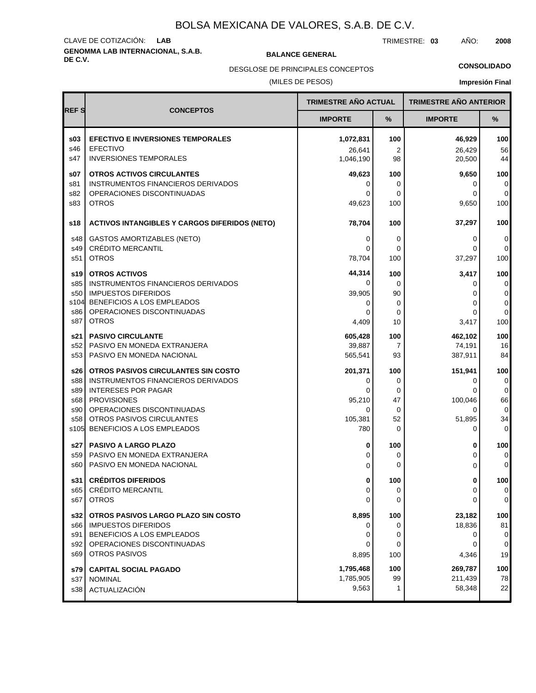# **GENOMMA LAB INTERNACIONAL, S.A.B. DE C.V. BALANCE GENERAL** CLAVE DE COTIZACIÓN: **LAB**

TRIMESTRE: **03** AÑO: **2008**

### **CONSOLIDADO**

(MILES DE PESOS) DESGLOSE DE PRINCIPALES CONCEPTOS

|             |                                                                    | <b>TRIMESTRE AÑO ACTUAL</b> |                | <b>TRIMESTRE AÑO ANTERIOR</b> |                                         |
|-------------|--------------------------------------------------------------------|-----------------------------|----------------|-------------------------------|-----------------------------------------|
| <b>REFS</b> | <b>CONCEPTOS</b>                                                   | <b>IMPORTE</b>              | %              | <b>IMPORTE</b>                | %                                       |
| \$03        | <b>EFECTIVO E INVERSIONES TEMPORALES</b>                           | 1,072,831                   | 100            | 46,929                        | 100                                     |
| s46         | <b>EFECTIVO</b>                                                    | 26,641                      | $\overline{2}$ | 26,429                        | 56                                      |
| s47         | <b>INVERSIONES TEMPORALES</b>                                      | 1,046,190                   | 98             | 20,500                        | 44                                      |
| s07         | <b>OTROS ACTIVOS CIRCULANTES</b>                                   | 49,623                      | 100            | 9,650                         | 100                                     |
| s81         | INSTRUMENTOS FINANCIEROS DERIVADOS                                 | 0                           | 0              | 0                             | 0                                       |
| s82         | OPERACIONES DISCONTINUADAS                                         | 0                           | $\Omega$       | $\Omega$                      | 0                                       |
| s83         | <b>OTROS</b>                                                       | 49,623                      | 100            | 9,650                         | 100                                     |
| s18         | <b>ACTIVOS INTANGIBLES Y CARGOS DIFERIDOS (NETO)</b>               | 78,704                      | 100            | 37,297                        | 100                                     |
| s48         | <b>GASTOS AMORTIZABLES (NETO)</b>                                  | 0                           | 0              | 0                             | 0                                       |
| s49         | <b>CRÉDITO MERCANTIL</b>                                           | 0                           | $\Omega$       | 0                             | 0                                       |
| s51         | <b>OTROS</b>                                                       | 78,704                      | 100            | 37,297                        | 100                                     |
| s19         | <b>OTROS ACTIVOS</b>                                               | 44,314                      | 100            | 3,417                         | 100                                     |
| s85         | INSTRUMENTOS FINANCIEROS DERIVADOS                                 | 0                           | $\Omega$       | 0                             | $\overline{0}$                          |
| s50         | <b>IMPUESTOS DIFERIDOS</b>                                         | 39,905                      | 90             | $\Omega$                      | $\vert 0 \vert$                         |
| s104        | BENEFICIOS A LOS EMPLEADOS                                         | 0                           | 0              | $\Omega$                      | $\overline{0}$                          |
| s86         | OPERACIONES DISCONTINUADAS                                         | 0                           | 0              | 0                             | 0                                       |
| s87         | <b>OTROS</b>                                                       | 4,409                       | 10             | 3,417                         | 100                                     |
| s21         | <b>PASIVO CIRCULANTE</b>                                           | 605,428                     | 100            | 462,102                       | 100                                     |
| s52 l       | PASIVO EN MONEDA EXTRANJERA                                        | 39,887                      | $\overline{7}$ | 74,191                        | 16                                      |
| s53         | PASIVO EN MONEDA NACIONAL                                          | 565,541                     | 93             | 387,911                       | 84                                      |
| s26 l       | OTROS PASIVOS CIRCULANTES SIN COSTO                                | 201,371                     | 100            | 151,941                       | 100                                     |
| s88         | INSTRUMENTOS FINANCIEROS DERIVADOS                                 | 0                           | 0              | 0                             | 0                                       |
| s89         | <b>INTERESES POR PAGAR</b>                                         | 0                           | 0              | $\Omega$                      | 0                                       |
| s68         | <b>PROVISIONES</b>                                                 | 95,210                      | 47             | 100,046                       | 66                                      |
| s90         | OPERACIONES DISCONTINUADAS                                         | $\Omega$                    | 0              | $\Omega$                      | 0                                       |
| s58         | OTROS PASIVOS CIRCULANTES                                          | 105,381                     | 52             | 51,895                        | 34                                      |
| s105        | BENEFICIOS A LOS EMPLEADOS                                         | 780                         | $\Omega$       | 0                             | 0                                       |
| s27         | PASIVO A LARGO PLAZO                                               | 0                           | 100            | 0                             | 100                                     |
| s59         | PASIVO EN MONEDA EXTRANJERA                                        | $\Omega$                    | 0              | $\Omega$                      | $\overline{0}$                          |
| s60         | PASIVO EN MONEDA NACIONAL                                          | $\Omega$                    | $\Omega$       | $\Omega$                      | $\mathbf 0$                             |
| s65<br>s67  | s31 CRÉDITOS DIFERIDOS<br><b>CRÉDITO MERCANTIL</b><br><b>OTROS</b> | 0<br>0<br>$\Omega$          | 100<br>0<br>0  | 0<br>0<br>0                   | 100<br>$\overline{0}$<br>$\overline{0}$ |
| s32         | OTROS PASIVOS LARGO PLAZO SIN COSTO                                | 8,895                       | 100            | 23,182                        | 100                                     |
| s66         | <b>IMPUESTOS DIFERIDOS</b>                                         | 0                           | 0              | 18,836                        | 81                                      |
| s91         | BENEFICIOS A LOS EMPLEADOS                                         | 0                           | 0              | 0                             | $\overline{0}$                          |
| s92         | OPERACIONES DISCONTINUADAS                                         | 0                           | 0              | 0                             | 0                                       |
| s69         | OTROS PASIVOS                                                      | 8,895                       | 100            | 4,346                         | 19                                      |
| s79         | <b>CAPITAL SOCIAL PAGADO</b>                                       | 1,795,468                   | 100            | 269,787                       | 100                                     |
| s37         | <b>NOMINAL</b>                                                     | 1,785,905                   | 99             | 211,439                       | 78                                      |
| s38         | ACTUALIZACIÓN                                                      | 9,563                       | 1              | 58,348                        | 22                                      |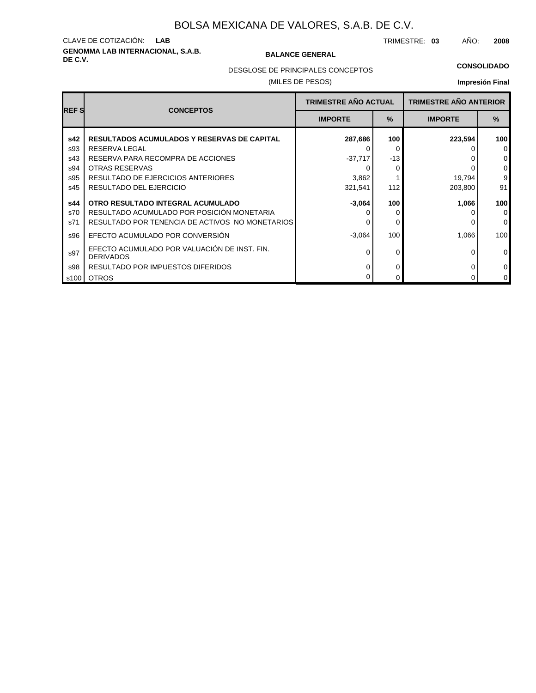# **GENOMMA LAB INTERNACIONAL, S.A.B. DE C.V. BALANCE GENERAL** CLAVE DE COTIZACIÓN: **LAB**

TRIMESTRE: **03** AÑO: **2008**

DESGLOSE DE PRINCIPALES CONCEPTOS

### (MILES DE PESOS)

## **CONSOLIDADO**

| <b>REFS</b> | <b>CONCEPTOS</b>                                                 | <b>TRIMESTRE AÑO ACTUAL</b> |       | <b>TRIMESTRE AÑO ANTERIOR</b> |          |
|-------------|------------------------------------------------------------------|-----------------------------|-------|-------------------------------|----------|
|             |                                                                  | <b>IMPORTE</b>              | $\%$  | <b>IMPORTE</b>                | $\%$     |
| s42         | <b>RESULTADOS ACUMULADOS Y RESERVAS DE CAPITAL</b>               | 287,686                     | 100   | 223,594                       | 100      |
| s93         | RESERVA LEGAL                                                    |                             | 0     |                               |          |
| s43         | RESERVA PARA RECOMPRA DE ACCIONES                                | $-37,717$                   | $-13$ |                               |          |
| s94         | <b>OTRAS RESERVAS</b>                                            |                             | 0     |                               |          |
| s95         | RESULTADO DE EJERCICIOS ANTERIORES                               | 3,862                       |       | 19,794                        | 9        |
| s45         | RESULTADO DEL EJERCICIO                                          | 321,541                     | 112   | 203,800                       | 91       |
| s44         | OTRO RESULTADO INTEGRAL ACUMULADO                                | $-3,064$                    | 100   | 1,066                         | 100      |
| s70         | RESULTADO ACUMULADO POR POSICIÓN MONETARIA                       |                             | 0     |                               |          |
| s71         | RESULTADO POR TENENCIA DE ACTIVOS NO MONETARIOS                  |                             | 0     |                               | 0        |
| s96         | EFECTO ACUMULADO POR CONVERSIÓN                                  | $-3,064$                    | 100   | 1.066                         | 100      |
| s97         | EFECTO ACUMULADO POR VALUACIÓN DE INST. FIN.<br><b>DERIVADOS</b> |                             | 0     |                               | $\Omega$ |
| s98         | RESULTADO POR IMPUESTOS DIFERIDOS                                | O                           | 0     | O                             | 0        |
| s100        | <b>OTROS</b>                                                     |                             | 0     | ი                             |          |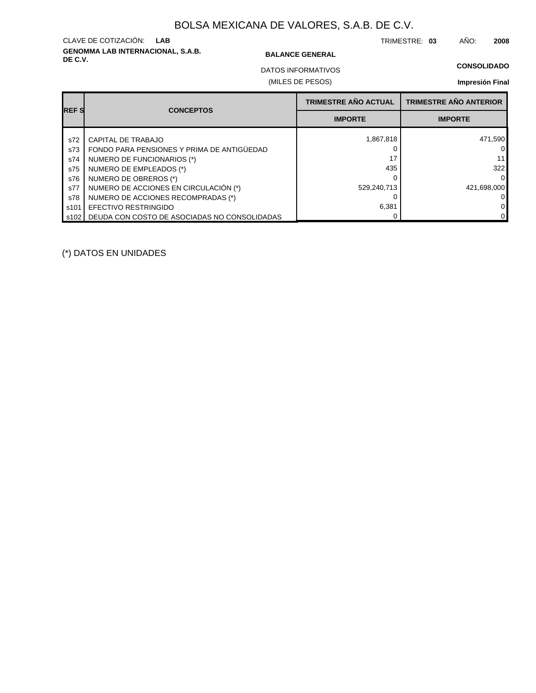# **GENOMMA LAB INTERNACIONAL, S.A.B. DE C.V. BALANCE GENERAL** CLAVE DE COTIZACIÓN: **LAB**

TRIMESTRE: **03** AÑO: **2008**

**CONSOLIDADO**

(MILES DE PESOS) DATOS INFORMATIVOS

# **Impresión Final**

| <b>IREF S</b> | <b>CONCEPTOS</b>                             | <b>TRIMESTRE AÑO ACTUAL</b> | <b>TRIMESTRE AÑO ANTERIOR</b> |
|---------------|----------------------------------------------|-----------------------------|-------------------------------|
|               |                                              | <b>IMPORTE</b>              | <b>IMPORTE</b>                |
| s72           | CAPITAL DE TRABAJO                           | 1,867,818                   | 471,590                       |
| s73           | FONDO PARA PENSIONES Y PRIMA DE ANTIGÜEDAD   |                             |                               |
| s74           | NUMERO DE FUNCIONARIOS (*)                   | 17                          |                               |
| s75           | NUMERO DE EMPLEADOS (*)                      | 435                         | 322                           |
| s76           | NUMERO DE OBREROS (*)                        |                             |                               |
| s77           | NUMERO DE ACCIONES EN CIRCULACIÓN (*)        | 529,240,713                 | 421,698,000                   |
| s78           | NUMERO DE ACCIONES RECOMPRADAS (*)           |                             |                               |
| s101          | <b>EFECTIVO RESTRINGIDO</b>                  | 6,381                       |                               |
| 1 s102 l      | DEUDA CON COSTO DE ASOCIADAS NO CONSOLIDADAS |                             |                               |

(\*) DATOS EN UNIDADES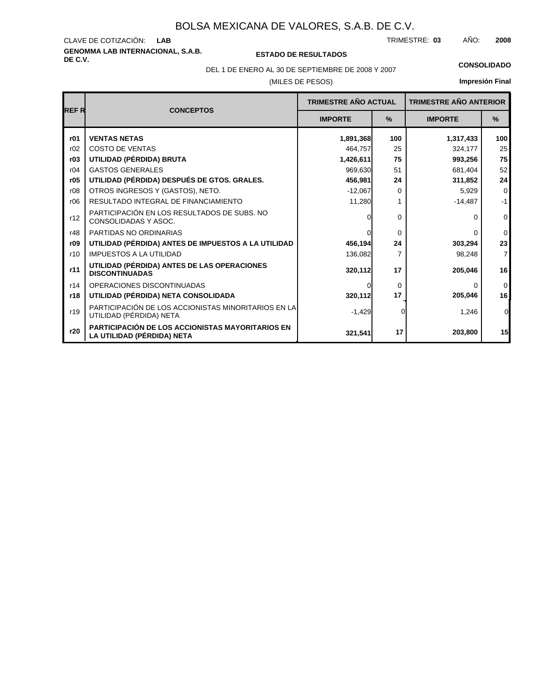# **GENOMMA LAB INTERNACIONAL, S.A.B.** CLAVE DE COTIZACIÓN:

**DE C.V. ESTADO DE RESULTADOS**

TRIMESTRE: AÑO: **LAB 03 2008**

(MILES DE PESOS) DEL 1 DE ENERO AL 30 DE SEPTIEMBRE DE 2008 Y 2007 **CONSOLIDADO**

|                |                                                                                | <b>TRIMESTRE AÑO ACTUAL</b> |               | <b>TRIMESTRE AÑO ANTERIOR</b> |                |
|----------------|--------------------------------------------------------------------------------|-----------------------------|---------------|-------------------------------|----------------|
| <b>I</b> REF R | <b>CONCEPTOS</b>                                                               | <b>IMPORTE</b>              | $\frac{9}{6}$ | <b>IMPORTE</b>                | $\frac{9}{6}$  |
| r01            | <b>VENTAS NETAS</b>                                                            | 1,891,368                   | 100           | 1,317,433                     | 100            |
| r02            | <b>COSTO DE VENTAS</b>                                                         | 464.757                     | 25            | 324,177                       | 25             |
| r03            | UTILIDAD (PÉRDIDA) BRUTA                                                       | 1,426,611                   | 75            | 993,256                       | 75             |
| r04            | <b>GASTOS GENERALES</b>                                                        | 969,630                     | 51            | 681,404                       | 52             |
| r05            | UTILIDAD (PÉRDIDA) DESPUÉS DE GTOS. GRALES.                                    | 456,981                     | 24            | 311,852                       | 24             |
| r08            | OTROS INGRESOS Y (GASTOS), NETO.                                               | $-12,067$                   | 0             | 5,929                         | $\mathbf 0$    |
| r06            | RESULTADO INTEGRAL DE FINANCIAMIENTO                                           | 11,280                      |               | $-14,487$                     | $-1$           |
| r12            | PARTICIPACIÓN EN LOS RESULTADOS DE SUBS. NO<br>CONSOLIDADAS Y ASOC.            | $\Omega$                    | 0             | 0                             | $\mathbf{0}$   |
| r48            | PARTIDAS NO ORDINARIAS                                                         | $\Omega$                    | $\Omega$      | 0                             | $\mathbf 0$    |
| r09            | UTILIDAD (PÉRDIDA) ANTES DE IMPUESTOS A LA UTILIDAD                            | 456,194                     | 24            | 303,294                       | 23             |
| r10            | <b>IMPUESTOS A LA UTILIDAD</b>                                                 | 136,082                     | 7             | 98,248                        | $\overline{7}$ |
| r11            | UTILIDAD (PÉRDIDA) ANTES DE LAS OPERACIONES<br><b>DISCONTINUADAS</b>           | 320,112                     | 17            | 205,046                       | 16             |
| r14            | OPERACIONES DISCONTINUADAS                                                     | $\Omega$                    | 0             | 0                             | $\mathbf 0$    |
| r18            | UTILIDAD (PÉRDIDA) NETA CONSOLIDADA                                            | 320,112                     | 17            | 205,046                       | 16             |
| r19            | PARTICIPACIÓN DE LOS ACCIONISTAS MINORITARIOS EN LA<br>UTILIDAD (PÉRDIDA) NETA | $-1,429$                    |               | 1,246                         | $\overline{0}$ |
| r20            | PARTICIPACIÓN DE LOS ACCIONISTAS MAYORITARIOS EN<br>LA UTILIDAD (PÉRDIDA) NETA | 321,541                     | 17            | 203,800                       | 15             |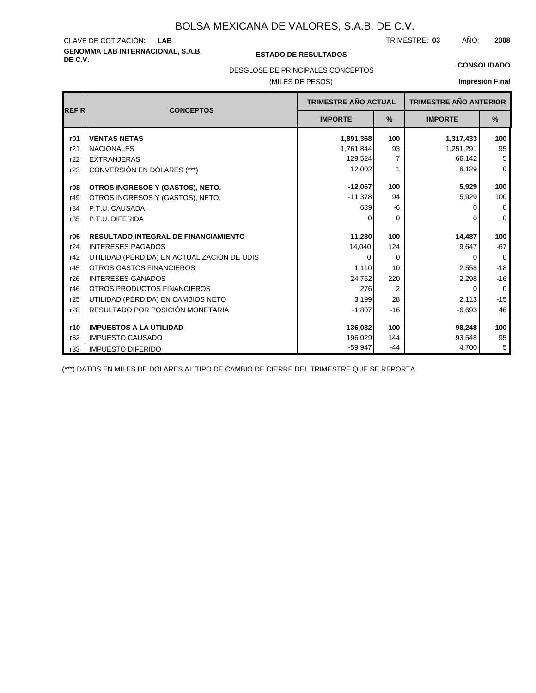# **GENOMMA LAB INTERNACIONAL, S.A.B. DE C.V. ESTADO DE RESULTADOS** CLAVE DE COTIZACIÓN:

TRIMESTRE: AÑO: **LAB 03 2008**

**CONSOLIDADO**

### DESGLOSE DE PRINCIPALES CONCEPTOS

### (MILES DE PESOS)

# **Impresión Final**

| <b>REFR</b> | <b>CONCEPTOS</b>                            | <b>TRIMESTRE AÑO ACTUAL</b> |                | <b>TRIMESTRE AÑO ANTERIOR</b> |             |
|-------------|---------------------------------------------|-----------------------------|----------------|-------------------------------|-------------|
|             |                                             | <b>IMPORTE</b>              | $\frac{9}{6}$  | <b>IMPORTE</b>                | $\%$        |
| r01         | <b>VENTAS NETAS</b>                         | 1,891,368                   | 100            | 1,317,433                     | 100         |
| r21         | <b>NACIONALES</b>                           | 1,761,844                   | 93             | 1,251,291                     | 95          |
| r22         | <b>EXTRANJERAS</b>                          | 129,524                     | 7              | 66,142                        | 5           |
| r23         | CONVERSIÓN EN DÓLARES (***)                 | 12,002                      | 1              | 6,129                         | $\mathbf 0$ |
| r08         | OTROS INGRESOS Y (GASTOS), NETO.            | $-12,067$                   | 100            | 5,929                         | 100         |
| r49         | OTROS INGRESOS Y (GASTOS), NETO.            | $-11,378$                   | 94             | 5,929                         | 100         |
| r34         | P.T.U. CAUSADA                              | 689                         | -6             | O                             | $\mathbf 0$ |
| r35         | P.T.U. DIFERIDA                             | O                           | $\Omega$       | 0                             | $\mathbf 0$ |
| r06         | <b>RESULTADO INTEGRAL DE FINANCIAMIENTO</b> | 11,280                      | 100            | $-14,487$                     | 100         |
| r24         | <b>INTERESES PAGADOS</b>                    | 14,040                      | 124            | 9,647                         | $-67$       |
| r42         | UTILIDAD (PÉRDIDA) EN ACTUALIZACIÓN DE UDIS | $\Omega$                    | $\Omega$       | $\Omega$                      | $\mathbf 0$ |
| r45         | <b>OTROS GASTOS FINANCIEROS</b>             | 1,110                       | 10             | 2,558                         | $-18$       |
| r26         | <b>INTERESES GANADOS</b>                    | 24,762                      | 220            | 2,298                         | $-16$       |
| r46         | OTROS PRODUCTOS FINANCIEROS                 | 276                         | $\overline{2}$ | $\Omega$                      | $\mathbf 0$ |
| r25         | UTILIDAD (PÉRDIDA) EN CAMBIOS NETO          | 3,199                       | 28             | 2,113                         | $-15$       |
| r28         | RESULTADO POR POSICIÓN MONETARIA            | $-1,807$                    | $-16$          | $-6,693$                      | 46          |
| r10         | <b>IMPUESTOS A LA UTILIDAD</b>              | 136,082                     | 100            | 98,248                        | 100         |
| r32         | <b>IMPUESTO CAUSADO</b>                     | 196,029                     | 144            | 93,548                        | 95          |
| r33         | <b>IMPUESTO DIFERIDO</b>                    | $-59,947$                   | $-44$          | 4,700                         | 5           |

(\*\*\*) DATOS EN MILES DE DOLARES AL TIPO DE CAMBIO DE CIERRE DEL TRIMESTRE QUE SE REPORTA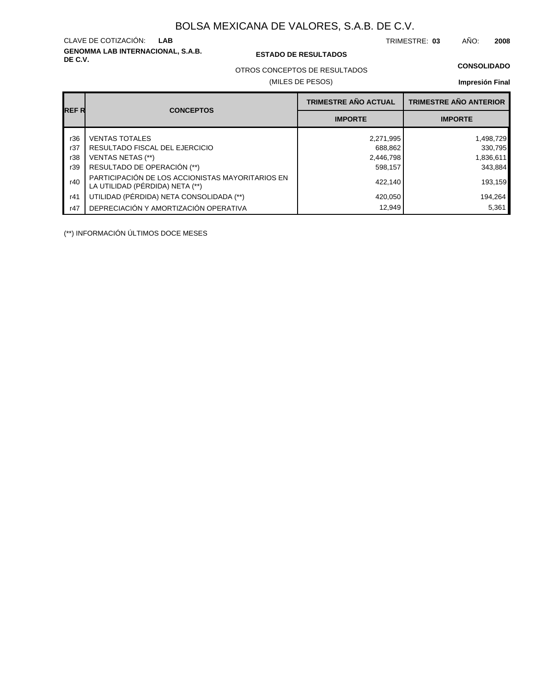**GENOMMA LAB INTERNACIONAL, S.A.B.** CLAVE DE COTIZACIÓN:

### **DE C.V. ESTADO DE RESULTADOS**

TRIMESTRE: AÑO: **LAB 03 2008**

OTROS CONCEPTOS DE RESULTADOS

### (MILES DE PESOS)

# **Impresión Final**

| <b>REFR</b> |                                                                                     | <b>TRIMESTRE AÑO ACTUAL</b> | <b>TRIMESTRE AÑO ANTERIOR</b> |  |
|-------------|-------------------------------------------------------------------------------------|-----------------------------|-------------------------------|--|
|             | <b>CONCEPTOS</b>                                                                    | <b>IMPORTE</b>              | <b>IMPORTE</b>                |  |
| r36         | <b>VENTAS TOTALES</b>                                                               | 2,271,995                   | 1,498,729                     |  |
| r37         | RESULTADO FISCAL DEL EJERCICIO                                                      | 688,862                     | 330,795                       |  |
| r38         | VENTAS NETAS (**)                                                                   | 2,446,798                   | 1,836,611                     |  |
| r39         | RESULTADO DE OPERACIÓN (**)                                                         | 598,157                     | 343,884                       |  |
| r40         | PARTICIPACIÓN DE LOS ACCIONISTAS MAYORITARIOS EN<br>LA UTILIDAD (PÉRDIDA) NETA (**) | 422.140                     | 193,159                       |  |
| r41         | UTILIDAD (PÉRDIDA) NETA CONSOLIDADA (**)                                            | 420,050                     | 194,264                       |  |
| r47         | DEPRECIACIÓN Y AMORTIZACIÓN OPERATIVA                                               | 12,949                      | 5,361                         |  |

(\*\*) INFORMACIÓN ÚLTIMOS DOCE MESES

**CONSOLIDADO**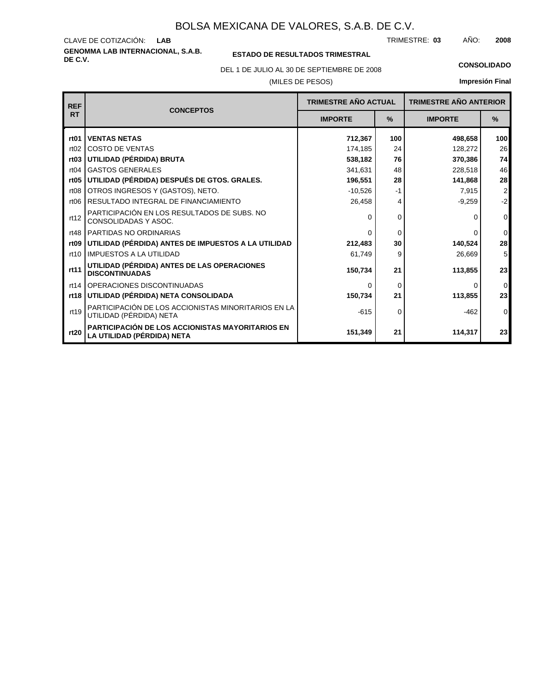**GENOMMA LAB INTERNACIONAL, S.A.B.** CLAVE DE COTIZACIÓN: TRIMESTRE: AÑO: **LAB 03 2008**

### **ESTADO DE RESULTADOS TRIMESTRAL**

(MILES DE PESOS) DEL 1 DE JULIO AL 30 DE SEPTIEMBRE DE 2008 **CONSOLIDADO**

| <b>REF</b>       | <b>CONCEPTOS</b>                                                               | <b>TRIMESTRE AÑO ACTUAL</b> |      | <b>TRIMESTRE AÑO ANTERIOR</b> |                  |
|------------------|--------------------------------------------------------------------------------|-----------------------------|------|-------------------------------|------------------|
| <b>RT</b>        |                                                                                | <b>IMPORTE</b>              | $\%$ | <b>IMPORTE</b>                | $\frac{9}{6}$    |
| rt <sub>01</sub> | <b>VENTAS NETAS</b>                                                            | 712,367                     | 100  | 498.658                       | 100 <sub>l</sub> |
| rt02             | <b>COSTO DE VENTAS</b>                                                         | 174,185                     | 24   | 128,272                       | 26               |
|                  | rt03 UTILIDAD (PÉRDIDA) BRUTA                                                  | 538,182                     | 76   | 370,386                       | 74               |
| rt04             | <b>GASTOS GENERALES</b>                                                        | 341,631                     | 48   | 228,518                       | 46               |
|                  | rt05   UTILIDAD (PÉRDIDA) DESPUÉS DE GTOS. GRALES.                             | 196,551                     | 28   | 141,868                       | 28               |
| rt <sub>08</sub> | OTROS INGRESOS Y (GASTOS), NETO.                                               | $-10,526$                   | -1   | 7,915                         | $\mathbf{2}$     |
| rt <sub>06</sub> | <b>RESULTADO INTEGRAL DE FINANCIAMIENTO</b>                                    | 26,458                      | 4    | $-9,259$                      | $-2$             |
| rt12             | PARTICIPACIÓN EN LOS RESULTADOS DE SUBS. NO<br>CONSOLIDADAS Y ASOC.            | $\Omega$                    | 0    | 0                             | $\overline{0}$   |
|                  | rt48 PARTIDAS NO ORDINARIAS                                                    | $\Omega$                    | 0    | O                             | $\overline{0}$   |
|                  | rt09   UTILIDAD (PÉRDIDA) ANTES DE IMPUESTOS A LA UTILIDAD                     | 212,483                     | 30   | 140,524                       | 28               |
| rt10             | <b>IMPUESTOS A LA UTILIDAD</b>                                                 | 61,749                      | 9    | 26,669                        | 5 <sup>5</sup>   |
| rt11             | UTILIDAD (PÉRDIDA) ANTES DE LAS OPERACIONES<br><b>DISCONTINUADAS</b>           | 150.734                     | 21   | 113.855                       | 23               |
| rt14             | OPERACIONES DISCONTINUADAS                                                     | O                           | 0    | 0                             | $\overline{0}$   |
|                  | rt18 UTILIDAD (PÉRDIDA) NETA CONSOLIDADA                                       | 150,734                     | 21   | 113,855                       | 23               |
| rt19             | PARTICIPACIÓN DE LOS ACCIONISTAS MINORITARIOS EN LA<br>UTILIDAD (PÉRDIDA) NETA | $-615$                      | 0    | $-462$                        | $\overline{0}$   |
| rt20             | PARTICIPACIÓN DE LOS ACCIONISTAS MAYORITARIOS EN<br>LA UTILIDAD (PÉRDIDA) NETA | 151,349                     | 21   | 114,317                       | 23               |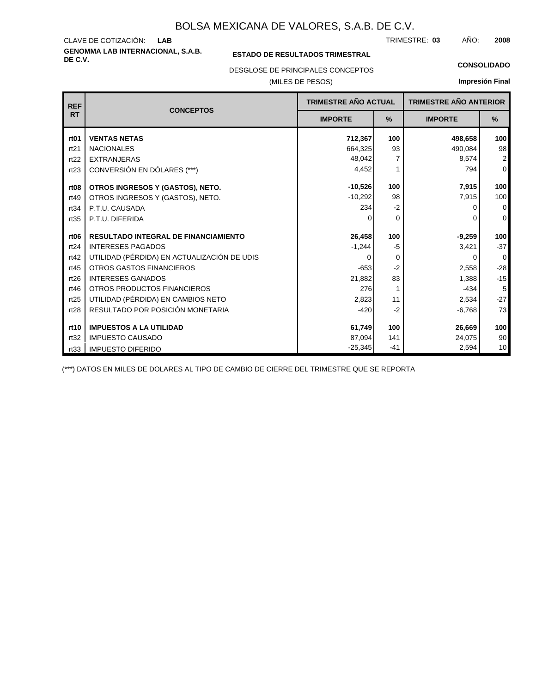**GENOMMA LAB INTERNACIONAL, S.A.B.** CLAVE DE COTIZACIÓN: TRIMESTRE: AÑO: **LAB 03 2008**

### **ESTADO DE RESULTADOS TRIMESTRAL**

DESGLOSE DE PRINCIPALES CONCEPTOS

(MILES DE PESOS)

**CONSOLIDADO**

**Impresión Final**

| <b>REF</b>       | <b>TRIMESTRE AÑO ACTUAL</b><br><b>CONCEPTOS</b> |                |          | <b>TRIMESTRE AÑO ANTERIOR</b> |                         |
|------------------|-------------------------------------------------|----------------|----------|-------------------------------|-------------------------|
| <b>RT</b>        |                                                 | <b>IMPORTE</b> | %        | <b>IMPORTE</b>                | %                       |
| rt <sub>01</sub> | <b>VENTAS NETAS</b>                             | 712,367        | 100      | 498,658                       | 100                     |
| rt21             | <b>NACIONALES</b>                               | 664,325        | 93       | 490,084                       | 98                      |
| rt22             | <b>EXTRANJERAS</b>                              | 48,042         |          | 8,574                         | $\overline{\mathbf{c}}$ |
| rt23             | CONVERSIÓN EN DÓLARES (***)                     | 4,452          | 1        | 794                           | $\overline{0}$          |
| rt <sub>08</sub> | OTROS INGRESOS Y (GASTOS), NETO.                | $-10,526$      | 100      | 7,915                         | 100                     |
| rt49             | OTROS INGRESOS Y (GASTOS), NETO.                | $-10,292$      | 98       | 7,915                         | 100                     |
| rt34             | P.T.U. CAUSADA                                  | 234            | $-2$     | ŋ                             | $\overline{0}$          |
| rt35             | P.T.U. DIFERIDA                                 |                | $\Omega$ | ŋ                             | 0                       |
| rt <sub>06</sub> | <b>RESULTADO INTEGRAL DE FINANCIAMIENTO</b>     | 26,458         | 100      | $-9,259$                      | 100                     |
| rt24             | <b>INTERESES PAGADOS</b>                        | $-1,244$       | $-5$     | 3,421                         | $-37$                   |
| rt42             | UTILIDAD (PÉRDIDA) EN ACTUALIZACIÓN DE UDIS     | O              | 0        | 0                             | $\mathbf 0$             |
| rt45             | <b>OTROS GASTOS FINANCIEROS</b>                 | $-653$         | $-2$     | 2,558                         | $-28$                   |
| rt26             | <b>INTERESES GANADOS</b>                        | 21,882         | 83       | 1,388                         | $-15$                   |
| rt46             | OTROS PRODUCTOS FINANCIEROS                     | 276            | 1        | $-434$                        | 5                       |
| rt25             | UTILIDAD (PÉRDIDA) EN CAMBIOS NETO              | 2,823          | 11       | 2,534                         | $-27$                   |
| rt28             | RESULTADO POR POSICIÓN MONETARIA                | $-420$         | $-2$     | $-6,768$                      | 73                      |
| rt10             | <b>IMPUESTOS A LA UTILIDAD</b>                  | 61,749         | 100      | 26,669                        | 100                     |
| rt32             | <b>IMPUESTO CAUSADO</b>                         | 87,094         | 141      | 24,075                        | 90                      |
| rt33             | <b>IMPUESTO DIFERIDO</b>                        | $-25,345$      | $-41$    | 2,594                         | 10                      |

(\*\*\*) DATOS EN MILES DE DOLARES AL TIPO DE CAMBIO DE CIERRE DEL TRIMESTRE QUE SE REPORTA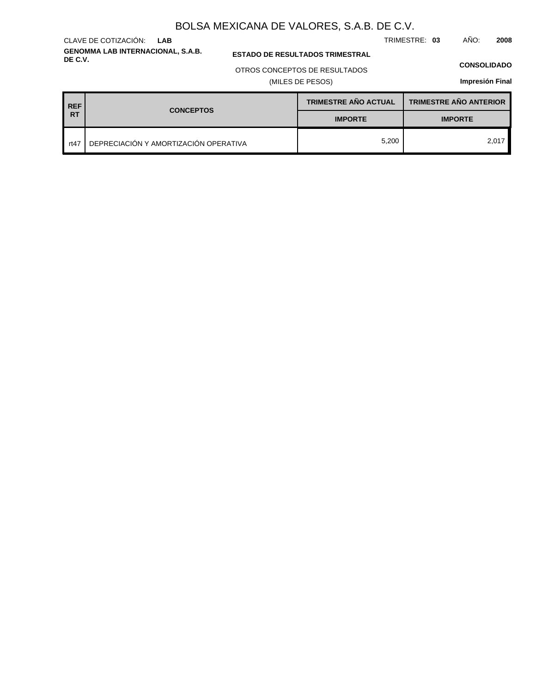**GENOMMA LAB INTERNACIONAL, S.A.B.** CLAVE DE COTIZACIÓN: **LAB**

**ESTADO DE RESULTADOS TRIMESTRAL** 

### OTROS CONCEPTOS DE RESULTADOS

(MILES DE PESOS)

### **CONSOLIDADO**

**Impresión Final**

| <b>REF</b> | <b>CONCEPTOS</b>                      | <b>TRIMESTRE AÑO ACTUAL</b> | <b>TRIMESTRE AÑO ANTERIOR</b> |  |
|------------|---------------------------------------|-----------------------------|-------------------------------|--|
| <b>RT</b>  |                                       | <b>IMPORTE</b>              | <b>IMPORTE</b>                |  |
| rt47       | DEPRECIACIÓN Y AMORTIZACIÓN OPERATIVA | 5,200                       | 2,017                         |  |

TRIMESTRE: **03** AÑO: **2008**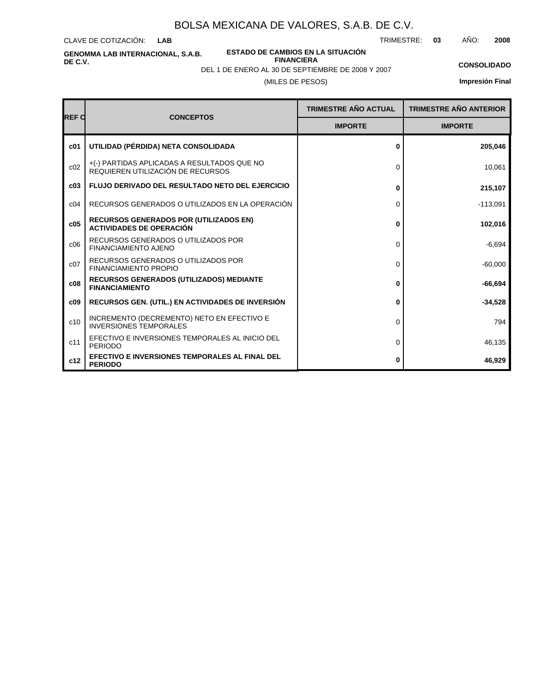CLAVE DE COTIZACIÓN: **LAB**

**ESTADO DE CAMBIOS EN LA SITUACIÓN**

TRIMESTRE: **03** AÑO: **2008**

**GENOMMA LAB INTERNACIONAL, S.A.B. DE C.V.**

**FINANCIERA**

(MILES DE PESOS) DEL 1 DE ENERO AL 30 DE SEPTIEMBRE DE 2008 Y 2007

## **CONSOLIDADO**

| <b>REF C</b> |                                                                                  | <b>TRIMESTRE AÑO ACTUAL</b> | <b>TRIMESTRE AÑO ANTERIOR</b> |
|--------------|----------------------------------------------------------------------------------|-----------------------------|-------------------------------|
|              | <b>CONCEPTOS</b>                                                                 | <b>IMPORTE</b>              | <b>IMPORTE</b>                |
| c01          | UTILIDAD (PÉRDIDA) NETA CONSOLIDADA                                              | 0                           | 205,046                       |
| c02          | +(-) PARTIDAS APLICADAS A RESULTADOS QUE NO<br>REQUIEREN UTILIZACIÓN DE RECURSOS | $\Omega$                    | 10,061                        |
| c03          | <b>FLUJO DERIVADO DEL RESULTADO NETO DEL EJERCICIO</b>                           | 0                           | 215,107                       |
| c04          | RECURSOS GENERADOS O UTILIZADOS EN LA OPERACIÓN                                  | 0                           | $-113,091$                    |
| c05          | <b>RECURSOS GENERADOS POR (UTILIZADOS EN)</b><br><b>ACTIVIDADES DE OPERACIÓN</b> | 0                           | 102,016                       |
| c06          | RECURSOS GENERADOS O UTILIZADOS POR<br><b>FINANCIAMIENTO AJENO</b>               | 0                           | $-6,694$                      |
| c07          | RECURSOS GENERADOS O UTILIZADOS POR<br><b>FINANCIAMIENTO PROPIO</b>              | $\Omega$                    | $-60,000$                     |
| c08          | <b>RECURSOS GENERADOS (UTILIZADOS) MEDIANTE</b><br><b>FINANCIAMIENTO</b>         | 0                           | $-66,694$                     |
| c09          | <b>RECURSOS GEN. (UTIL.) EN ACTIVIDADES DE INVERSIÓN</b>                         | 0                           | $-34,528$                     |
| c10          | INCREMENTO (DECREMENTO) NETO EN EFECTIVO E<br><b>INVERSIONES TEMPORALES</b>      | 0                           | 794                           |
| c11          | EFECTIVO E INVERSIONES TEMPORALES AL INICIO DEL<br><b>PERIODO</b>                | 0                           | 46,135                        |
| c12          | EFECTIVO E INVERSIONES TEMPORALES AL FINAL DEL<br><b>PERIODO</b>                 | 0                           | 46,929                        |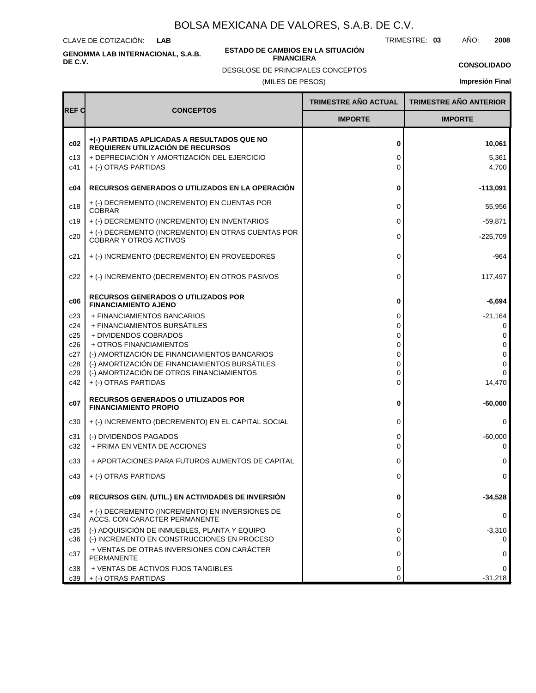CLAVE DE COTIZACIÓN: **LAB**

**GENOMMA LAB INTERNACIONAL, S.A.B. DE C.V.**

#### **ESTADO DE CAMBIOS EN LA SITUACIÓN FINANCIERA**

TRIMESTRE: **03** AÑO: **2008**

**CONSOLIDADO Impresión Final**

DESGLOSE DE PRINCIPALES CONCEPTOS

(MILES DE PESOS)

|              |                                                                                                                                 | <b>TRIMESTRE AÑO ACTUAL</b> | <b>TRIMESTRE AÑO ANTERIOR</b> |
|--------------|---------------------------------------------------------------------------------------------------------------------------------|-----------------------------|-------------------------------|
| <b>REF C</b> | <b>CONCEPTOS</b>                                                                                                                | <b>IMPORTE</b>              | <b>IMPORTE</b>                |
| c02<br>c13   | +(-) PARTIDAS APLICADAS A RESULTADOS QUE NO<br>REQUIEREN UTILIZACIÓN DE RECURSOS<br>+ DEPRECIACIÓN Y AMORTIZACIÓN DEL EJERCICIO | 0<br>0                      | 10,061<br>5,361               |
| c41          | + (-) OTRAS PARTIDAS                                                                                                            | $\Omega$                    | 4,700                         |
| c04          | RECURSOS GENERADOS O UTILIZADOS EN LA OPERACIÓN                                                                                 | 0                           | $-113,091$                    |
| c18          | + (-) DECREMENTO (INCREMENTO) EN CUENTAS POR<br><b>COBRAR</b>                                                                   | 0                           | 55,956                        |
| c19          | + (-) DECREMENTO (INCREMENTO) EN INVENTARIOS                                                                                    | 0                           | $-59,871$                     |
| c20          | + (-) DECREMENTO (INCREMENTO) EN OTRAS CUENTAS POR<br><b>COBRAR Y OTROS ACTIVOS</b>                                             | 0                           | $-225,709$                    |
| c21          | + (-) INCREMENTO (DECREMENTO) EN PROVEEDORES                                                                                    | 0                           | $-964$                        |
| c22          | + (-) INCREMENTO (DECREMENTO) EN OTROS PASIVOS                                                                                  | 0                           | 117.497                       |
| c06          | <b>RECURSOS GENERADOS O UTILIZADOS POR</b><br><b>FINANCIAMIENTO AJENO</b>                                                       | 0                           | -6,694                        |
| c23          | + FINANCIAMIENTOS BANCARIOS                                                                                                     | 0                           | $-21,164$                     |
| c24          | + FINANCIAMIENTOS BURSÁTILES<br>+ DIVIDENDOS COBRADOS                                                                           | 0<br>0                      | 0                             |
| c25<br>c26   | + OTROS FINANCIAMIENTOS                                                                                                         | 0                           | 0<br>0                        |
| c27          | (-) AMORTIZACIÓN DE FINANCIAMIENTOS BANCARIOS                                                                                   | 0                           | $\Omega$                      |
| c28          | (-) AMORTIZACIÓN DE FINANCIAMIENTOS BURSÁTILES                                                                                  | 0                           | $\Omega$                      |
| c29          | (-) AMORTIZACIÓN DE OTROS FINANCIAMIENTOS                                                                                       | 0                           | $\Omega$                      |
| c42          | + (-) OTRAS PARTIDAS                                                                                                            | $\mathbf 0$                 | 14,470                        |
| c07          | <b>RECURSOS GENERADOS O UTILIZADOS POR</b><br><b>FINANCIAMIENTO PROPIO</b>                                                      | 0                           | $-60,000$                     |
| c30          | + (-) INCREMENTO (DECREMENTO) EN EL CAPITAL SOCIAL                                                                              | 0                           | $\Omega$                      |
| c31          | (-) DIVIDENDOS PAGADOS                                                                                                          | 0                           | $-60,000$                     |
| c32          | + PRIMA EN VENTA DE ACCIONES                                                                                                    | $\Omega$                    | 0                             |
| c33          | + APORTACIONES PARA FUTUROS AUMENTOS DE CAPITAL                                                                                 | 0                           | 0                             |
| c43          | + (-) OTRAS PARTIDAS                                                                                                            | 0                           | 0                             |
| c09          | RECURSOS GEN. (UTIL.) EN ACTIVIDADES DE INVERSIÓN                                                                               | 0                           | $-34,528$                     |
| c34          | + (-) DECREMENTO (INCREMENTO) EN INVERSIONES DE<br>ACCS. CON CARACTER PERMANENTE                                                | 0                           | 0                             |
| c35<br>c36   | (-) ADQUISICIÓN DE INMUEBLES, PLANTA Y EQUIPO<br>(-) INCREMENTO EN CONSTRUCCIONES EN PROCESO                                    | 0<br>$\Omega$               | $-3,310$<br>0                 |
| c37          | + VENTAS DE OTRAS INVERSIONES CON CARÁCTER<br><b>PERMANENTE</b>                                                                 | 0                           | 0                             |
| c38<br>c39   | + VENTAS DE ACTIVOS FIJOS TANGIBLES<br>+ (-) OTRAS PARTIDAS                                                                     | 0<br>0                      | 0<br>$-31,218$                |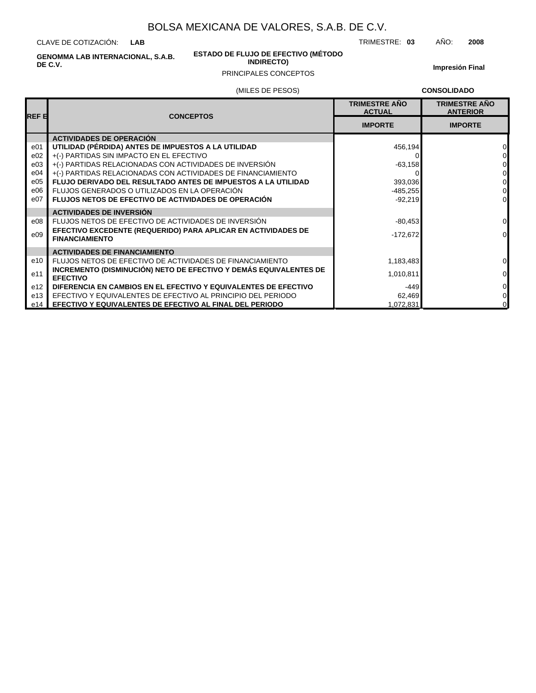CLAVE DE COTIZACIÓN: **LAB**

> **ESTADO DE FLUJO DE EFECTIVO (MÉTODO INDIRECTO)**

TRIMESTRE: **03** AÑO: **2008**

**GENOMMA LAB INTERNACIONAL, S.A.B. DE C.V.**

e14 **EFECTIVO Y EQUIVALENTES DE EFECTIVO AL FINAL DEL PERIODO**

### PRINCIPALES CONCEPTOS

**Impresión Final**

1,072,831 0

|        | (MILES DE PESOS)                                                                       |                                       | <b>CONSOLIDADO</b>                      |
|--------|----------------------------------------------------------------------------------------|---------------------------------------|-----------------------------------------|
| IREF E | <b>CONCEPTOS</b>                                                                       | <b>TRIMESTRE AÑO</b><br><b>ACTUAL</b> | <b>TRIMESTRE AÑO</b><br><b>ANTERIOR</b> |
|        |                                                                                        | <b>IMPORTE</b>                        | <b>IMPORTE</b>                          |
|        | <b>ACTIVIDADES DE OPERACIÓN</b>                                                        |                                       |                                         |
| e01    | UTILIDAD (PÉRDIDA) ANTES DE IMPUESTOS A LA UTILIDAD                                    | 456,194                               | 0                                       |
| e02    | +(-) PARTIDAS SIN IMPACTO EN EL EFECTIVO                                               |                                       | 0                                       |
| e03    | +(-) PARTIDAS RELACIONADAS CON ACTIVIDADES DE INVERSIÓN                                | $-63,158$                             | 0                                       |
| e04    | +(-) PARTIDAS RELACIONADAS CON ACTIVIDADES DE FINANCIAMIENTO                           |                                       | 0                                       |
| e05    | <b>FLUJO DERIVADO DEL RESULTADO ANTES DE IMPUESTOS A LA UTILIDAD</b>                   | 393,036                               | 0                                       |
| e06    | FLUJOS GENERADOS O UTILIZADOS EN LA OPERACIÓN                                          | $-485,255$                            | $\Omega$                                |
| e07    | <b>FLUJOS NETOS DE EFECTIVO DE ACTIVIDADES DE OPERACIÓN</b>                            | $-92.219$                             | $\Omega$                                |
|        | <b>ACTIVIDADES DE INVERSIÓN</b>                                                        |                                       |                                         |
| e08    | FLUJOS NETOS DE EFECTIVO DE ACTIVIDADES DE INVERSIÓN                                   | $-80,453$                             | $\Omega$                                |
| e09    | EFECTIVO EXCEDENTE (REQUERIDO) PARA APLICAR EN ACTIVIDADES DE<br><b>FINANCIAMIENTO</b> | $-172,672$                            | $\Omega$                                |
|        | <b>ACTIVIDADES DE FINANCIAMIENTO</b>                                                   |                                       |                                         |
| e10    | FLUJOS NETOS DE EFECTIVO DE ACTIVIDADES DE FINANCIAMIENTO                              | 1,183,483                             | $\Omega$                                |
| e11    | INCREMENTO (DISMINUCIÓN) NETO DE EFECTIVO Y DEMÁS EQUIVALENTES DE<br><b>EFECTIVO</b>   | 1,010,811                             | $\mathbf 0$                             |
| e12    | DIFERENCIA EN CAMBIOS EN EL EFECTIVO Y EQUIVALENTES DE EFECTIVO                        | -449                                  | $\mathbf 0$                             |
| e13    | EFECTIVO Y EQUIVALENTES DE EFECTIVO AL PRINCIPIO DEL PERIODO                           | 62,469                                | $\mathbf 0$                             |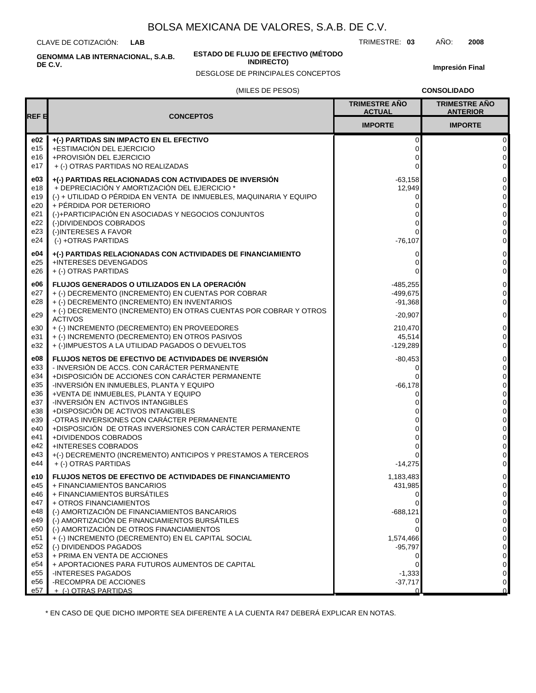CLAVE DE COTIZACIÓN: **LAB**

**ESTADO DE FLUJO DE EFECTIVO (MÉTODO**

**INDIRECTO)**

TRIMESTRE: **03** AÑO: **2008**

**Impresión Final**

### DESGLOSE DE PRINCIPALES CONCEPTOS

(MILES DE PESOS)

**CONSOLIDADO**

|                 |                                                                                                                      | <b>TRIMESTRE AÑO</b><br><b>ACTUAL</b> | <b>TRIMESTRE AÑO</b><br><b>ANTERIOR</b> |
|-----------------|----------------------------------------------------------------------------------------------------------------------|---------------------------------------|-----------------------------------------|
| REF 티           | <b>CONCEPTOS</b>                                                                                                     | <b>IMPORTE</b>                        | <b>IMPORTE</b>                          |
| e02<br>e15      | +(-) PARTIDAS SIN IMPACTO EN EL EFECTIVO<br>+ESTIMACIÓN DEL EJERCICIO                                                | 0<br>0                                | 0<br>$\pmb{0}$                          |
| e16             | +PROVISIÓN DEL EJERCICIO                                                                                             | 0                                     | 0                                       |
| e17             | + (-) OTRAS PARTIDAS NO REALIZADAS                                                                                   | 0                                     | 0                                       |
| e03             | +(-) PARTIDAS RELACIONADAS CON ACTIVIDADES DE INVERSIÓN                                                              | $-63,158$                             | 0                                       |
| e18<br>e19      | + DEPRECIACIÓN Y AMORTIZACIÓN DEL EJERCICIO *<br>(-) + UTILIDAD O PÉRDIDA EN VENTA DE INMUEBLES, MAQUINARIA Y EQUIPO | 12,949<br>0                           | 0<br>0                                  |
| e20             | + PÉRDIDA POR DETERIORO                                                                                              | 0                                     | 0                                       |
| e21             | (-)+PARTICIPACIÓN EN ASOCIADAS Y NEGOCIOS CONJUNTOS                                                                  | 0                                     | 0                                       |
| e22<br>e23      | (-)DIVIDENDOS COBRADOS<br>(-)INTERESES A FAVOR                                                                       | ი<br>0                                | 0<br>0                                  |
| e24             | (-) +OTRAS PARTIDAS                                                                                                  | $-76,107$                             | 0                                       |
| e04             | +(-) PARTIDAS RELACIONADAS CON ACTIVIDADES DE FINANCIAMIENTO                                                         | 0                                     | 0                                       |
| e25             | +INTERESES DEVENGADOS                                                                                                | 0                                     | 0                                       |
| e26             | + (-) OTRAS PARTIDAS                                                                                                 | 0                                     | 0                                       |
| e06             | FLUJOS GENERADOS O UTILIZADOS EN LA OPERACIÓN                                                                        | $-485,255$                            | 0                                       |
| e27<br>e28      | + (-) DECREMENTO (INCREMENTO) EN CUENTAS POR COBRAR<br>+ (-) DECREMENTO (INCREMENTO) EN INVENTARIOS                  | $-499.675$<br>$-91,368$               | 0<br>0                                  |
| e29             | + (-) DECREMENTO (INCREMENTO) EN OTRAS CUENTAS POR COBRAR Y OTROS<br><b>ACTIVOS</b>                                  | $-20,907$                             | 0                                       |
| e30             | + (-) INCREMENTO (DECREMENTO) EN PROVEEDORES                                                                         | 210,470                               | 0                                       |
| e31             | + (-) INCREMENTO (DECREMENTO) EN OTROS PASIVOS                                                                       | 45,514                                | 0                                       |
| e32             | + (-)IMPUESTOS A LA UTILIDAD PAGADOS O DEVUELTOS                                                                     | $-129,289$                            | 0                                       |
| e08<br>e33      | <b>FLUJOS NETOS DE EFECTIVO DE ACTIVIDADES DE INVERSIÓN</b><br>- INVERSIÓN DE ACCS. CON CARÁCTER PERMANENTE          | $-80,453$<br>0                        | 0<br>0                                  |
| e34             | +DISPOSICIÓN DE ACCIONES CON CARÁCTER PERMANENTE                                                                     | 0                                     | 0                                       |
| e35             | -INVERSIÓN EN INMUEBLES, PLANTA Y EQUIPO                                                                             | $-66,178$                             | 0                                       |
| e36             | +VENTA DE INMUEBLES, PLANTA Y EQUIPO                                                                                 | 0                                     | 0                                       |
| e37<br>e38      | -INVERSIÓN EN ACTIVOS INTANGIBLES<br>+DISPOSICIÓN DE ACTIVOS INTANGIBLES                                             |                                       | 0<br>0                                  |
| e39             | -OTRAS INVERSIONES CON CARÁCTER PERMANENTE                                                                           | 0                                     | 0                                       |
| e40             | +DISPOSICIÓN DE OTRAS INVERSIONES CON CARÁCTER PERMANENTE                                                            | 0                                     | 0                                       |
| e41<br>e42      | +DIVIDENDOS COBRADOS<br>+INTERESES COBRADOS                                                                          | 0<br>0                                | 0<br>0                                  |
| e43             | +(-) DECREMENTO (INCREMENTO) ANTICIPOS Y PRESTAMOS A TERCEROS                                                        | 0                                     | 0                                       |
| e44             | + (-) OTRAS PARTIDAS                                                                                                 | $-14,275$                             | 0                                       |
| e10             | <b>FLUJOS NETOS DE EFECTIVO DE ACTIVIDADES DE FINANCIAMIENTO</b>                                                     | 1,183,483                             | 0                                       |
| e45<br>e46      | + FINANCIAMIENTOS BANCARIOS<br>+ FINANCIAMIENTOS BURSÁTILES                                                          | 431,985                               | 0<br>$\pmb{0}$                          |
| e47             | + OTROS FINANCIAMIENTOS                                                                                              | 0 <br>0                               | $\pmb{0}$                               |
| e48             | (-) AMORTIZACIÓN DE FINANCIAMIENTOS BANCARIOS                                                                        | $-688,121$                            | 0                                       |
| e49             | (-) AMORTIZACIÓN DE FINANCIAMIENTOS BURSÁTILES                                                                       | 0                                     | 0                                       |
| e50<br>e51      | (-) AMORTIZACIÓN DE OTROS FINANCIAMIENTOS<br>+ (-) INCREMENTO (DECREMENTO) EN EL CAPITAL SOCIAL                      | 0<br>1,574,466                        | 0<br>0                                  |
| e52             | (-) DIVIDENDOS PAGADOS                                                                                               | $-95,797$                             | 0                                       |
| e <sub>53</sub> | + PRIMA EN VENTA DE ACCIONES                                                                                         | 0                                     | 0                                       |
| e54<br>e55      | + APORTACIONES PARA FUTUROS AUMENTOS DE CAPITAL<br>-INTERESES PAGADOS                                                | 0<br>$-1,333$                         | 0<br>0                                  |
| e56             | -RECOMPRA DE ACCIONES                                                                                                | $-37,717$                             | $\mathbf 0$                             |
| e57             | + (-) OTRAS PARTIDAS                                                                                                 | $\Omega$                              | $\Omega$                                |

\* EN CASO DE QUE DICHO IMPORTE SEA DIFERENTE A LA CUENTA R47 DEBERÁ EXPLICAR EN NOTAS.

**GENOMMA LAB INTERNACIONAL, S.A.B. DE C.V.**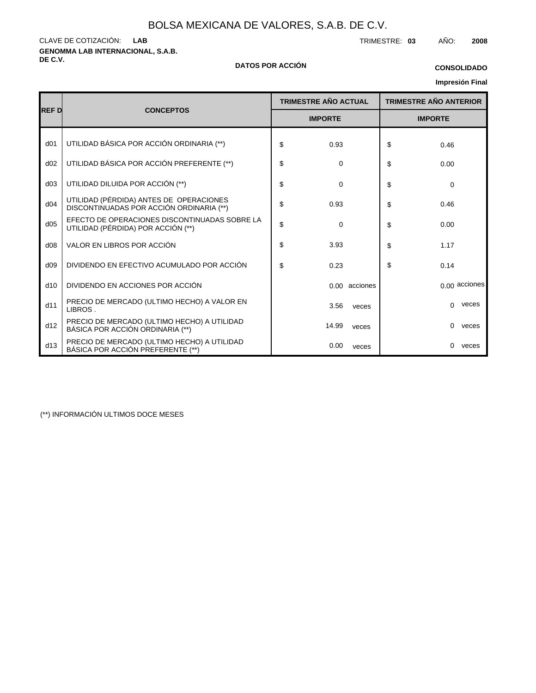**GENOMMA LAB INTERNACIONAL, S.A.B.** CLAVE DE COTIZACIÓN: TRIMESTRE: **03** AÑO: **2008 LAB**

# **DE C.V. DATOS POR ACCIÓN**

# **CONSOLIDADO**

### **Impresión Final**

|                 |                                                                                     |                             |               |                               |      | <b>IIIIpresion Final</b> |  |
|-----------------|-------------------------------------------------------------------------------------|-----------------------------|---------------|-------------------------------|------|--------------------------|--|
|                 |                                                                                     | <b>TRIMESTRE AÑO ACTUAL</b> |               | <b>TRIMESTRE AÑO ANTERIOR</b> |      |                          |  |
| <b>REF D</b>    | <b>CONCEPTOS</b>                                                                    | <b>IMPORTE</b>              |               | <b>IMPORTE</b>                |      |                          |  |
| d <sub>01</sub> | UTILIDAD BÁSICA POR ACCIÓN ORDINARIA (**)                                           | \$<br>0.93                  |               | \$                            | 0.46 |                          |  |
| d02             | UTILIDAD BÁSICA POR ACCIÓN PREFERENTE (**)                                          | \$<br>0                     |               | \$                            | 0.00 |                          |  |
| d03             | UTILIDAD DILUIDA POR ACCIÓN (**)                                                    | \$<br>0                     |               | \$                            | 0    |                          |  |
| d04             | UTILIDAD (PÉRDIDA) ANTES DE OPERACIONES<br>DISCONTINUADAS POR ACCIÓN ORDINARIA (**) | \$<br>0.93                  |               | \$                            | 0.46 |                          |  |
| d05             | EFECTO DE OPERACIONES DISCONTINUADAS SOBRE LA<br>UTILIDAD (PÉRDIDA) POR ACCIÓN (**) | \$<br>$\Omega$              |               | \$                            | 0.00 |                          |  |
| d08             | VALOR EN LIBROS POR ACCIÓN                                                          | \$<br>3.93                  |               | \$                            | 1.17 |                          |  |
| d09             | DIVIDENDO EN EFECTIVO ACUMULADO POR ACCIÓN                                          | \$<br>0.23                  |               | \$                            | 0.14 |                          |  |
| d10             | DIVIDENDO EN ACCIONES POR ACCIÓN                                                    |                             | 0.00 acciones |                               |      | 0.00 acciones            |  |
| d11             | PRECIO DE MERCADO (ULTIMO HECHO) A VALOR EN<br>LIBROS.                              | 3.56                        | veces         |                               | 0    | veces                    |  |
| d12             | PRECIO DE MERCADO (ULTIMO HECHO) A UTILIDAD<br>BÁSICA POR ACCIÓN ORDINARIA (**)     | 14.99                       | veces         |                               | 0    | veces                    |  |
| d13             | PRECIO DE MERCADO (ULTIMO HECHO) A UTILIDAD<br>BÁSICA POR ACCIÓN PREFERENTE (**)    | 0.00                        | veces         |                               | 0    | veces                    |  |

(\*\*) INFORMACIÓN ULTIMOS DOCE MESES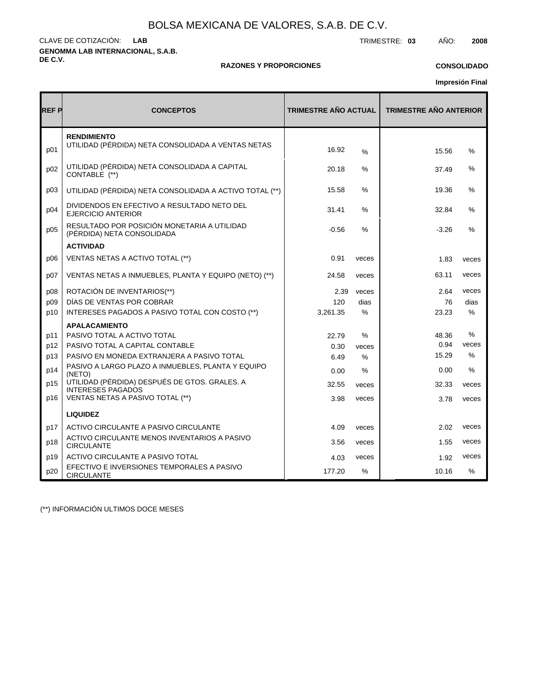**GENOMMA LAB INTERNACIONAL, S.A.B. DE C.V.** CLAVE DE COTIZACIÓN: TRIMESTRE: **03** AÑO: **2008 LAB**

### **RAZONES Y PROPORCIONES**

### **CONSOLIDADO**

**Impresión Final**

| <b>REFP</b> | <b>CONCEPTOS</b>                                                          | <b>TRIMESTRE AÑO ACTUAL</b> |               | <b>TRIMESTRE AÑO ANTERIOR</b> |               |  |  |
|-------------|---------------------------------------------------------------------------|-----------------------------|---------------|-------------------------------|---------------|--|--|
| p01         | <b>RENDIMIENTO</b><br>UTILIDAD (PÉRDIDA) NETA CONSOLIDADA A VENTAS NETAS  | 16.92                       | $\%$          | 15.56                         | %             |  |  |
| p02         | UTILIDAD (PÉRDIDA) NETA CONSOLIDADA A CAPITAL<br>CONTABLE (**)            | 20.18                       | $\%$          | 37.49                         | $\%$          |  |  |
| p03         | UTILIDAD (PÉRDIDA) NETA CONSOLIDADA A ACTIVO TOTAL (**)                   | 15.58                       | $\%$          | 19.36                         | $\frac{0}{0}$ |  |  |
| p04         | DIVIDENDOS EN EFECTIVO A RESULTADO NETO DEL<br><b>EJERCICIO ANTERIOR</b>  | 31.41                       | $\%$          | 32.84                         | %             |  |  |
| p05         | RESULTADO POR POSICIÓN MONETARIA A UTILIDAD<br>(PÉRDIDA) NETA CONSOLIDADA | $-0.56$                     | %             | $-3.26$                       | %             |  |  |
|             | <b>ACTIVIDAD</b>                                                          |                             |               |                               |               |  |  |
| p06         | VENTAS NETAS A ACTIVO TOTAL (**)                                          | 0.91                        | veces         | 1.83                          | veces         |  |  |
| p07         | VENTAS NETAS A INMUEBLES, PLANTA Y EQUIPO (NETO) (**)                     | 24.58                       | veces         | 63.11                         | veces         |  |  |
| p08         | ROTACIÓN DE INVENTARIOS(**)                                               | 2.39                        | veces         | 2.64                          | veces         |  |  |
| p09         | DÍAS DE VENTAS POR COBRAR                                                 | 120                         | dias          | 76                            | dias          |  |  |
| p10         | INTERESES PAGADOS A PASIVO TOTAL CON COSTO (**)                           | 3,261.35                    | %             | 23.23                         | %             |  |  |
|             | <b>APALACAMIENTO</b>                                                      |                             |               |                               |               |  |  |
| p11         | PASIVO TOTAL A ACTIVO TOTAL                                               | 22.79                       | $\%$          | 48.36                         | %             |  |  |
| p12         | PASIVO TOTAL A CAPITAL CONTABLE                                           | 0.30                        | veces         | 0.94                          | veces         |  |  |
| p13         | PASIVO EN MONEDA EXTRANJERA A PASIVO TOTAL                                | 6.49                        | $\%$          | 15.29                         | $\%$          |  |  |
| p14         | PASIVO A LARGO PLAZO A INMUEBLES, PLANTA Y EQUIPO<br>(NETO)               | 0.00                        | $\frac{0}{0}$ | 0.00                          | $\frac{0}{0}$ |  |  |
| p15         | UTILIDAD (PÉRDIDA) DESPUÉS DE GTOS. GRALES. A<br><b>INTERESES PAGADOS</b> | 32.55                       | veces         | 32.33                         | veces         |  |  |
| p16         | VENTAS NETAS A PASIVO TOTAL (**)                                          | 3.98                        | veces         | 3.78                          | veces         |  |  |
|             | <b>LIQUIDEZ</b>                                                           |                             |               |                               |               |  |  |
| p17         | ACTIVO CIRCULANTE A PASIVO CIRCULANTE                                     | 4.09                        | veces         | 2.02                          | veces         |  |  |
| p18         | ACTIVO CIRCULANTE MENOS INVENTARIOS A PASIVO<br><b>CIRCULANTE</b>         | 3.56                        | veces         | 1.55                          | veces         |  |  |
| p19         | ACTIVO CIRCULANTE A PASIVO TOTAL                                          | 4.03                        | veces         | 1.92                          | veces         |  |  |
| p20         | EFECTIVO E INVERSIONES TEMPORALES A PASIVO<br><b>CIRCULANTE</b>           | 177.20                      | %             | 10.16                         | $\%$          |  |  |

(\*\*) INFORMACIÓN ULTIMOS DOCE MESES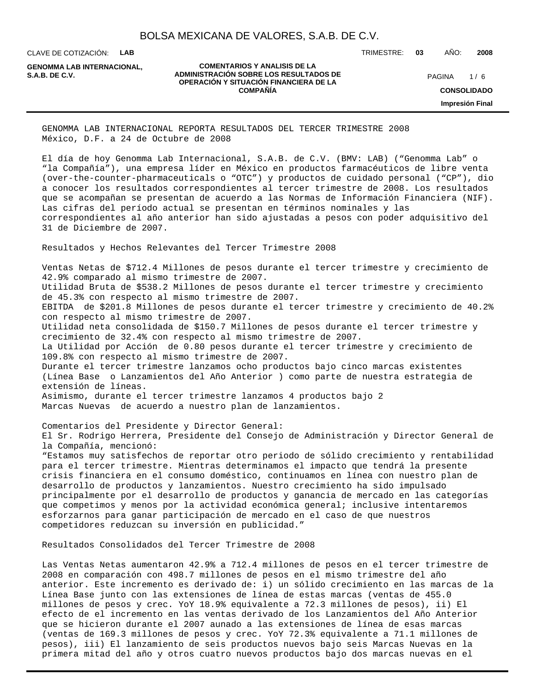CLAVE DE COTIZACIÓN: **LAB**

**GENOMMA LAB INTERNACIONAL,**

#### **COMENTARIOS Y ANALISIS DE LA ADMINISTRACIÓN SOBRE LOS RESULTADOS DE S.A.B. DE C.V.** PAGINA / 6 **OPERACIÓN Y SITUACIÓN FINANCIERA DE LA COMPAÑÍA**

TRIMESTRE: **03** AÑO: **2008**

 $1/6$ **CONSOLIDADO Impresión Final**

GENOMMA LAB INTERNACIONAL REPORTA RESULTADOS DEL TERCER TRIMESTRE 2008 México, D.F. a 24 de Octubre de 2008

El día de hoy Genomma Lab Internacional, S.A.B. de C.V. (BMV: LAB) ("Genomma Lab" o "la Compañía"), una empresa líder en México en productos farmacéuticos de libre venta (over-the-counter-pharmaceuticals o "OTC") y productos de cuidado personal ("CP"), dio a conocer los resultados correspondientes al tercer trimestre de 2008. Los resultados que se acompañan se presentan de acuerdo a las Normas de Información Financiera (NIF). Las cifras del período actual se presentan en términos nominales y las correspondientes al año anterior han sido ajustadas a pesos con poder adquisitivo del 31 de Diciembre de 2007.

Resultados y Hechos Relevantes del Tercer Trimestre 2008

 Ventas Netas de \$712.4 Millones de pesos durante el tercer trimestre y crecimiento de 42.9% comparado al mismo trimestre de 2007.

 Utilidad Bruta de \$538.2 Millones de pesos durante el tercer trimestre y crecimiento de 45.3% con respecto al mismo trimestre de 2007.

 EBITDA de \$201.8 Millones de pesos durante el tercer trimestre y crecimiento de 40.2% con respecto al mismo trimestre de 2007.

 Utilidad neta consolidada de \$150.7 Millones de pesos durante el tercer trimestre y crecimiento de 32.4% con respecto al mismo trimestre de 2007.

 La Utilidad por Acción de 0.80 pesos durante el tercer trimestre y crecimiento de 109.8% con respecto al mismo trimestre de 2007.

 Durante el tercer trimestre lanzamos ocho productos bajo cinco marcas existentes (Línea Base o Lanzamientos del Año Anterior ) como parte de nuestra estrategia de extensión de líneas.

 Asimismo, durante el tercer trimestre lanzamos 4 productos bajo 2 Marcas Nuevas de acuerdo a nuestro plan de lanzamientos.

Comentarios del Presidente y Director General:

El Sr. Rodrigo Herrera, Presidente del Consejo de Administración y Director General de la Compañía, mencionó:

"Estamos muy satisfechos de reportar otro periodo de sólido crecimiento y rentabilidad para el tercer trimestre. Mientras determinamos el impacto que tendrá la presente crisis financiera en el consumo doméstico, continuamos en línea con nuestro plan de desarrollo de productos y lanzamientos. Nuestro crecimiento ha sido impulsado principalmente por el desarrollo de productos y ganancia de mercado en las categorías que competimos y menos por la actividad económica general; inclusive intentaremos esforzarnos para ganar participación de mercado en el caso de que nuestros competidores reduzcan su inversión en publicidad."

Resultados Consolidados del Tercer Trimestre de 2008

Las Ventas Netas aumentaron 42.9% a 712.4 millones de pesos en el tercer trimestre de 2008 en comparación con 498.7 millones de pesos en el mismo trimestre del año anterior. Este incremento es derivado de: i) un sólido crecimiento en las marcas de la Línea Base junto con las extensiones de línea de estas marcas (ventas de 455.0 millones de pesos y crec. YoY 18.9% equivalente a 72.3 millones de pesos), ii) El efecto de el incremento en las ventas derivado de los Lanzamientos del Año Anterior que se hicieron durante el 2007 aunado a las extensiones de línea de esas marcas (ventas de 169.3 millones de pesos y crec. YoY 72.3% equivalente a 71.1 millones de pesos), iii) El lanzamiento de seis productos nuevos bajo seis Marcas Nuevas en la primera mitad del año y otros cuatro nuevos productos bajo dos marcas nuevas en el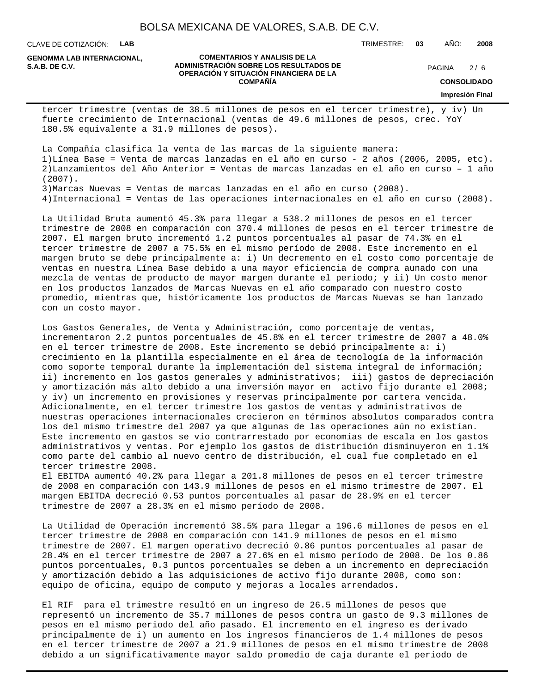CLAVE DE COTIZACIÓN: **LAB**

**GENOMMA LAB INTERNACIONAL,**

#### **COMENTARIOS Y ANALISIS DE LA ADMINISTRACIÓN SOBRE LOS RESULTADOS DE S.A.B. DE C.V.** PAGINA / 6 **OPERACIÓN Y SITUACIÓN FINANCIERA DE LA COMPAÑÍA**

 $2/6$ 

TRIMESTRE: **03** AÑO: **2008**

**CONSOLIDADO**

**Impresión Final**

tercer trimestre (ventas de 38.5 millones de pesos en el tercer trimestre), y iv) Un fuerte crecimiento de Internacional (ventas de 49.6 millones de pesos, crec. YoY 180.5% equivalente a 31.9 millones de pesos).

La Compañía clasifica la venta de las marcas de la siguiente manera: 1) Línea Base = Venta de marcas lanzadas en el año en curso - 2 años (2006, 2005, etc). 2) Lanzamientos del Año Anterior = Ventas de marcas lanzadas en el año en curso - 1 año (2007).

3) Marcas Nuevas = Ventas de marcas lanzadas en el año en curso (2008).

4) Internacional = Ventas de las operaciones internacionales en el año en curso (2008).

La Utilidad Bruta aumentó 45.3% para llegar a 538.2 millones de pesos en el tercer trimestre de 2008 en comparación con 370.4 millones de pesos en el tercer trimestre de 2007. El margen bruto incrementó 1.2 puntos porcentuales al pasar de 74.3% en el tercer trimestre de 2007 a 75.5% en el mismo período de 2008. Este incremento en el margen bruto se debe principalmente a: i) Un decremento en el costo como porcentaje de ventas en nuestra Línea Base debido a una mayor eficiencia de compra aunado con una mezcla de ventas de producto de mayor margen durante el periodo; y ii) Un costo menor en los productos lanzados de Marcas Nuevas en el año comparado con nuestro costo promedio, mientras que, históricamente los productos de Marcas Nuevas se han lanzado con un costo mayor.

Los Gastos Generales, de Venta y Administración, como porcentaje de ventas, incrementaron 2.2 puntos porcentuales de 45.8% en el tercer trimestre de 2007 a 48.0% en el tercer trimestre de 2008. Este incremento se debió principalmente a: i) crecimiento en la plantilla especialmente en el área de tecnología de la información como soporte temporal durante la implementación del sistema integral de información; ii) incremento en los gastos generales y administrativos; iii) gastos de depreciación y amortización más alto debido a una inversión mayor en activo fijo durante el 2008; y iv) un incremento en provisiones y reservas principalmente por cartera vencida. Adicionalmente, en el tercer trimestre los gastos de ventas y administrativos de nuestras operaciones internacionales crecieron en términos absolutos comparados contra los del mismo trimestre del 2007 ya que algunas de las operaciones aún no existían. Este incremento en gastos se vio contrarrestado por economías de escala en los gastos administrativos y ventas. Por ejemplo los gastos de distribución disminuyeron en 1.1% como parte del cambio al nuevo centro de distribución, el cual fue completado en el tercer trimestre 2008.

El EBITDA aumentó 40.2% para llegar a 201.8 millones de pesos en el tercer trimestre de 2008 en comparación con 143.9 millones de pesos en el mismo trimestre de 2007. El margen EBITDA decreció 0.53 puntos porcentuales al pasar de 28.9% en el tercer trimestre de 2007 a 28.3% en el mismo período de 2008.

La Utilidad de Operación incrementó 38.5% para llegar a 196.6 millones de pesos en el tercer trimestre de 2008 en comparación con 141.9 millones de pesos en el mismo trimestre de 2007. El margen operativo decreció 0.86 puntos porcentuales al pasar de 28.4% en el tercer trimestre de 2007 a 27.6% en el mismo período de 2008. De los 0.86 puntos porcentuales, 0.3 puntos porcentuales se deben a un incremento en depreciación y amortización debido a las adquisiciones de activo fijo durante 2008, como son: equipo de oficina, equipo de computo y mejoras a locales arrendados.

El RIF para el trimestre resultó en un ingreso de 26.5 millones de pesos que representó un incremento de 35.7 millones de pesos contra un gasto de 9.3 millones de pesos en el mismo periodo del año pasado. El incremento en el ingreso es derivado principalmente de i) un aumento en los ingresos financieros de 1.4 millones de pesos en el tercer trimestre de 2007 a 21.9 millones de pesos en el mismo trimestre de 2008 debido a un significativamente mayor saldo promedio de caja durante el periodo de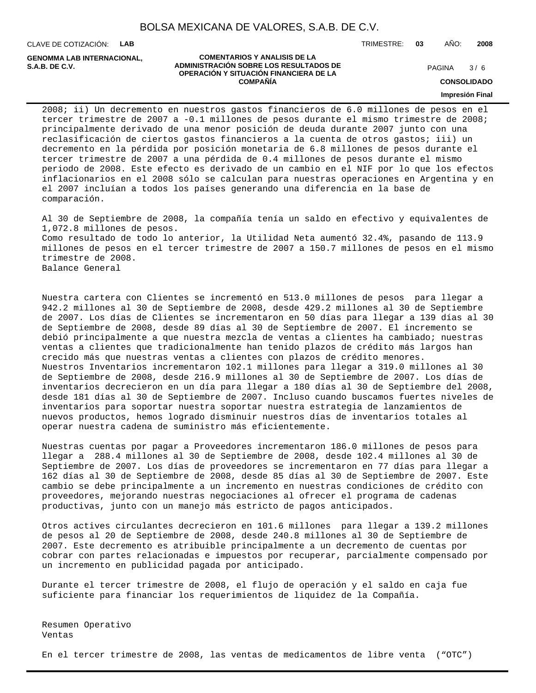CLAVE DE COTIZACIÓN: **LAB**

**GENOMMA LAB INTERNACIONAL,**

#### **COMENTARIOS Y ANALISIS DE LA ADMINISTRACIÓN SOBRE LOS RESULTADOS DE PAGINA 29/6** PAGINA 29/6 **OPERACIÓN Y SITUACIÓN FINANCIERA DE LA COMPAÑÍA**

 $3/6$ 

TRIMESTRE: **03** AÑO: **2008**

**CONSOLIDADO**

**Impresión Final**

2008; ii) Un decremento en nuestros gastos financieros de 6.0 millones de pesos en el tercer trimestre de 2007 a -0.1 millones de pesos durante el mismo trimestre de 2008; principalmente derivado de una menor posición de deuda durante 2007 junto con una reclasificación de ciertos gastos financieros a la cuenta de otros gastos; iii) un decremento en la pérdida por posición monetaria de 6.8 millones de pesos durante el tercer trimestre de 2007 a una pérdida de 0.4 millones de pesos durante el mismo periodo de 2008. Este efecto es derivado de un cambio en el NIF por lo que los efectos inflacionarios en el 2008 sólo se calculan para nuestras operaciones en Argentina y en el 2007 incluían a todos los países generando una diferencia en la base de comparación.

Al 30 de Septiembre de 2008, la compañía tenía un saldo en efectivo y equivalentes de 1,072.8 millones de pesos. Como resultado de todo lo anterior, la Utilidad Neta aumentó 32.4%, pasando de 113.9 millones de pesos en el tercer trimestre de 2007 a 150.7 millones de pesos en el mismo trimestre de 2008. Balance General

Nuestra cartera con Clientes se incrementó en 513.0 millones de pesos para llegar a 942.2 millones al 30 de Septiembre de 2008, desde 429.2 millones al 30 de Septiembre de 2007. Los días de Clientes se incrementaron en 50 días para llegar a 139 días al 30 de Septiembre de 2008, desde 89 días al 30 de Septiembre de 2007. El incremento se debió principalmente a que nuestra mezcla de ventas a clientes ha cambiado; nuestras ventas a clientes que tradicionalmente han tenido plazos de crédito más largos han crecido más que nuestras ventas a clientes con plazos de crédito menores. Nuestros Inventarios incrementaron 102.1 millones para llegar a 319.0 millones al 30 de Septiembre de 2008, desde 216.9 millones al 30 de Septiembre de 2007. Los días de inventarios decrecieron en un día para llegar a 180 días al 30 de Septiembre del 2008, desde 181 días al 30 de Septiembre de 2007. Incluso cuando buscamos fuertes niveles de inventarios para soportar nuestra soportar nuestra estrategia de lanzamientos de nuevos productos, hemos logrado disminuir nuestros días de inventarios totales al operar nuestra cadena de suministro más eficientemente.

Nuestras cuentas por pagar a Proveedores incrementaron 186.0 millones de pesos para llegar a 288.4 millones al 30 de Septiembre de 2008, desde 102.4 millones al 30 de Septiembre de 2007. Los días de proveedores se incrementaron en 77 días para llegar a 162 días al 30 de Septiembre de 2008, desde 85 días al 30 de Septiembre de 2007. Este cambio se debe principalmente a un incremento en nuestras condiciones de crédito con proveedores, mejorando nuestras negociaciones al ofrecer el programa de cadenas productivas, junto con un manejo más estricto de pagos anticipados.

Otros actives circulantes decrecieron en 101.6 millones para llegar a 139.2 millones de pesos al 20 de Septiembre de 2008, desde 240.8 millones al 30 de Septiembre de 2007. Este decremento es atribuible principalmente a un decremento de cuentas por cobrar con partes relacionadas e impuestos por recuperar, parcialmente compensado por un incremento en publicidad pagada por anticipado.

Durante el tercer trimestre de 2008, el flujo de operación y el saldo en caja fue suficiente para financiar los requerimientos de liquidez de la Compañía.

Resumen Operativo Ventas

En el tercer trimestre de 2008, las ventas de medicamentos de libre venta ("OTC")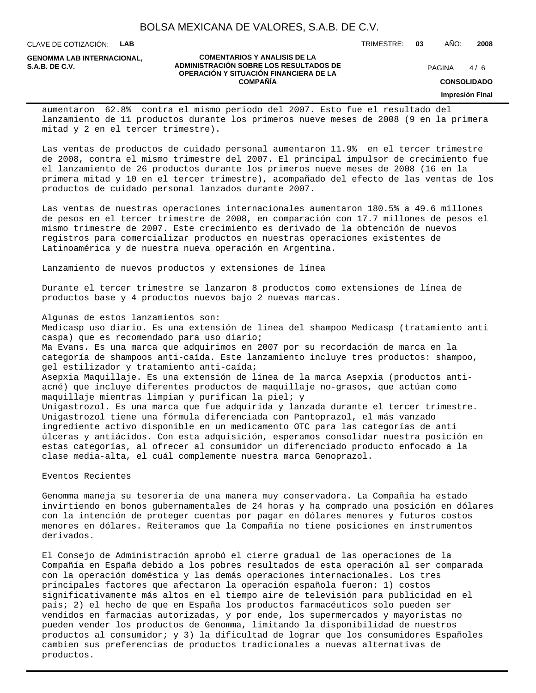CLAVE DE COTIZACIÓN: **LAB**

**GENOMMA LAB INTERNACIONAL,**

#### **COMENTARIOS Y ANALISIS DE LA ADMINISTRACIÓN SOBRE LOS RESULTADOS DE PAGINA 1/6 OPERACIÓN Y SITUACIÓN FINANCIERA DE LA COMPAÑÍA**

 $4/6$ 

TRIMESTRE: **03** AÑO: **2008**

**CONSOLIDADO**

**Impresión Final**

aumentaron 62.8% contra el mismo periodo del 2007. Esto fue el resultado del lanzamiento de 11 productos durante los primeros nueve meses de 2008 (9 en la primera mitad y 2 en el tercer trimestre).

Las ventas de productos de cuidado personal aumentaron 11.9% en el tercer trimestre de 2008, contra el mismo trimestre del 2007. El principal impulsor de crecimiento fue el lanzamiento de 26 productos durante los primeros nueve meses de 2008 (16 en la primera mitad y 10 en el tercer trimestre), acompañado del efecto de las ventas de los productos de cuidado personal lanzados durante 2007.

Las ventas de nuestras operaciones internacionales aumentaron 180.5% a 49.6 millones de pesos en el tercer trimestre de 2008, en comparación con 17.7 millones de pesos el mismo trimestre de 2007. Este crecimiento es derivado de la obtención de nuevos registros para comercializar productos en nuestras operaciones existentes de Latinoamérica y de nuestra nueva operación en Argentina.

Lanzamiento de nuevos productos y extensiones de línea

Durante el tercer trimestre se lanzaron 8 productos como extensiones de línea de productos base y 4 productos nuevos bajo 2 nuevas marcas.

Algunas de estos lanzamientos son:

 Medicasp uso diario. Es una extensión de línea del shampoo Medicasp (tratamiento anti caspa) que es recomendado para uso diario;

 Ma Evans. Es una marca que adquirimos en 2007 por su recordación de marca en la categoría de shampoos anti-caída. Este lanzamiento incluye tres productos: shampoo, gel estilizador y tratamiento anti-caída;

 Asepxia Maquillaje. Es una extensión de línea de la marca Asepxia (productos antiacné) que incluye diferentes productos de maquillaje no-grasos, que actúan como maquillaje mientras limpian y purifican la piel; y

 Unigastrozol. Es una marca que fue adquirida y lanzada durante el tercer trimestre. Unigastrozol tiene una fórmula diferenciada con Pantoprazol, el más vanzado ingrediente activo disponible en un medicamento OTC para las categorías de anti úlceras y antiácidos. Con esta adquisición, esperamos consolidar nuestra posición en estas categorías, al ofrecer al consumidor un diferenciado producto enfocado a la clase media-alta, el cuál complemente nuestra marca Genoprazol.

Eventos Recientes

 Genomma maneja su tesorería de una manera muy conservadora. La Compañía ha estado invirtiendo en bonos gubernamentales de 24 horas y ha comprado una posición en dólares con la intención de proteger cuentas por pagar en dólares menores y futuros costos menores en dólares. Reiteramos que la Compañía no tiene posiciones en instrumentos derivados.

 El Consejo de Administración aprobó el cierre gradual de las operaciones de la Compañía en España debido a los pobres resultados de esta operación al ser comparada con la operación doméstica y las demás operaciones internacionales. Los tres principales factores que afectaron la operación española fueron: 1) costos significativamente más altos en el tiempo aire de televisión para publicidad en el país; 2) el hecho de que en España los productos farmacéuticos solo pueden ser vendidos en farmacias autorizadas, y por ende, los supermercados y mayoristas no pueden vender los productos de Genomma, limitando la disponibilidad de nuestros productos al consumidor; y 3) la dificultad de lograr que los consumidores Españoles cambien sus preferencias de productos tradicionales a nuevas alternativas de productos.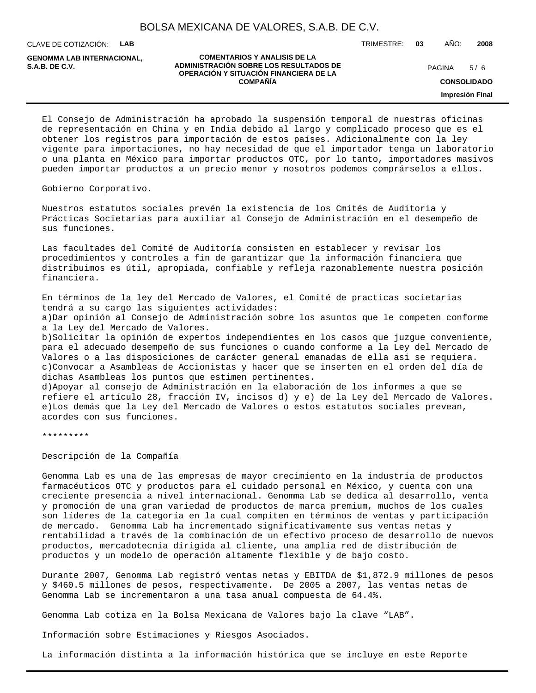CLAVE DE COTIZACIÓN: **LAB**

**GENOMMA LAB INTERNACIONAL,**

#### **COMENTARIOS Y ANALISIS DE LA ADMINISTRACIÓN SOBRE LOS RESULTADOS DE S.A.B. DE C.V.** PAGINA / 6 **OPERACIÓN Y SITUACIÓN FINANCIERA DE LA COMPAÑÍA**

TRIMESTRE: **03** AÑO: **2008**

 $5/6$ 

**CONSOLIDADO**

**Impresión Final**

 El Consejo de Administración ha aprobado la suspensión temporal de nuestras oficinas de representación en China y en India debido al largo y complicado proceso que es el obtener los registros para importación de estos países. Adicionalmente con la ley vigente para importaciones, no hay necesidad de que el importador tenga un laboratorio o una planta en México para importar productos OTC, por lo tanto, importadores masivos pueden importar productos a un precio menor y nosotros podemos comprárselos a ellos.

Gobierno Corporativo.

Nuestros estatutos sociales prevén la existencia de los Cmités de Auditoria y Prácticas Societarias para auxiliar al Consejo de Administración en el desempeño de sus funciones.

Las facultades del Comité de Auditoría consisten en establecer y revisar los procedimientos y controles a fin de garantizar que la información financiera que distribuimos es útil, apropiada, confiable y refleja razonablemente nuestra posición financiera.

En términos de la ley del Mercado de Valores, el Comité de practicas societarias tendrá a su cargo las siguientes actividades:

a) Dar opinión al Consejo de Administración sobre los asuntos que le competen conforme a la Ley del Mercado de Valores.

b) Solicitar la opinión de expertos independientes en los casos que juzgue conveniente, para el adecuado desempeño de sus funciones o cuando conforme a la Ley del Mercado de Valores o a las disposiciones de carácter general emanadas de ella asi se requiera. c) Convocar a Asambleas de Accionistas y hacer que se inserten en el orden del día de dichas Asambleas los puntos que estimen pertinentes.

d) Apoyar al consejo de Administración en la elaboración de los informes a que se refiere el artículo 28, fracción IV, incisos d) y e) de la Ley del Mercado de Valores. e) Los demás que la Ley del Mercado de Valores o estos estatutos sociales prevean, acordes con sus funciones.

\*\*\*\*\*\*\*\*\*

Descripción de la Compañía

Genomma Lab es una de las empresas de mayor crecimiento en la industria de productos farmacéuticos OTC y productos para el cuidado personal en México, y cuenta con una creciente presencia a nivel internacional. Genomma Lab se dedica al desarrollo, venta y promoción de una gran variedad de productos de marca premium, muchos de los cuales son líderes de la categoría en la cual compiten en términos de ventas y participación de mercado. Genomma Lab ha incrementado significativamente sus ventas netas y rentabilidad a través de la combinación de un efectivo proceso de desarrollo de nuevos productos, mercadotecnia dirigida al cliente, una amplia red de distribución de productos y un modelo de operación altamente flexible y de bajo costo.

Durante 2007, Genomma Lab registró ventas netas y EBITDA de \$1,872.9 millones de pesos y \$460.5 millones de pesos, respectivamente. De 2005 a 2007, las ventas netas de Genomma Lab se incrementaron a una tasa anual compuesta de 64.4%.

Genomma Lab cotiza en la Bolsa Mexicana de Valores bajo la clave "LAB".

Información sobre Estimaciones y Riesgos Asociados.

La información distinta a la información histórica que se incluye en este Reporte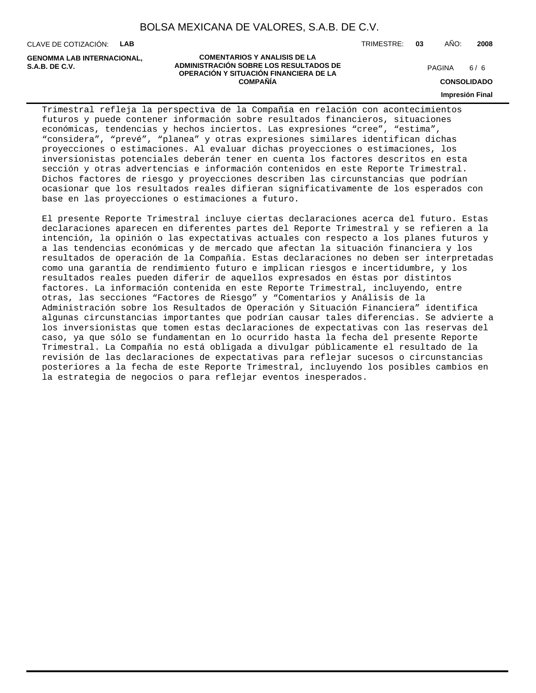CLAVE DE COTIZACIÓN: **LAB**

**GENOMMA LAB INTERNACIONAL,**

**COMENTARIOS Y ANALISIS DE LA ADMINISTRACIÓN SOBRE LOS RESULTADOS DE S.A.B. DE C.V.** PAGINA / 6 **OPERACIÓN Y SITUACIÓN FINANCIERA DE LA COMPAÑÍA**

 $6/6$ 

**CONSOLIDADO**

**Impresión Final**

Trimestral refleja la perspectiva de la Compañía en relación con acontecimientos futuros y puede contener información sobre resultados financieros, situaciones económicas, tendencias y hechos inciertos. Las expresiones "cree", "estima", "considera", "prevé", "planea" y otras expresiones similares identifican dichas proyecciones o estimaciones. Al evaluar dichas proyecciones o estimaciones, los inversionistas potenciales deberán tener en cuenta los factores descritos en esta sección y otras advertencias e información contenidos en este Reporte Trimestral. Dichos factores de riesgo y proyecciones describen las circunstancias que podrían ocasionar que los resultados reales difieran significativamente de los esperados con base en las proyecciones o estimaciones a futuro.

El presente Reporte Trimestral incluye ciertas declaraciones acerca del futuro. Estas declaraciones aparecen en diferentes partes del Reporte Trimestral y se refieren a la intención, la opinión o las expectativas actuales con respecto a los planes futuros y a las tendencias económicas y de mercado que afectan la situación financiera y los resultados de operación de la Compañía. Estas declaraciones no deben ser interpretadas como una garantía de rendimiento futuro e implican riesgos e incertidumbre, y los resultados reales pueden diferir de aquellos expresados en éstas por distintos factores. La información contenida en este Reporte Trimestral, incluyendo, entre otras, las secciones "Factores de Riesgo" y "Comentarios y Análisis de la Administración sobre los Resultados de Operación y Situación Financiera" identifica algunas circunstancias importantes que podrían causar tales diferencias. Se advierte a los inversionistas que tomen estas declaraciones de expectativas con las reservas del caso, ya que sólo se fundamentan en lo ocurrido hasta la fecha del presente Reporte Trimestral. La Compañía no está obligada a divulgar públicamente el resultado de la revisión de las declaraciones de expectativas para reflejar sucesos o circunstancias posteriores a la fecha de este Reporte Trimestral, incluyendo los posibles cambios en la estrategia de negocios o para reflejar eventos inesperados.

#### TRIMESTRE: **03** AÑO: **2008**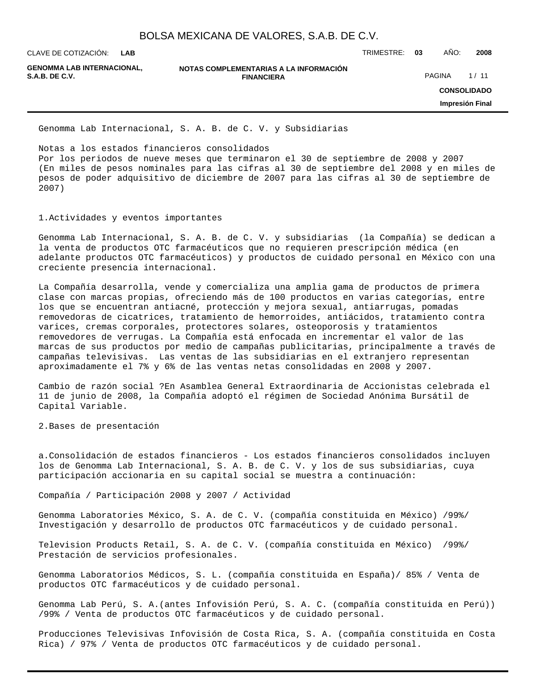**LAB**

**GENOMMA LAB INTERNACIONAL,**

**NOTAS COMPLEMENTARIAS A LA INFORMACIÓN FINANCIERA S.A.B. DE C.V.** PAGINA 2.1 11

CLAVE DE COTIZACIÓN: TRIMESTRE: **03** AÑO: **2008**

**CONSOLIDADO**

**Impresión Final**

Genomma Lab Internacional, S. A. B. de C. V. y Subsidiarias

Notas a los estados financieros consolidados

Por los periodos de nueve meses que terminaron el 30 de septiembre de 2008 y 2007 (En miles de pesos nominales para las cifras al 30 de septiembre del 2008 y en miles de pesos de poder adquisitivo de diciembre de 2007 para las cifras al 30 de septiembre de 2007)

1. Actividades y eventos importantes

Genomma Lab Internacional, S. A. B. de C. V. y subsidiarias (la Compañía) se dedican a la venta de productos OTC farmacéuticos que no requieren prescripción médica (en adelante productos OTC farmacéuticos) y productos de cuidado personal en México con una creciente presencia internacional.

La Compañía desarrolla, vende y comercializa una amplia gama de productos de primera clase con marcas propias, ofreciendo más de 100 productos en varias categorías, entre los que se encuentran antiacné, protección y mejora sexual, antiarrugas, pomadas removedoras de cicatrices, tratamiento de hemorroides, antiácidos, tratamiento contra varices, cremas corporales, protectores solares, osteoporosis y tratamientos removedores de verrugas. La Compañía está enfocada en incrementar el valor de las marcas de sus productos por medio de campañas publicitarias, principalmente a través de campañas televisivas. Las ventas de las subsidiarias en el extranjero representan aproximadamente el 7% y 6% de las ventas netas consolidadas en 2008 y 2007.

Cambio de razón social ?En Asamblea General Extraordinaria de Accionistas celebrada el 11 de junio de 2008, la Compañía adoptó el régimen de Sociedad Anónima Bursátil de Capital Variable.

2. Bases de presentación

a. Consolidación de estados financieros - Los estados financieros consolidados incluyen los de Genomma Lab Internacional, S. A. B. de C. V. y los de sus subsidiarias, cuya participación accionaria en su capital social se muestra a continuación:

Compañía / Participación 2008 y 2007 / Actividad

Genomma Laboratories México, S. A. de C. V. (compañía constituida en México) /99%/ Investigación y desarrollo de productos OTC farmacéuticos y de cuidado personal.

Television Products Retail, S. A. de C. V. (compañía constituida en México) /99%/ Prestación de servicios profesionales.

Genomma Laboratorios Médicos, S. L. (compañía constituida en España)/ 85% / Venta de productos OTC farmacéuticos y de cuidado personal.

Genomma Lab Perú, S. A.(antes Infovisión Perú, S. A. C. (compañía constituida en Perú)) / 99% / Venta de productos OTC farmacéuticos y de cuidado personal.

Producciones Televisivas Infovisión de Costa Rica, S. A. (compañía constituida en Costa Rica) / 97% / Venta de productos OTC farmacéuticos y de cuidado personal.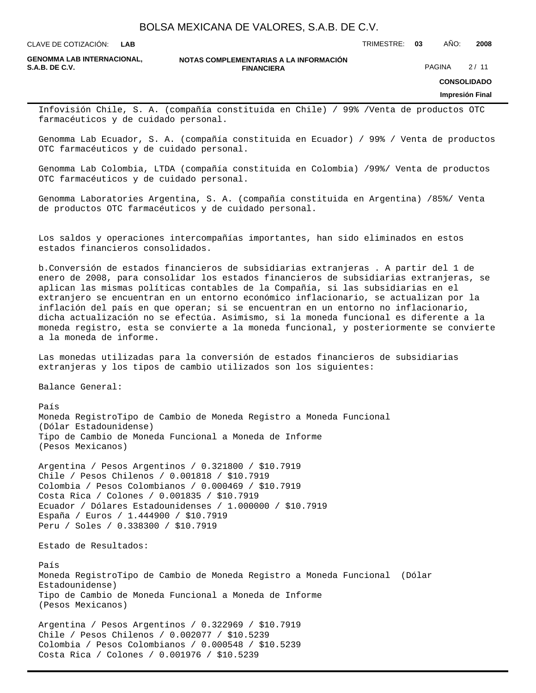**LAB**

CLAVE DE COTIZACIÓN: TRIMESTRE: **03** AÑO: **2008**

**GENOMMA LAB INTERNACIONAL,**

**NOTAS COMPLEMENTARIAS A LA INFORMACIÓN FINANCIERA S.A.B. DE C.V.** PAGINA 2 / 11

**CONSOLIDADO**

**Impresión Final**

Infovisión Chile, S. A. (compañía constituida en Chile) / 99% / Venta de productos OTC farmacéuticos y de cuidado personal.

Genomma Lab Ecuador, S. A. (compañía constituida en Ecuador) / 99% / Venta de productos OTC farmacéuticos y de cuidado personal.

Genomma Lab Colombia, LTDA (compañía constituida en Colombia) /99%/ Venta de productos OTC farmacéuticos y de cuidado personal.

Genomma Laboratories Argentina, S. A. (compañía constituida en Argentina) /85%/ Venta de productos OTC farmacéuticos y de cuidado personal.

Los saldos y operaciones intercompañías importantes, han sido eliminados en estos estados financieros consolidados.

b. Conversión de estados financieros de subsidiarias extranjeras . A partir del 1 de enero de 2008, para consolidar los estados financieros de subsidiarias extranjeras, se aplican las mismas políticas contables de la Compañía, si las subsidiarias en el extranjero se encuentran en un entorno económico inflacionario, se actualizan por la inflación del país en que operan; si se encuentran en un entorno no inflacionario, dicha actualización no se efectúa. Asimismo, si la moneda funcional es diferente a la moneda registro, esta se convierte a la moneda funcional, y posteriormente se convierte a la moneda de informe.

Las monedas utilizadas para la conversión de estados financieros de subsidiarias extranjeras y los tipos de cambio utilizados son los siguientes:

Balance General:

País Moneda Registro Tipo de Cambio de Moneda Registro a Moneda Funcional (Dólar Estadounidense) Tipo de Cambio de Moneda Funcional a Moneda de Informe (Pesos Mexicanos)

Argentina / Pesos Argentinos / 0.321800 / \$10.7919 Chile / Pesos Chilenos / 0.001818 / \$10.7919 Colombia / Pesos Colombianos / 0.000469 / \$10.7919 Costa Rica / Colones / 0.001835 / \$10.7919 Ecuador / Dólares Estadounidenses / 1.000000 / \$10.7919 España / Euros / 1.444900 / \$10.7919 Peru / Soles / 0.338300 / \$10.7919

Estado de Resultados:

País Moneda Registro Tipo de Cambio de Moneda Registro a Moneda Funcional (Dólar Estadounidense) Tipo de Cambio de Moneda Funcional a Moneda de Informe (Pesos Mexicanos)

Argentina / Pesos Argentinos / 0.322969 / \$10.7919 Chile / Pesos Chilenos / 0.002077 / \$10.5239 Colombia / Pesos Colombianos / 0.000548 / \$10.5239 Costa Rica / Colones / 0.001976 / \$10.5239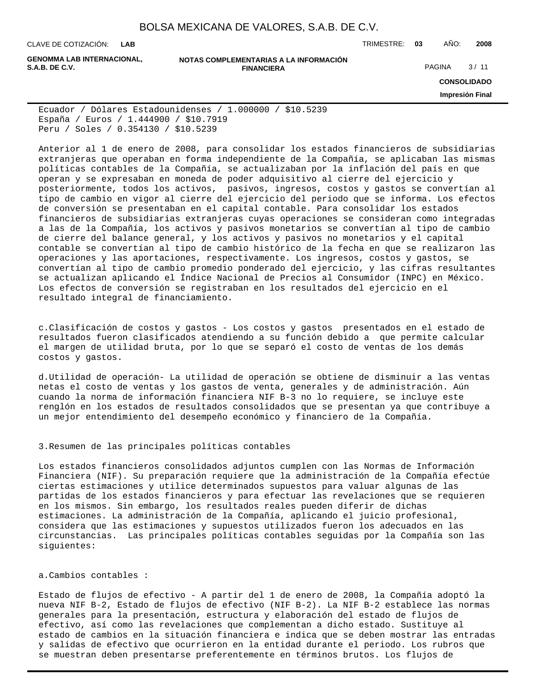**LAB**

CLAVE DE COTIZACIÓN: TRIMESTRE: **03** AÑO: **2008**

**GENOMMA LAB INTERNACIONAL,**

#### **NOTAS COMPLEMENTARIAS A LA INFORMACIÓN FINANCIERA S.A.B. DE C.V.** PAGINA 2 / 11

**CONSOLIDADO Impresión Final**

Ecuador / Dólares Estadounidenses / 1.000000 / \$10.5239 España / Euros / 1.444900 / \$10.7919 Peru / Soles / 0.354130 / \$10.5239

Anterior al 1 de enero de 2008, para consolidar los estados financieros de subsidiarias extranjeras que operaban en forma independiente de la Compañía, se aplicaban las mismas políticas contables de la Compañía, se actualizaban por la inflación del país en que operan y se expresaban en moneda de poder adquisitivo al cierre del ejercicio y posteriormente, todos los activos, pasivos, ingresos, costos y gastos se convertían al tipo de cambio en vigor al cierre del ejercicio del periodo que se informa. Los efectos de conversión se presentaban en el capital contable. Para consolidar los estados financieros de subsidiarias extranjeras cuyas operaciones se consideran como integradas a las de la Compañía, los activos y pasivos monetarios se convertían al tipo de cambio de cierre del balance general, y los activos y pasivos no monetarios y el capital contable se convertían al tipo de cambio histórico de la fecha en que se realizaron las operaciones y las aportaciones, respectivamente. Los ingresos, costos y gastos, se convertían al tipo de cambio promedio ponderado del ejercicio, y las cifras resultantes se actualizan aplicando el Índice Nacional de Precios al Consumidor (INPC) en México. Los efectos de conversión se registraban en los resultados del ejercicio en el resultado integral de financiamiento.

c. Clasificación de costos y gastos - Los costos y gastos presentados en el estado de resultados fueron clasificados atendiendo a su función debido a que permite calcular el margen de utilidad bruta, por lo que se separó el costo de ventas de los demás costos y gastos.

d. Utilidad de operación- La utilidad de operación se obtiene de disminuir a las ventas netas el costo de ventas y los gastos de venta, generales y de administración. Aún cuando la norma de información financiera NIF B-3 no lo requiere, se incluye este renglón en los estados de resultados consolidados que se presentan ya que contribuye a un mejor entendimiento del desempeño económico y financiero de la Compañía.

### 3. Resumen de las principales políticas contables

Los estados financieros consolidados adjuntos cumplen con las Normas de Información Financiera (NIF). Su preparación requiere que la administración de la Compañía efectúe ciertas estimaciones y utilice determinados supuestos para valuar algunas de las partidas de los estados financieros y para efectuar las revelaciones que se requieren en los mismos. Sin embargo, los resultados reales pueden diferir de dichas estimaciones. La administración de la Compañía, aplicando el juicio profesional, considera que las estimaciones y supuestos utilizados fueron los adecuados en las circunstancias. Las principales políticas contables seguidas por la Compañía son las siguientes:

#### a. Cambios contables :

Estado de flujos de efectivo - A partir del 1 de enero de 2008, la Compañía adoptó la nueva NIF B-2, Estado de flujos de efectivo (NIF B-2). La NIF B-2 establece las normas generales para la presentación, estructura y elaboración del estado de flujos de efectivo, así como las revelaciones que complementan a dicho estado. Sustituye al estado de cambios en la situación financiera e indica que se deben mostrar las entradas y salidas de efectivo que ocurrieron en la entidad durante el periodo. Los rubros que se muestran deben presentarse preferentemente en términos brutos. Los flujos de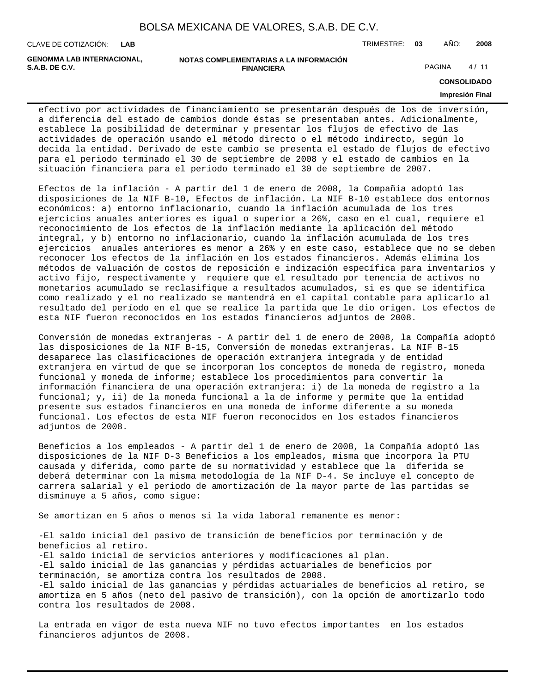CLAVE DE COTIZACIÓN: TRIMESTRE: **03** AÑO: **2008 LAB**

**GENOMMA LAB INTERNACIONAL,**

```
NOTAS COMPLEMENTARIAS A LA INFORMACIÓN
                        FINANCIERA
S.A.B. DE C.V. PAGINA 2 / 11
```
**CONSOLIDADO**

#### **Impresión Final**

efectivo por actividades de financiamiento se presentarán después de los de inversión, a diferencia del estado de cambios donde éstas se presentaban antes. Adicionalmente, establece la posibilidad de determinar y presentar los flujos de efectivo de las actividades de operación usando el método directo o el método indirecto, según lo decida la entidad. Derivado de este cambio se presenta el estado de flujos de efectivo para el periodo terminado el 30 de septiembre de 2008 y el estado de cambios en la situación financiera para el periodo terminado el 30 de septiembre de 2007.

Efectos de la inflación - A partir del 1 de enero de 2008, la Compañía adoptó las disposiciones de la NIF B-10, Efectos de inflación. La NIF B-10 establece dos entornos económicos: a) entorno inflacionario, cuando la inflación acumulada de los tres ejercicios anuales anteriores es igual o superior a 26%, caso en el cual, requiere el reconocimiento de los efectos de la inflación mediante la aplicación del método integral, y b) entorno no inflacionario, cuando la inflación acumulada de los tres ejercicios anuales anteriores es menor a 26% y en este caso, establece que no se deben reconocer los efectos de la inflación en los estados financieros. Además elimina los métodos de valuación de costos de reposición e indización específica para inventarios y activo fijo, respectivamente y requiere que el resultado por tenencia de activos no monetarios acumulado se reclasifique a resultados acumulados, si es que se identifica como realizado y el no realizado se mantendrá en el capital contable para aplicarlo al resultado del período en el que se realice la partida que le dio origen. Los efectos de esta NIF fueron reconocidos en los estados financieros adjuntos de 2008.

Conversión de monedas extranjeras - A partir del 1 de enero de 2008, la Compañía adoptó las disposiciones de la NIF B-15, Conversión de monedas extranjeras. La NIF B-15 desaparece las clasificaciones de operación extranjera integrada y de entidad extranjera en virtud de que se incorporan los conceptos de moneda de registro, moneda funcional y moneda de informe; establece los procedimientos para convertir la información financiera de una operación extranjera: i) de la moneda de registro a la funcional; y, ii) de la moneda funcional a la de informe y permite que la entidad presente sus estados financieros en una moneda de informe diferente a su moneda funcional. Los efectos de esta NIF fueron reconocidos en los estados financieros adjuntos de 2008.

Beneficios a los empleados - A partir del 1 de enero de 2008, la Compañía adoptó las disposiciones de la NIF D-3 Beneficios a los empleados, misma que incorpora la PTU causada y diferida, como parte de su normatividad y establece que la diferida se deberá determinar con la misma metodología de la NIF D-4. Se incluye el concepto de carrera salarial y el periodo de amortización de la mayor parte de las partidas se disminuye a 5 años, como sigue:

Se amortizan en 5 años o menos si la vida laboral remanente es menor:

- El saldo inicial del pasivo de transición de beneficios por terminación y de beneficios al retiro. - El saldo inicial de servicios anteriores y modificaciones al plan. - El saldo inicial de las ganancias y pérdidas actuariales de beneficios por terminación, se amortiza contra los resultados de 2008. - El saldo inicial de las ganancias y pérdidas actuariales de beneficios al retiro, se amortiza en 5 años (neto del pasivo de transición), con la opción de amortizarlo todo contra los resultados de 2008.

La entrada en vigor de esta nueva NIF no tuvo efectos importantes en los estados financieros adjuntos de 2008.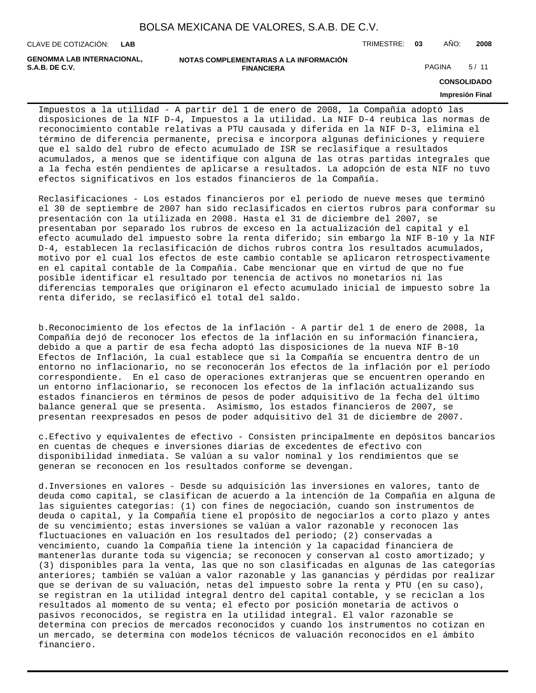CLAVE DE COTIZACIÓN: TRIMESTRE: **03** AÑO: **2008 LAB**

**GENOMMA LAB INTERNACIONAL,**

**NOTAS COMPLEMENTARIAS A LA INFORMACIÓN FINANCIERA S.A.B. DE C.V.** PAGINA 5/11

**CONSOLIDADO**

#### **Impresión Final**

Impuestos a la utilidad - A partir del 1 de enero de 2008, la Compañía adoptó las disposiciones de la NIF D-4, Impuestos a la utilidad. La NIF D-4 reubica las normas de reconocimiento contable relativas a PTU causada y diferida en la NIF D-3, elimina el término de diferencia permanente, precisa e incorpora algunas definiciones y requiere que el saldo del rubro de efecto acumulado de ISR se reclasifique a resultados acumulados, a menos que se identifique con alguna de las otras partidas integrales que a la fecha estén pendientes de aplicarse a resultados. La adopción de esta NIF no tuvo efectos significativos en los estados financieros de la Compañía.

Reclasificaciones - Los estados financieros por el periodo de nueve meses que terminó el 30 de septiembre de 2007 han sido reclasificados en ciertos rubros para conformar su presentación con la utilizada en 2008. Hasta el 31 de diciembre del 2007, se presentaban por separado los rubros de exceso en la actualización del capital y el efecto acumulado del impuesto sobre la renta diferido; sin embargo la NIF B-10 y la NIF D-4, establecen la reclasificación de dichos rubros contra los resultados acumulados, motivo por el cual los efectos de este cambio contable se aplicaron retrospectivamente en el capital contable de la Compañía. Cabe mencionar que en virtud de que no fue posible identificar el resultado por tenencia de activos no monetarios ni las diferencias temporales que originaron el efecto acumulado inicial de impuesto sobre la renta diferido, se reclasificó el total del saldo.

b. Reconocimiento de los efectos de la inflación - A partir del 1 de enero de 2008, la Compañía dejó de reconocer los efectos de la inflación en su información financiera, debido a que a partir de esa fecha adoptó las disposiciones de la nueva NIF B-10 Efectos de Inflación, la cual establece que si la Compañía se encuentra dentro de un entorno no inflacionario, no se reconocerán los efectos de la inflación por el período correspondiente. En el caso de operaciones extranjeras que se encuentren operando en un entorno inflacionario, se reconocen los efectos de la inflación actualizando sus estados financieros en términos de pesos de poder adquisitivo de la fecha del último balance general que se presenta. Asimismo, los estados financieros de 2007, se presentan reexpresados en pesos de poder adquisitivo del 31 de diciembre de 2007.

c. Efectivo y equivalentes de efectivo - Consisten principalmente en depósitos bancarios en cuentas de cheques e inversiones diarias de excedentes de efectivo con disponibilidad inmediata. Se valúan a su valor nominal y los rendimientos que se generan se reconocen en los resultados conforme se devengan.

d. Inversiones en valores - Desde su adquisición las inversiones en valores, tanto de deuda como capital, se clasifican de acuerdo a la intención de la Compañía en alguna de las siguientes categorías: (1) con fines de negociación, cuando son instrumentos de deuda o capital, y la Compañía tiene el propósito de negociarlos a corto plazo y antes de su vencimiento; estas inversiones se valúan a valor razonable y reconocen las fluctuaciones en valuación en los resultados del periodo; (2) conservadas a vencimiento, cuando la Compañía tiene la intención y la capacidad financiera de mantenerlas durante toda su vigencia; se reconocen y conservan al costo amortizado; y (3) disponibles para la venta, las que no son clasificadas en algunas de las categorías anteriores; también se valúan a valor razonable y las ganancias y pérdidas por realizar que se derivan de su valuación, netas del impuesto sobre la renta y PTU (en su caso), se registran en la utilidad integral dentro del capital contable, y se reciclan a los resultados al momento de su venta; el efecto por posición monetaria de activos o pasivos reconocidos, se registra en la utilidad integral. El valor razonable se determina con precios de mercados reconocidos y cuando los instrumentos no cotizan en un mercado, se determina con modelos técnicos de valuación reconocidos en el ámbito financiero.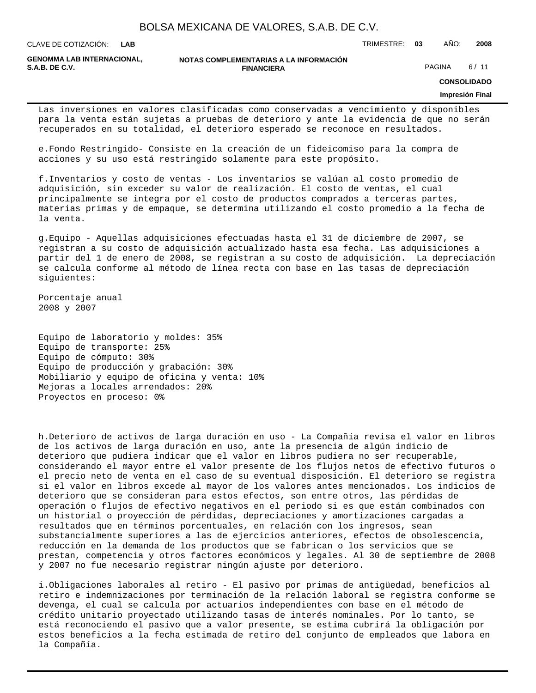**LAB**

CLAVE DE COTIZACIÓN: TRIMESTRE: **03** AÑO: **2008**

**GENOMMA LAB INTERNACIONAL,**

**NOTAS COMPLEMENTARIAS A LA INFORMACIÓN FINANCIERA S.A.B. DE C.V.** PAGINA 6/11

**CONSOLIDADO**

#### **Impresión Final**

Las inversiones en valores clasificadas como conservadas a vencimiento y disponibles para la venta están sujetas a pruebas de deterioro y ante la evidencia de que no serán recuperados en su totalidad, el deterioro esperado se reconoce en resultados.

e. Fondo Restringido- Consiste en la creación de un fideicomiso para la compra de acciones y su uso está restringido solamente para este propósito.

f. Inventarios y costo de ventas - Los inventarios se valúan al costo promedio de adquisición, sin exceder su valor de realización. El costo de ventas, el cual principalmente se integra por el costo de productos comprados a terceras partes, materias primas y de empaque, se determina utilizando el costo promedio a la fecha de la venta.

g. Equipo - Aquellas adquisiciones efectuadas hasta el 31 de diciembre de 2007, se registran a su costo de adquisición actualizado hasta esa fecha. Las adquisiciones a partir del 1 de enero de 2008, se registran a su costo de adquisición. La depreciación se calcula conforme al método de línea recta con base en las tasas de depreciación siguientes:

Porcentaje anual 2008 y 2007

Equipo de laboratorio y moldes: 35% Equipo de transporte: 25% Equipo de cómputo: 30% Equipo de producción y grabación: 30% Mobiliario y equipo de oficina y venta: 10% Mejoras a locales arrendados: 20% Proyectos en proceso: 0%

h. Deterioro de activos de larga duración en uso - La Compañía revisa el valor en libros de los activos de larga duración en uso, ante la presencia de algún indicio de deterioro que pudiera indicar que el valor en libros pudiera no ser recuperable, considerando el mayor entre el valor presente de los flujos netos de efectivo futuros o el precio neto de venta en el caso de su eventual disposición. El deterioro se registra si el valor en libros excede al mayor de los valores antes mencionados. Los indicios de deterioro que se consideran para estos efectos, son entre otros, las pérdidas de operación o flujos de efectivo negativos en el periodo si es que están combinados con un historial o proyección de pérdidas, depreciaciones y amortizaciones cargadas a resultados que en términos porcentuales, en relación con los ingresos, sean substancialmente superiores a las de ejercicios anteriores, efectos de obsolescencia, reducción en la demanda de los productos que se fabrican o los servicios que se prestan, competencia y otros factores económicos y legales. Al 30 de septiembre de 2008 y 2007 no fue necesario registrar ningún ajuste por deterioro.

i. Obligaciones laborales al retiro - El pasivo por primas de antigüedad, beneficios al retiro e indemnizaciones por terminación de la relación laboral se registra conforme se devenga, el cual se calcula por actuarios independientes con base en el método de crédito unitario proyectado utilizando tasas de interés nominales. Por lo tanto, se está reconociendo el pasivo que a valor presente, se estima cubrirá la obligación por estos beneficios a la fecha estimada de retiro del conjunto de empleados que labora en la Compañía.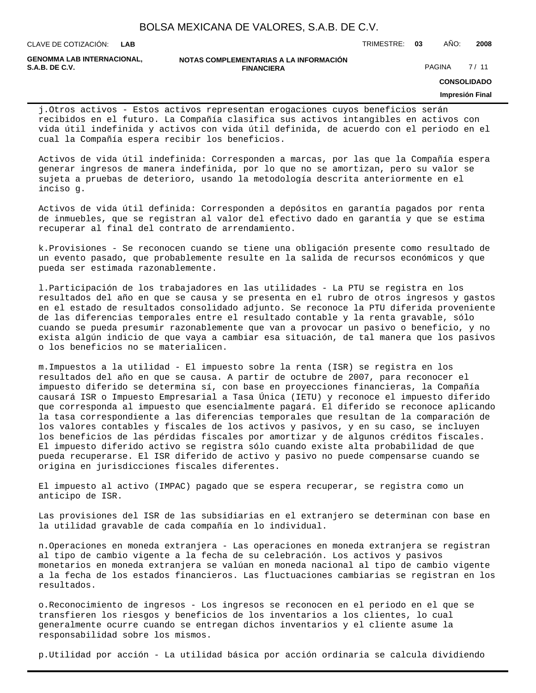**LAB**

CLAVE DE COTIZACIÓN: TRIMESTRE: **03** AÑO: **2008**

**GENOMMA LAB INTERNACIONAL,**

#### **NOTAS COMPLEMENTARIAS A LA INFORMACIÓN FINANCIERA S.A.B. DE C.V.** PAGINA 27 / 11

**CONSOLIDADO**

### **Impresión Final**

j. Otros activos - Estos activos representan erogaciones cuyos beneficios serán recibidos en el futuro. La Compañía clasifica sus activos intangibles en activos con vida útil indefinida y activos con vida útil definida, de acuerdo con el periodo en el cual la Compañía espera recibir los beneficios.

Activos de vida útil indefinida: Corresponden a marcas, por las que la Compañía espera generar ingresos de manera indefinida, por lo que no se amortizan, pero su valor se sujeta a pruebas de deterioro, usando la metodología descrita anteriormente en el inciso g.

Activos de vida útil definida: Corresponden a depósitos en garantía pagados por renta de inmuebles, que se registran al valor del efectivo dado en garantía y que se estima recuperar al final del contrato de arrendamiento.

k. Provisiones - Se reconocen cuando se tiene una obligación presente como resultado de un evento pasado, que probablemente resulte en la salida de recursos económicos y que pueda ser estimada razonablemente.

l. Participación de los trabajadores en las utilidades - La PTU se registra en los resultados del año en que se causa y se presenta en el rubro de otros ingresos y gastos en el estado de resultados consolidado adjunto. Se reconoce la PTU diferida proveniente de las diferencias temporales entre el resultado contable y la renta gravable, sólo cuando se pueda presumir razonablemente que van a provocar un pasivo o beneficio, y no exista algún indicio de que vaya a cambiar esa situación, de tal manera que los pasivos o los beneficios no se materialicen.

m. Impuestos a la utilidad - El impuesto sobre la renta (ISR) se registra en los resultados del año en que se causa. A partir de octubre de 2007, para reconocer el impuesto diferido se determina sí, con base en proyecciones financieras, la Compañía causará ISR o Impuesto Empresarial a Tasa Única (IETU) y reconoce el impuesto diferido que corresponda al impuesto que esencialmente pagará. El diferido se reconoce aplicando la tasa correspondiente a las diferencias temporales que resultan de la comparación de los valores contables y fiscales de los activos y pasivos, y en su caso, se incluyen los beneficios de las pérdidas fiscales por amortizar y de algunos créditos fiscales. El impuesto diferido activo se registra sólo cuando existe alta probabilidad de que pueda recuperarse. El ISR diferido de activo y pasivo no puede compensarse cuando se origina en jurisdicciones fiscales diferentes.

El impuesto al activo (IMPAC) pagado que se espera recuperar, se registra como un anticipo de ISR.

Las provisiones del ISR de las subsidiarias en el extranjero se determinan con base en la utilidad gravable de cada compañía en lo individual.

n. Operaciones en moneda extranjera - Las operaciones en moneda extranjera se registran al tipo de cambio vigente a la fecha de su celebración. Los activos y pasivos monetarios en moneda extranjera se valúan en moneda nacional al tipo de cambio vigente a la fecha de los estados financieros. Las fluctuaciones cambiarias se registran en los resultados.

o. Reconocimiento de ingresos - Los ingresos se reconocen en el periodo en el que se transfieren los riesgos y beneficios de los inventarios a los clientes, lo cual generalmente ocurre cuando se entregan dichos inventarios y el cliente asume la responsabilidad sobre los mismos.

p. Utilidad por acción - La utilidad básica por acción ordinaria se calcula dividiendo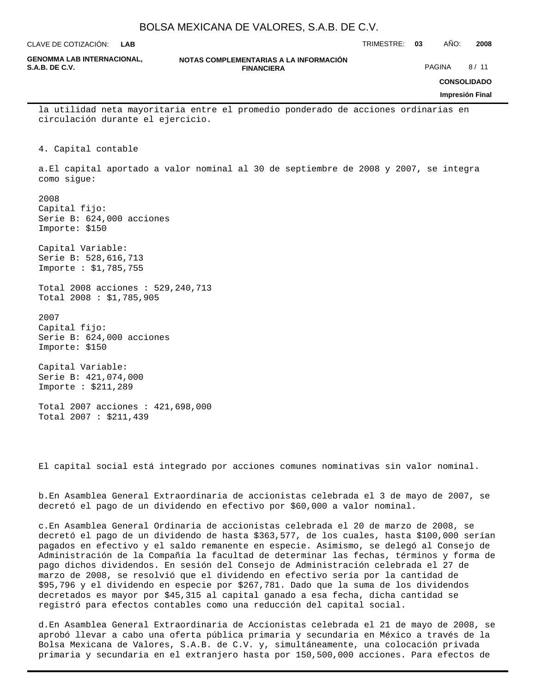**LAB**

CLAVE DE COTIZACIÓN: TRIMESTRE: **03** AÑO: **2008**

| <b>GENOMMA LAB INTERNACIONAL,</b><br><b>S.A.B. DE C.V.</b>               | NOTAS COMPLEMENTARIAS A LA INFORMACIÓN<br><b>FINANCIERA</b>                           | PAGINA<br>8/11         |
|--------------------------------------------------------------------------|---------------------------------------------------------------------------------------|------------------------|
|                                                                          |                                                                                       | <b>CONSOLIDADO</b>     |
|                                                                          |                                                                                       | <b>Impresión Final</b> |
| circulación durante el ejercicio.                                        | la utilidad neta mayoritaria entre el promedio ponderado de acciones ordinarias en    |                        |
| Capital contable<br>4.                                                   |                                                                                       |                        |
| como sigue:                                                              | a. El capital aportado a valor nominal al 30 de septiembre de 2008 y 2007, se integra |                        |
| 2008<br>Capital fijo:<br>Serie B $: 624,000$ acciones<br>Importe : \$150 |                                                                                       |                        |
| Capital Variable:<br>Serie B : 528, 616, 713<br>Importe : \$1,785,755    |                                                                                       |                        |
| Total 2008 acciones : 529, 240, 713<br>Total 2008 : \$1,785,905          |                                                                                       |                        |
| 2007<br>Capital fijo:<br>Serie B : $624,000$ acciones<br>Importe : \$150 |                                                                                       |                        |
| Capital Variable:<br>Serie B: 421,074,000<br>Importe : \$211,289         |                                                                                       |                        |
| Total 2007 acciones : 421,698,000<br>Total 2007 : \$211,439              |                                                                                       |                        |

El capital social está integrado por acciones comunes nominativas sin valor nominal.

b. En Asamblea General Extraordinaria de accionistas celebrada el 3 de mayo de 2007, se decretó el pago de un dividendo en efectivo por \$60,000 a valor nominal.

c. En Asamblea General Ordinaria de accionistas celebrada el 20 de marzo de 2008, se decretó el pago de un dividendo de hasta \$363,577, de los cuales, hasta \$100,000 serían pagados en efectivo y el saldo remanente en especie. Asimismo, se delegó al Consejo de Administración de la Compañía la facultad de determinar las fechas, términos y forma de pago dichos dividendos. En sesión del Consejo de Administración celebrada el 27 de marzo de 2008, se resolvió que el dividendo en efectivo sería por la cantidad de \$95,796 y el dividendo en especie por \$267,781. Dado que la suma de los dividendos decretados es mayor por \$45,315 al capital ganado a esa fecha, dicha cantidad se registró para efectos contables como una reducción del capital social.

d. En Asamblea General Extraordinaria de Accionistas celebrada el 21 de mayo de 2008, se aprobó llevar a cabo una oferta pública primaria y secundaria en México a través de la Bolsa Mexicana de Valores, S.A.B. de C.V. y, simultáneamente, una colocación privada primaria y secundaria en el extranjero hasta por 150,500,000 acciones. Para efectos de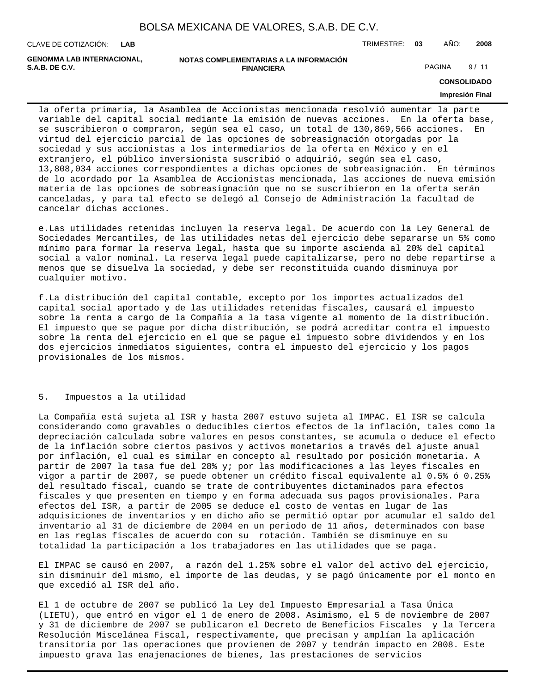**LAB**

CLAVE DE COTIZACIÓN: TRIMESTRE: **03** AÑO: **2008**

**GENOMMA LAB INTERNACIONAL,**

**NOTAS COMPLEMENTARIAS A LA INFORMACIÓN FINANCIERA S.A.B. DE C.V.** PAGINA 9/11

**CONSOLIDADO**

### **Impresión Final**

la oferta primaria, la Asamblea de Accionistas mencionada resolvió aumentar la parte variable del capital social mediante la emisión de nuevas acciones. En la oferta base, se suscribieron o compraron, según sea el caso, un total de 130,869,566 acciones. En virtud del ejercicio parcial de las opciones de sobreasignación otorgadas por la sociedad y sus accionistas a los intermediarios de la oferta en México y en el extranjero, el público inversionista suscribió o adquirió, según sea el caso, 13,808,034 acciones correspondientes a dichas opciones de sobreasignación. En términos de lo acordado por la Asamblea de Accionistas mencionada, las acciones de nueva emisión materia de las opciones de sobreasignación que no se suscribieron en la oferta serán canceladas, y para tal efecto se delegó al Consejo de Administración la facultad de cancelar dichas acciones.

e. Las utilidades retenidas incluyen la reserva legal. De acuerdo con la Ley General de Sociedades Mercantiles, de las utilidades netas del ejercicio debe separarse un 5% como mínimo para formar la reserva legal, hasta que su importe ascienda al 20% del capital social a valor nominal. La reserva legal puede capitalizarse, pero no debe repartirse a menos que se disuelva la sociedad, y debe ser reconstituida cuando disminuya por cualquier motivo.

f. La distribución del capital contable, excepto por los importes actualizados del capital social aportado y de las utilidades retenidas fiscales, causará el impuesto sobre la renta a cargo de la Compañía a la tasa vigente al momento de la distribución. El impuesto que se pague por dicha distribución, se podrá acreditar contra el impuesto sobre la renta del ejercicio en el que se pague el impuesto sobre dividendos y en los dos ejercicios inmediatos siguientes, contra el impuesto del ejercicio y los pagos provisionales de los mismos.

#### 5. Impuestos a la utilidad

La Compañía está sujeta al ISR y hasta 2007 estuvo sujeta al IMPAC. El ISR se calcula considerando como gravables o deducibles ciertos efectos de la inflación, tales como la depreciación calculada sobre valores en pesos constantes, se acumula o deduce el efecto de la inflación sobre ciertos pasivos y activos monetarios a través del ajuste anual por inflación, el cual es similar en concepto al resultado por posición monetaria. A partir de 2007 la tasa fue del 28% y; por las modificaciones a las leyes fiscales en vigor a partir de 2007, se puede obtener un crédito fiscal equivalente al 0.5% ó 0.25% del resultado fiscal, cuando se trate de contribuyentes dictaminados para efectos fiscales y que presenten en tiempo y en forma adecuada sus pagos provisionales. Para efectos del ISR, a partir de 2005 se deduce el costo de ventas en lugar de las adquisiciones de inventarios y en dicho año se permitió optar por acumular el saldo del inventario al 31 de diciembre de 2004 en un periodo de 11 años, determinados con base en las reglas fiscales de acuerdo con su rotación. También se disminuye en su totalidad la participación a los trabajadores en las utilidades que se paga.

El IMPAC se causó en 2007, a razón del 1.25% sobre el valor del activo del ejercicio, sin disminuir del mismo, el importe de las deudas, y se pagó únicamente por el monto en que excedió al ISR del año.

El 1 de octubre de 2007 se publicó la Ley del Impuesto Empresarial a Tasa Única (LIETU), que entró en vigor el 1 de enero de 2008. Asimismo, el 5 de noviembre de 2007 y 31 de diciembre de 2007 se publicaron el Decreto de Beneficios Fiscales y la Tercera Resolución Miscelánea Fiscal, respectivamente, que precisan y amplían la aplicación transitoria por las operaciones que provienen de 2007 y tendrán impacto en 2008. Este impuesto grava las enajenaciones de bienes, las prestaciones de servicios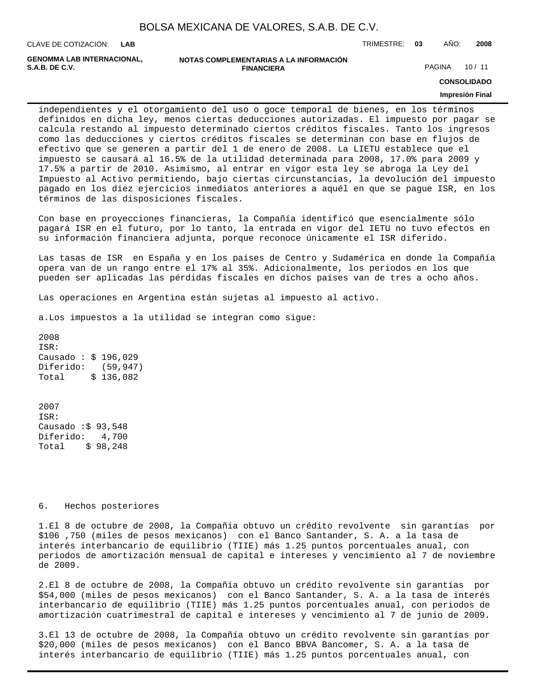| BOLSA MEXICANA DE VALORES, S.A.B. DE C.V. |  |  |  |  |  |
|-------------------------------------------|--|--|--|--|--|
|-------------------------------------------|--|--|--|--|--|

CLAVE DE COTIZACIÓN: TRIMESTRE: **03** AÑO: **2008 LAB**

**GENOMMA LAB INTERNACIONAL,**

#### **NOTAS COMPLEMENTARIAS A LA INFORMACIÓN FINANCIERA S.A.B. DE C.V.** PAGINA 10 / 11

**CONSOLIDADO**

#### **Impresión Final**

independientes y el otorgamiento del uso o goce temporal de bienes, en los términos definidos en dicha ley, menos ciertas deducciones autorizadas. El impuesto por pagar se calcula restando al impuesto determinado ciertos créditos fiscales. Tanto los ingresos como las deducciones y ciertos créditos fiscales se determinan con base en flujos de efectivo que se generen a partir del 1 de enero de 2008. La LIETU establece que el impuesto se causará al 16.5% de la utilidad determinada para 2008, 17.0% para 2009 y 17.5% a partir de 2010. Asimismo, al entrar en vigor esta ley se abroga la Ley del Impuesto al Activo permitiendo, bajo ciertas circunstancias, la devolución del impuesto pagado en los diez ejercicios inmediatos anteriores a aquél en que se pague ISR, en los términos de las disposiciones fiscales.

Con base en proyecciones financieras, la Compañía identificó que esencialmente sólo pagará ISR en el futuro, por lo tanto, la entrada en vigor del IETU no tuvo efectos en su información financiera adjunta, porque reconoce únicamente el ISR diferido.

Las tasas de ISR en España y en los países de Centro y Sudamérica en donde la Compañía opera van de un rango entre el 17% al 35%. Adicionalmente, los periodos en los que pueden ser aplicadas las pérdidas fiscales en dichos países van de tres a ocho años.

Las operaciones en Argentina están sujetas al impuesto al activo.

a. Los impuestos a la utilidad se integran como sigue:

2008 ISR: Causado : \$ 196,029 Diferido: (59,947) Total  $$ 136,082$ 

2007 ISR: Causado  $: $93,548$ Diferido: 4,700 Total \$ 98,248

#### 6. Hechos posteriores

1. El 8 de octubre de 2008, la Compañía obtuvo un crédito revolvente sin garantías por \$106 ,750 (miles de pesos mexicanos) con el Banco Santander, S. A. a la tasa de interés interbancario de equilibrio (TIIE) más 1.25 puntos porcentuales anual, con periodos de amortización mensual de capital e intereses y vencimiento al 7 de noviembre de 2009.

2. El 8 de octubre de 2008, la Compañía obtuvo un crédito revolvente sin garantías por \$54,000 (miles de pesos mexicanos) con el Banco Santander, S. A. a la tasa de interés interbancario de equilibrio (TIIE) más 1.25 puntos porcentuales anual, con periodos de amortización cuatrimestral de capital e intereses y vencimiento al 7 de junio de 2009.

3. El 13 de octubre de 2008, la Compañía obtuvo un crédito revolvente sin garantías por \$20,000 (miles de pesos mexicanos) con el Banco BBVA Bancomer, S. A. a la tasa de interés interbancario de equilibrio (TIIE) más 1.25 puntos porcentuales anual, con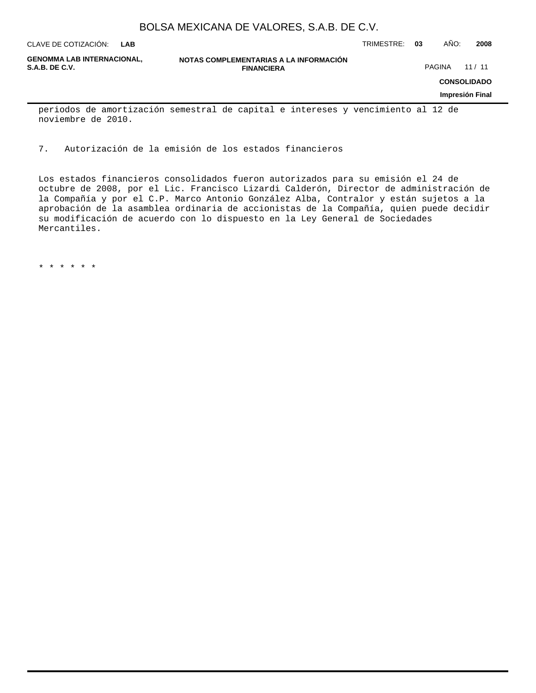**LAB**

CLAVE DE COTIZACIÓN: TRIMESTRE: **03** AÑO: **2008**

**GENOMMA LAB INTERNACIONAL,**

**NOTAS COMPLEMENTARIAS A LA INFORMACIÓN FINANCIERA S.A.B. DE C.V.** PAGINA 21 / 11

**CONSOLIDADO**

#### **Impresión Final**

periodos de amortización semestral de capital e intereses y vencimiento al 12 de noviembre de 2010.

7. Autorización de la emisión de los estados financieros

Los estados financieros consolidados fueron autorizados para su emisión el 24 de octubre de 2008, por el Lic. Francisco Lizardi Calderón, Director de administración de la Compañía y por el C.P. Marco Antonio González Alba, Contralor y están sujetos a la aprobación de la asamblea ordinaria de accionistas de la Compañía, quien puede decidir su modificación de acuerdo con lo dispuesto en la Ley General de Sociedades Mercantiles.

\* \* \* \* \* \*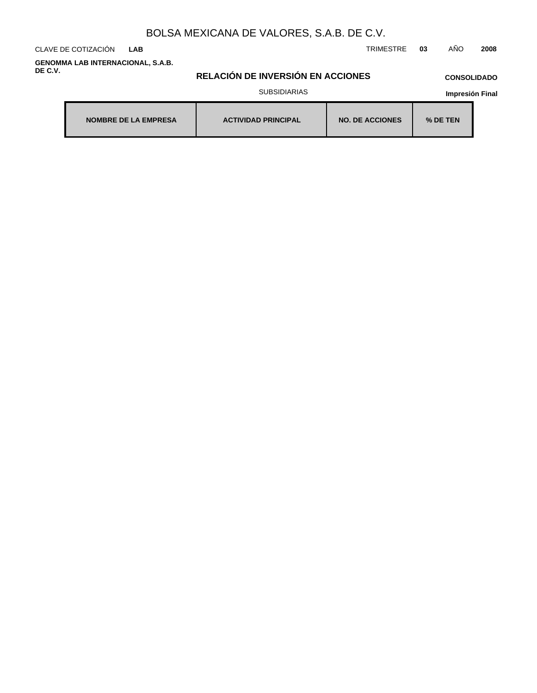CLAVE DE COTIZACIÓN TRIMESTRE **03** AÑO **2008 LAB**

**GENOMMA LAB INTERNACIONAL, S.A.B. DE C.V.**

### **RELACIÓN DE INVERSIÓN EN ACCIONES**

# **CONSOLIDADO**

SUBSIDIARIAS

| <b>NOMBRE DE LA EMPRESA</b> | <b>ACTIVIDAD PRINCIPAL</b> | <b>NO. DE ACCIONES</b> | % DE TEN |
|-----------------------------|----------------------------|------------------------|----------|
|-----------------------------|----------------------------|------------------------|----------|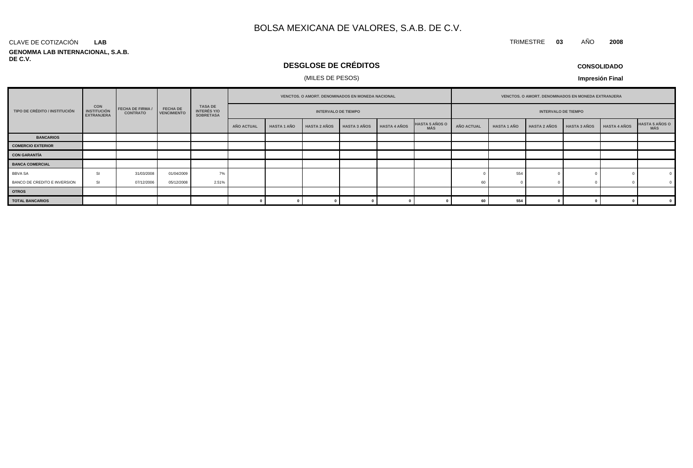#### CLAVE DE COTIZACIÓN **LAB**

**GENOMMA LAB INTERNACIONAL, S.A.B. DE C.V.**

# **DESGLOSE DE CRÉDITOS**

### (MILES DE PESOS)

**CONSOLIDADO**

TRIMESTRE **03** AÑO **2008**

|                               |                                                       | <b>FECHA DE FIRMA /</b><br><b>CONTRATO</b> |                                       |                                                          |                   |                    |                            |                     |                     |                                     |            |                    |                            |                     |              |                              |  |  |  |  |  |  |  |  |  |  |  |  |  |  | <b>VENCTOS, O AMORT, DENOMINADOS EN MONEDA NACIONAL</b> |  |  |  | VENCTOS. O AMORT. DENOMINADOS EN MONEDA EXTRANJERA |  |  |  |
|-------------------------------|-------------------------------------------------------|--------------------------------------------|---------------------------------------|----------------------------------------------------------|-------------------|--------------------|----------------------------|---------------------|---------------------|-------------------------------------|------------|--------------------|----------------------------|---------------------|--------------|------------------------------|--|--|--|--|--|--|--|--|--|--|--|--|--|--|---------------------------------------------------------|--|--|--|----------------------------------------------------|--|--|--|
| TIPO DE CRÉDITO / INSTITUCIÓN | <b>CON</b><br><b>INSTITUCIÓN</b><br><b>EXTRANJERA</b> |                                            | <b>FECHA DE</b><br><b>VENCIMIENTO</b> | <b>TASA DE</b><br><b>INTERÉS Y/O</b><br><b>SOBRETASA</b> |                   |                    | <b>INTERVALO DE TIEMPO</b> |                     |                     |                                     |            |                    | <b>INTERVALO DE TIEMPO</b> |                     |              |                              |  |  |  |  |  |  |  |  |  |  |  |  |  |  |                                                         |  |  |  |                                                    |  |  |  |
|                               |                                                       |                                            |                                       |                                                          | <b>AÑO ACTUAL</b> | <b>HASTA 1 AÑO</b> | <b>HASTA 2 AÑOS</b>        | <b>HASTA 3 AÑOS</b> | <b>HASTA 4 AÑOS</b> | <b>HASTA 5 AÑOS O</b><br><b>MÁS</b> | AÑO ACTUAL | <b>HASTA 1 AÑO</b> | <b>HASTA 2 AÑOS</b>        | <b>HASTA 3 AÑOS</b> | HASTA 4 AÑOS | <b>HASTA 5 AÑOS O</b><br>MÁS |  |  |  |  |  |  |  |  |  |  |  |  |  |  |                                                         |  |  |  |                                                    |  |  |  |
| <b>BANCARIOS</b>              |                                                       |                                            |                                       |                                                          |                   |                    |                            |                     |                     |                                     |            |                    |                            |                     |              |                              |  |  |  |  |  |  |  |  |  |  |  |  |  |  |                                                         |  |  |  |                                                    |  |  |  |
| <b>COMERCIO EXTERIOR</b>      |                                                       |                                            |                                       |                                                          |                   |                    |                            |                     |                     |                                     |            |                    |                            |                     |              |                              |  |  |  |  |  |  |  |  |  |  |  |  |  |  |                                                         |  |  |  |                                                    |  |  |  |
| CON GARANTÍA                  |                                                       |                                            |                                       |                                                          |                   |                    |                            |                     |                     |                                     |            |                    |                            |                     |              |                              |  |  |  |  |  |  |  |  |  |  |  |  |  |  |                                                         |  |  |  |                                                    |  |  |  |
| <b>BANCA COMERCIAL</b>        |                                                       |                                            |                                       |                                                          |                   |                    |                            |                     |                     |                                     |            |                    |                            |                     |              |                              |  |  |  |  |  |  |  |  |  |  |  |  |  |  |                                                         |  |  |  |                                                    |  |  |  |
| BBVA SA                       | -51                                                   | 31/03/2008                                 | 01/04/2009                            | 7%                                                       |                   |                    |                            |                     |                     |                                     |            | 554                |                            |                     |              |                              |  |  |  |  |  |  |  |  |  |  |  |  |  |  |                                                         |  |  |  |                                                    |  |  |  |
| BANCO DE CREDITO E INVERSION  | <b>SI</b>                                             | 07/12/2006                                 | 05/12/2008                            | 2.51%                                                    |                   |                    |                            |                     |                     |                                     | 60         |                    |                            |                     |              |                              |  |  |  |  |  |  |  |  |  |  |  |  |  |  |                                                         |  |  |  |                                                    |  |  |  |
| <b>OTROS</b>                  |                                                       |                                            |                                       |                                                          |                   |                    |                            |                     |                     |                                     |            |                    |                            |                     |              |                              |  |  |  |  |  |  |  |  |  |  |  |  |  |  |                                                         |  |  |  |                                                    |  |  |  |
| <b>TOTAL BANCARIOS</b>        |                                                       |                                            |                                       |                                                          |                   |                    |                            |                     |                     |                                     |            | 554                |                            |                     |              |                              |  |  |  |  |  |  |  |  |  |  |  |  |  |  |                                                         |  |  |  |                                                    |  |  |  |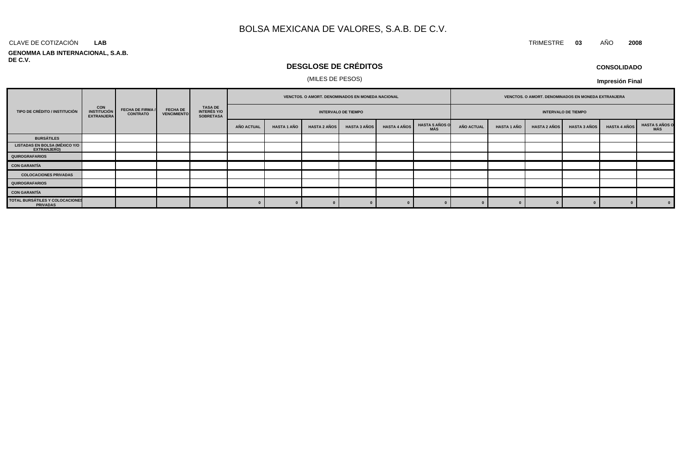### **LAB**

#### **GENOMMA LAB INTERNACIONAL, S.A.B. DE C.V.**

## **DESGLOSE DE CRÉDITOS**

### (MILES DE PESOS)

#### TIPO DE CRÉDITO / INSTITUCIÓN **INSTITUCIÓN ESCULTO DE CONTRATO DE CONTRATO DE CONTRATO DE CONTRATO DE L'ENCIMIENT VENCIMIENTO TASA DE INTERÉS Y/O SOBRETASA AÑO ACTUAL HASTA 1 AÑO HASTA 2 AÑOS HASTA 3 AÑOS HASTA 4 AÑOS HASTA 5 AÑOS O MÁS AÑO ACTUAL HASTA 1 AÑO HASTA 2 AÑOS HASTA 3 AÑOS HASTA 4 AÑOS HASTA 5 AÑOS O INTERVALO DE TIEMPO VENCTOS. O AMORT. DENOMINADOS EN MONEDA EXTRANJERA INTERVALO DE TIEMPO VENCTOS. O AMORT. DENOMINADOS EN MONEDA NACIONAL CON INSTITUCIÓN EXTRANJERA FECHA DE FIRMA / CONTRATO QUIROGRAFARIOS LISTADAS EN BOLSA (MÉXICO Y/O EXTRANJERO) BURSÁTILES CON GARANTÍA QUIROGRAFARIOS COLOCACIONES PRIVADAS CON GARANTÍA TOTAL BURSÁTILES Y COLOCACIONES PRIVADAS <sup>0</sup> <sup>0</sup> <sup>0</sup> <sup>0</sup> <sup>0</sup> <sup>0</sup> <sup>0</sup> <sup>0</sup> <sup>0</sup> <sup>0</sup> <sup>0</sup> <sup>0</sup>**

#### **CONSOLIDADO**

**Impresión Final**

**MÁS**

CLAVE DE COTIZACIÓN TRIMESTRE **03** AÑO **2008**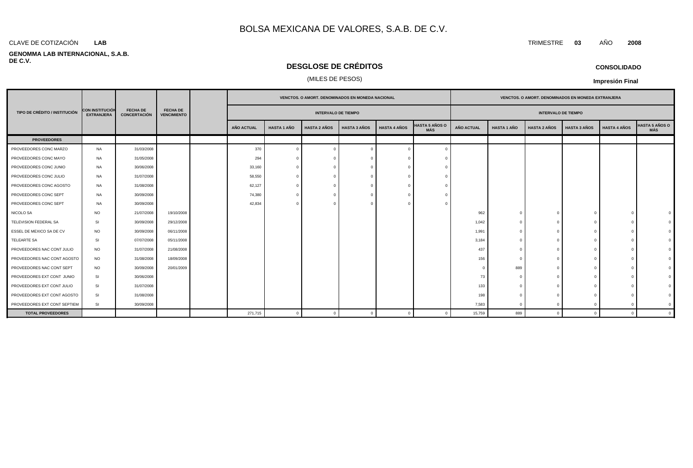#### CLAVE DE COTIZACIÓN TRIMESTRE **03** AÑO **2008 LAB**

#### **GENOMMA LAB INTERNACIONAL, S.A.B. DE C.V.**

## **DESGLOSE DE CRÉDITOS**

### (MILES DE PESOS)

| <b>CONSOLIDADO</b> |
|--------------------|
|--------------------|

**Impresión Final**

|                               |                                      |                                        |                                       | VENCTOS. O AMORT. DENOMINADOS EN MONEDA NACIONAL |                            |                     |                     | VENCTOS. O AMORT. DENOMINADOS EN MONEDA EXTRANJERA |                       |                            |                    |                     |                     |                     |                              |
|-------------------------------|--------------------------------------|----------------------------------------|---------------------------------------|--------------------------------------------------|----------------------------|---------------------|---------------------|----------------------------------------------------|-----------------------|----------------------------|--------------------|---------------------|---------------------|---------------------|------------------------------|
| TIPO DE CRÉDITO / INSTITUCIÓN | CON INSTITUCIÓN<br><b>EXTRANJERA</b> | <b>FECHA DE</b><br><b>CONCERTACIÓN</b> | <b>FECHA DE</b><br><b>VENCIMIENTO</b> |                                                  | <b>INTERVALO DE TIEMPO</b> |                     |                     |                                                    |                       | <b>INTERVALO DE TIEMPO</b> |                    |                     |                     |                     |                              |
|                               |                                      |                                        |                                       | <b>AÑO ACTUAL</b>                                | <b>HASTA 1 AÑO</b>         | <b>HASTA 2 AÑOS</b> | <b>HASTA 3 AÑOS</b> | <b>HASTA 4 AÑOS</b>                                | HASTA 5 AÑOS O<br>MÁS | AÑO ACTUAL                 | <b>HASTA 1 AÑO</b> | <b>HASTA 2 AÑOS</b> | <b>HASTA 3 AÑOS</b> | <b>HASTA 4 AÑOS</b> | <b>HASTA 5 AÑOS O</b><br>MÁS |
| <b>PROVEEDORES</b>            |                                      |                                        |                                       |                                                  |                            |                     |                     |                                                    |                       |                            |                    |                     |                     |                     |                              |
| PROVEEDORES CONC MARZO        | NA                                   | 31/03/2008                             |                                       | 370                                              | $\Omega$                   |                     |                     |                                                    |                       |                            |                    |                     |                     |                     |                              |
| PROVEEDORES CONC MAYO         | NA.                                  | 31/05/2008                             |                                       | 294                                              | $\Omega$                   |                     |                     |                                                    |                       |                            |                    |                     |                     |                     |                              |
| PROVEEDORES CONC JUNIO        | NA.                                  | 30/06/2008                             |                                       | 33,160                                           | $\Omega$                   |                     |                     |                                                    |                       |                            |                    |                     |                     |                     |                              |
| PROVEEDORES CONC JULIO        | NA.                                  | 31/07/2008                             |                                       | 58,550                                           | $\Omega$                   |                     |                     |                                                    |                       |                            |                    |                     |                     |                     |                              |
| PROVEEDORES CONC AGOSTO       | NA.                                  | 31/08/2008                             |                                       | 62,127                                           | $\Omega$                   |                     |                     |                                                    |                       |                            |                    |                     |                     |                     |                              |
| PROVEEDORES CONC SEPT         | NA.                                  | 30/09/2008                             |                                       | 74,380                                           | $\Omega$                   |                     |                     |                                                    |                       |                            |                    |                     |                     |                     |                              |
| PROVEEDORES CONC SEPT         | NA.                                  | 30/09/2008                             |                                       | 42,834                                           | $\Omega$                   |                     |                     |                                                    |                       |                            |                    |                     |                     |                     |                              |
| NICOLO SA                     | <b>NO</b>                            | 21/07/2008                             | 19/10/2008                            |                                                  |                            |                     |                     |                                                    |                       | 962                        |                    |                     |                     |                     |                              |
| TELEVISION FEDERAL SA         | <b>SI</b>                            | 30/09/2008                             | 29/12/2008                            |                                                  |                            |                     |                     |                                                    |                       | 1,042                      |                    |                     |                     |                     |                              |
| ESSEL DE MEXICO SA DE CV      | NO.                                  | 30/09/2008                             | 06/11/2008                            |                                                  |                            |                     |                     |                                                    |                       | 1,991                      |                    |                     |                     |                     |                              |
| <b>TELEARTE SA</b>            | <b>SI</b>                            | 07/07/2008                             | 05/11/2008                            |                                                  |                            |                     |                     |                                                    |                       | 3,184                      |                    |                     |                     |                     |                              |
| PROVEEDORES NAC CONT JULIO    | <b>NO</b>                            | 31/07/2008                             | 21/08/2008                            |                                                  |                            |                     |                     |                                                    |                       | 437                        |                    |                     |                     |                     |                              |
| PROVEEDORES NAC CONT AGOSTO   | <b>NO</b>                            | 31/08/2008                             | 18/09/2008                            |                                                  |                            |                     |                     |                                                    |                       | 156                        |                    |                     |                     |                     |                              |
| PROVEEDORES NAC CONT SEPT     | <b>NO</b>                            | 30/09/2008                             | 20/01/2009                            |                                                  |                            |                     |                     |                                                    |                       |                            | 889                |                     |                     |                     |                              |
| PROVEEDORES EXT CONT JUNIO    | SI                                   | 30/06/2008                             |                                       |                                                  |                            |                     |                     |                                                    |                       | 73                         |                    |                     |                     |                     |                              |
| PROVEEDORES EXT CONT JULIO    | SI                                   | 31/07/2008                             |                                       |                                                  |                            |                     |                     |                                                    |                       | 133                        |                    |                     |                     |                     |                              |
| PROVEEDORES EXT CONT AGOSTO   | SI                                   | 31/08/2008                             |                                       |                                                  |                            |                     |                     |                                                    |                       | 198                        |                    |                     |                     |                     |                              |
| PROVEEDORES EXT CONT SEPTIEM  | <b>SI</b>                            | 30/09/2008                             |                                       |                                                  |                            |                     |                     |                                                    |                       | 7,583                      | $\Omega$           | $\Omega$            | $\Omega$            | $\sqrt{2}$          |                              |
| <b>TOTAL PROVEEDORES</b>      |                                      |                                        |                                       | 271,715                                          | $\mathbf{0}$               | $\Omega$            |                     |                                                    |                       | 15,759                     | 889                |                     |                     | $\mathfrak{g}$      | $\Omega$                     |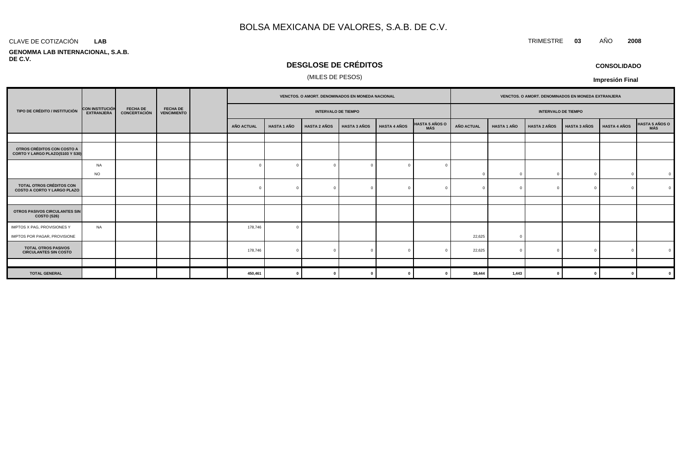#### CLAVE DE COTIZACIÓN TRIMESTRE **03** AÑO **2008 LAB**

#### **GENOMMA LAB INTERNACIONAL, S.A.B. DE C.V.**

# **DESGLOSE DE CRÉDITOS**

### (MILES DE PESOS)

**CONSOLIDADO Impresión Final**

|                                                                |                                             |                                        | VENCTOS. O AMORT. DENOMINADOS EN MONEDA NACIONAL |                   |                    |                            | VENCTOS. O AMORT. DENOMINADOS EN MONEDA EXTRANJERA |                     |                |                   |                    |                            |                     |                     |                |
|----------------------------------------------------------------|---------------------------------------------|----------------------------------------|--------------------------------------------------|-------------------|--------------------|----------------------------|----------------------------------------------------|---------------------|----------------|-------------------|--------------------|----------------------------|---------------------|---------------------|----------------|
| TIPO DE CRÉDITO / INSTITUCIÓN                                  | <b>CON INSTITUCIÓN</b><br><b>EXTRANJERA</b> | <b>FECHA DE</b><br><b>CONCERTACIÓN</b> | <b>FECHA DE</b><br><b>VENCIMIENTO</b>            |                   |                    | <b>INTERVALO DE TIEMPO</b> |                                                    |                     |                |                   |                    | <b>INTERVALO DE TIEMPO</b> |                     |                     |                |
|                                                                |                                             |                                        |                                                  | <b>AÑO ACTUAL</b> | <b>HASTA 1 AÑO</b> | <b>HASTA 2 AÑOS</b>        | <b>HASTA 3 AÑOS</b>                                | <b>HASTA 4 AÑOS</b> | HASTA 5 AÑOS O | <b>AÑO ACTUAL</b> | <b>HASTA 1 AÑO</b> | <b>HASTA 2 AÑOS</b>        | <b>HASTA 3 AÑOS</b> | <b>HASTA 4 AÑOS</b> | HASTA 5 AÑOS O |
|                                                                |                                             |                                        |                                                  |                   |                    |                            |                                                    |                     |                |                   |                    |                            |                     |                     |                |
| OTROS CRÉDITOS CON COSTO A<br>CORTO Y LARGO PLAZO(S103 Y S30)  |                                             |                                        |                                                  |                   |                    |                            |                                                    |                     |                |                   |                    |                            |                     |                     |                |
|                                                                | NA                                          |                                        |                                                  | $\Omega$          |                    | $\mathbf{0}$               | $\Omega$                                           |                     |                |                   |                    |                            |                     |                     |                |
|                                                                | <b>NO</b>                                   |                                        |                                                  |                   |                    |                            |                                                    |                     |                |                   | $\Omega$           |                            |                     |                     | $\Omega$       |
| TOTAL OTROS CRÉDITOS CON<br><b>COSTO A CORTO Y LARGO PLAZO</b> |                                             |                                        |                                                  | $\Omega$          |                    | $\Omega$                   |                                                    |                     |                |                   | $\Omega$           |                            |                     |                     | $\Omega$       |
|                                                                |                                             |                                        |                                                  |                   |                    |                            |                                                    |                     |                |                   |                    |                            |                     |                     |                |
| OTROS PASIVOS CIRCULANTES SIN<br><b>COSTO (S26)</b>            |                                             |                                        |                                                  |                   |                    |                            |                                                    |                     |                |                   |                    |                            |                     |                     |                |
| IMPTOS X PAG, PROVISIONES Y                                    | NA                                          |                                        |                                                  | 178,746           |                    |                            |                                                    |                     |                |                   |                    |                            |                     |                     |                |
| IMPTOS POR PAGAR, PROVISIONE                                   |                                             |                                        |                                                  |                   |                    |                            |                                                    |                     |                | 22,625            | $\Omega$           |                            |                     |                     |                |
| <b>TOTAL OTROS PASIVOS</b><br><b>CIRCULANTES SIN COSTO</b>     |                                             |                                        |                                                  | 178,746           |                    | $\Omega$                   |                                                    |                     |                | 22,625            | $\Omega$           |                            |                     |                     |                |
|                                                                |                                             |                                        |                                                  |                   |                    |                            |                                                    |                     |                |                   |                    |                            |                     |                     |                |
| <b>TOTAL GENERAL</b>                                           |                                             |                                        |                                                  | 450,461           |                    | $\mathbf{0}$               |                                                    |                     |                | 38,444            | 1,443              |                            |                     |                     |                |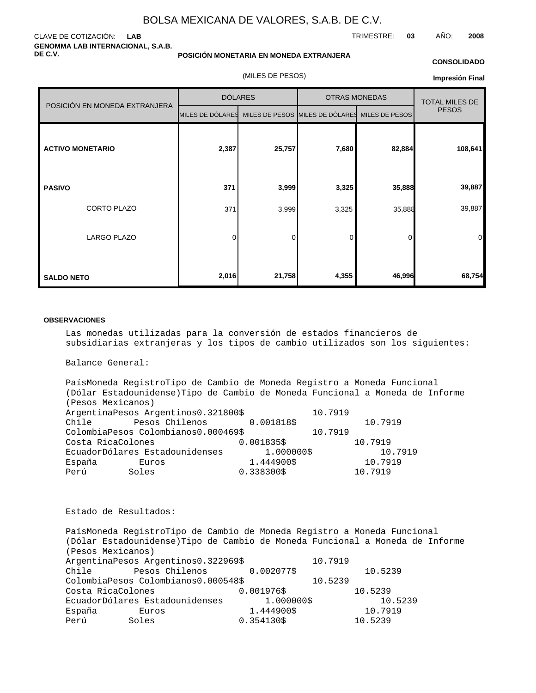### CLAVE DE COTIZACIÓN: **LAB GENOMMA LAB INTERNACIONAL, S.A.B. DE C.V.**

### **POSICIÓN MONETARIA EN MONEDA EXTRANJERA**

### **CONSOLIDADO**

TRIMESTRE: **03** AÑO: **2008**

(MILES DE PESOS)

### **Impresión Final**

|                               |                                                                 | <b>DÓLARES</b> | <b>OTRAS MONEDAS</b> | <b>TOTAL MILES DE</b> |                |
|-------------------------------|-----------------------------------------------------------------|----------------|----------------------|-----------------------|----------------|
| POSICIÓN EN MONEDA EXTRANJERA | MILES DE DÓLARES MILES DE PESOS MILES DE DÓLARES MILES DE PESOS |                |                      |                       | <b>PESOS</b>   |
| <b>ACTIVO MONETARIO</b>       | 2,387                                                           | 25,757         | 7,680                | 82,884                | 108,641        |
| <b>PASIVO</b>                 | 371                                                             | 3,999          | 3,325                | 35,888                | 39,887         |
| CORTO PLAZO                   | 371                                                             | 3,999          | 3,325                | 35,888                | 39,887         |
| <b>LARGO PLAZO</b>            | 0                                                               | 0              | 0                    | 0                     | $\overline{0}$ |
| <b>SALDO NETO</b>             | 2,016                                                           | 21,758         | 4,355                | 46,996                | 68,754         |

### **OBSERVACIONES**

Las monedas utilizadas para la conversión de estados financieros de subsidiarias extranjeras y los tipos de cambio utilizados son los siguientes:

Balance General:

País Moneda Registro Tipo de Cambio de Moneda Registro a Moneda Funcional (Dólar Estadounidense) Tipo de Cambio de Moneda Funcional a Moneda de Informe (Pesos Mexicanos) Argentina Pesos Argentinos 0.321800 \$ 10.7919 Chile Pesos Chilenos 0.001818 \$ 10.7919 Colombia Pesos Colombianos 0.000469  $\frac{10.7919}{0.001835}$  10.7919 Costa Rica Colones 10.001835 \$ 10.7919 Ecuador Dólares Estadounidenses 1.000000 \$ 10.7919 España Euros 1.444900 \$ 10.7919 Perú Soles 0.338300 \$ 10.7919

Estado de Resultados:

País Moneda Registro Tipo de Cambio de Moneda Registro a Moneda Funcional (Dólar Estadounidense) Tipo de Cambio de Moneda Funcional a Moneda de Informe (Pesos Mexicanos) Argentina Pesos Argentinos 0.322969 \$ 10.7919 Chile Pesos Chilenos 0.002077 \$ 10.5239 Colombia Pesos Colombianos 0.000548 \$ 10.5239 Costa Rica Colones 0.001976 \$ 10.5239 Ecuador Dólares Estadounidenses 1.000000 \$ 10.5239 España Euros 1.444900 \$ 10.7919 Perú Soles 0.354130 \$ 10.5239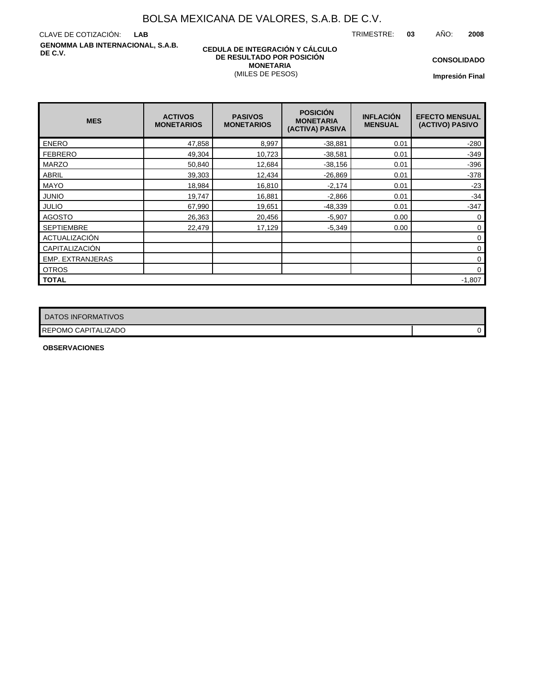TRIMESTRE: **03** AÑO: **2008**

CLAVE DE COTIZACIÓN: **LAB GENOMMA LAB INTERNACIONAL, S.A.B. DE C.V.**

### **CEDULA DE INTEGRACIÓN Y CÁLCULO DE RESULTADO POR POSICIÓN MONETARIA** (MILES DE PESOS)

**CONSOLIDADO**

**Impresión Final**

| <b>MES</b>              | <b>ACTIVOS</b><br><b>MONETARIOS</b> | <b>PASIVOS</b><br><b>MONETARIOS</b> | <b>POSICIÓN</b><br><b>MONETARIA</b><br>(ACTIVA) PASIVA | <b>INFLACIÓN</b><br><b>MENSUAL</b> | <b>EFECTO MENSUAL</b><br>(ACTIVO) PASIVO |
|-------------------------|-------------------------------------|-------------------------------------|--------------------------------------------------------|------------------------------------|------------------------------------------|
| <b>ENERO</b>            | 47,858                              | 8,997                               | $-38,881$                                              | 0.01                               | $-280$                                   |
| <b>FEBRERO</b>          | 49,304                              | 10,723                              | $-38,581$                                              | 0.01                               | $-349$                                   |
| <b>MARZO</b>            | 50,840                              | 12,684                              | $-38,156$                                              | 0.01                               | $-396$                                   |
| <b>ABRIL</b>            | 39,303                              | 12,434                              | $-26,869$                                              | 0.01                               | $-378$                                   |
| <b>MAYO</b>             | 18,984                              | 16,810                              | $-2,174$                                               | 0.01                               | $-23$                                    |
| <b>JUNIO</b>            | 19,747                              | 16,881                              | $-2,866$                                               | 0.01                               | $-34$                                    |
| <b>JULIO</b>            | 67,990                              | 19,651                              | $-48,339$                                              | 0.01                               | $-347$                                   |
| <b>AGOSTO</b>           | 26,363                              | 20,456                              | $-5,907$                                               | 0.00                               | $\mathbf 0$                              |
| <b>SEPTIEMBRE</b>       | 22,479                              | 17,129                              | $-5,349$                                               | 0.00                               | 0                                        |
| ACTUALIZACIÓN           |                                     |                                     |                                                        |                                    | 0                                        |
| CAPITALIZACIÓN          |                                     |                                     |                                                        |                                    | 0                                        |
| <b>EMP. EXTRANJERAS</b> |                                     |                                     |                                                        |                                    | $\mathbf 0$                              |
| <b>OTROS</b>            |                                     |                                     |                                                        |                                    | $\mathbf 0$                              |
| <b>TOTAL</b>            |                                     |                                     |                                                        |                                    | $-1,807$                                 |

| DATOS INFORMATIVOS  |   |
|---------------------|---|
| REPOMO CAPITALIZADO | U |

**OBSERVACIONES**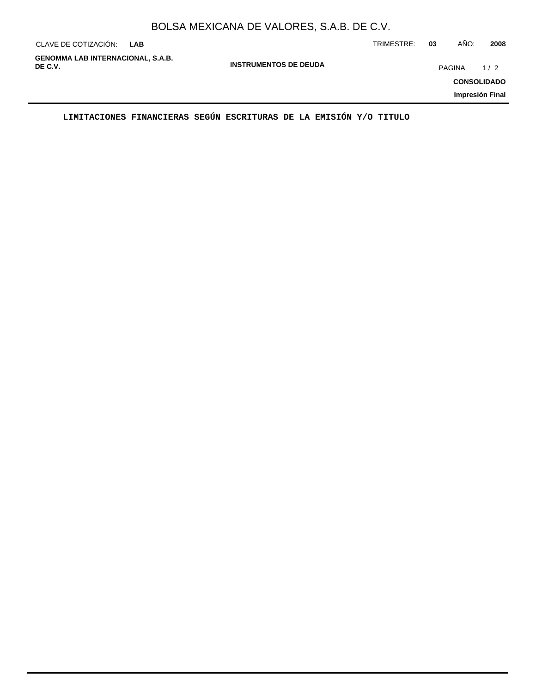|                                  | BOLSA MEXICANA DE VALORES, S.A.B. DE C.V. |               |      |      |
|----------------------------------|-------------------------------------------|---------------|------|------|
| CLAVE DE COTIZACIÓN: L <b>AB</b> |                                           | TRIMESTRE: 03 | AÑO: | 2008 |

**GENOMMA LAB INTERNACIONAL, S.A.B. DE C.V.** PAGINA 1/2

**INSTRUMENTOS DE DEUDA**

**CONSOLIDADO**

**Impresión Final**

**LIMITACIONES FINANCIERAS SEGÚN ESCRITURAS DE LA EMISIÓN Y/O TITULO**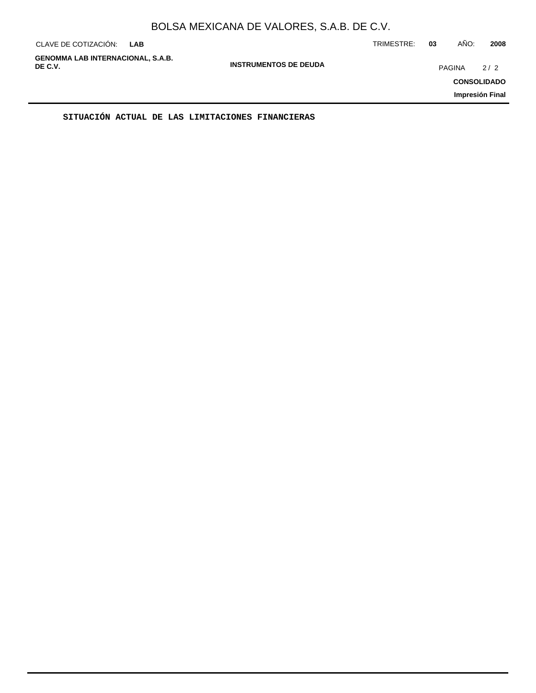| CLAVE DE COTIZACIÓN:                                | <b>LAB</b> |                              | TRIMESTRE: | 03     | AÑO: | 2008                                         |
|-----------------------------------------------------|------------|------------------------------|------------|--------|------|----------------------------------------------|
| <b>GENOMMA LAB INTERNACIONAL, S.A.B.</b><br>DE C.V. |            | <b>INSTRUMENTOS DE DEUDA</b> |            | PAGINA |      | 2/2<br><b>CONSOLIDADO</b><br>Impresión Final |
|                                                     |            |                              |            |        |      |                                              |

**SITUACIÓN ACTUAL DE LAS LIMITACIONES FINANCIERAS**

 $\blacksquare$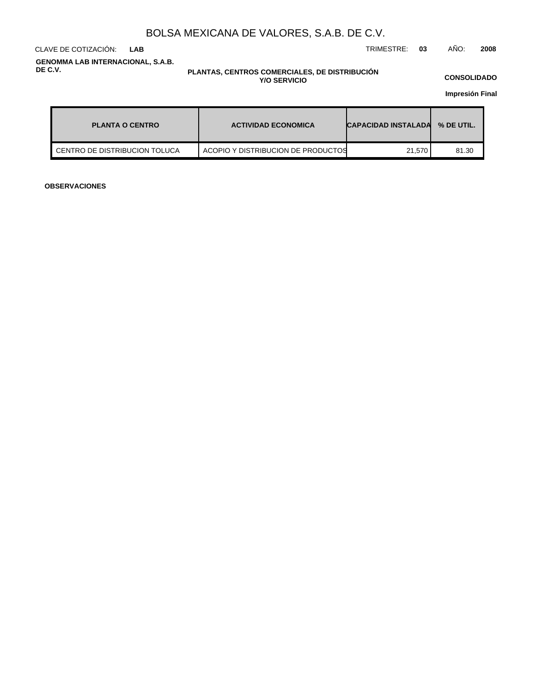CLAVE DE COTIZACIÓN: TRIMESTRE: **03** AÑO: **2008 LAB**

**GENOMMA LAB INTERNACIONAL, S.A.B. DE C.V.**

### **PLANTAS, CENTROS COMERCIALES, DE DISTRIBUCIÓN Y/O SERVICIO**

**CONSOLIDADO**

**Impresión Final**

| <b>PLANTA O CENTRO</b>          | <b>ACTIVIDAD ECONOMICA</b>         | <b>CAPACIDAD INSTALADA</b> | % DE UTIL. |  |
|---------------------------------|------------------------------------|----------------------------|------------|--|
| I CENTRO DE DISTRIBUCION TOLUCA | ACOPIO Y DISTRIBUCION DE PRODUCTOS | 21.570                     | 81.30      |  |

**OBSERVACIONES**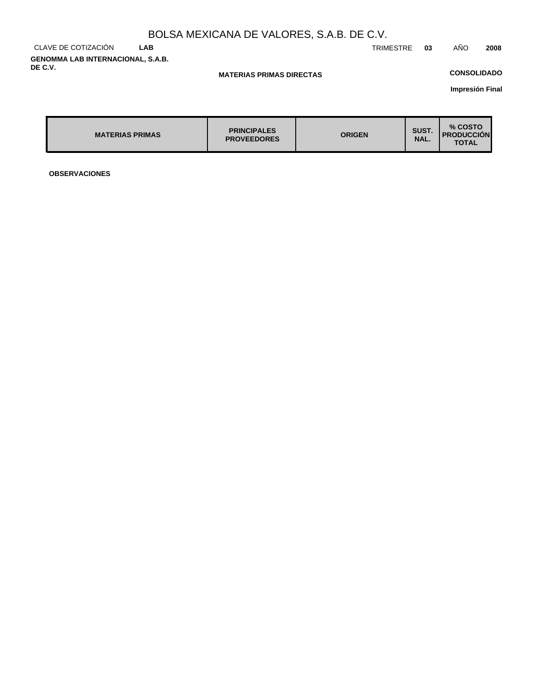CLAVE DE COTIZACIÓN **LAB GENOMMA LAB INTERNACIONAL, S.A.B. DE C.V.**

TRIMESTRE **03** AÑO **2008**

### **MATERIAS PRIMAS DIRECTAS**

## **CONSOLIDADO**

**Impresión Final**

| <b>MATERIAS PRIMAS</b> | <b>PRINCIPALES</b><br><b>PROVEEDORES</b> | <b>ORIGEN</b> | SUST.<br>NAL. | % COSTO<br><b>PRODUCCION</b><br><b>TOTAL</b> |
|------------------------|------------------------------------------|---------------|---------------|----------------------------------------------|
|                        |                                          |               |               |                                              |

**OBSERVACIONES**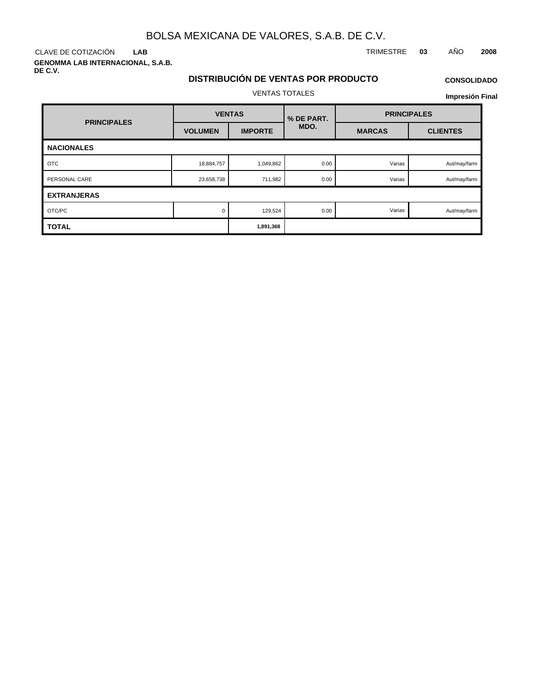**LAB**

**GENOMMA LAB INTERNACIONAL, S.A.B. DE C.V.**

## CLAVE DE COTIZACIÓN TRIMESTRE **03** AÑO **2008**

## **DISTRIBUCIÓN DE VENTAS POR PRODUCTO** VENTAS TOTALES

# **CONSOLIDADO Impresión Final**

|                    |                | <b>VENTAS</b>  | % DE PART. | <b>PRINCIPALES</b> |                 |  |
|--------------------|----------------|----------------|------------|--------------------|-----------------|--|
| <b>PRINCIPALES</b> | <b>VOLUMEN</b> | <b>IMPORTE</b> | MDO.       | <b>MARCAS</b>      | <b>CLIENTES</b> |  |
| <b>NACIONALES</b>  |                |                |            |                    |                 |  |
| <b>OTC</b>         | 18,884,757     | 1,049,862      | 0.00       | Varias             | Aut/may/farm    |  |
| PERSONAL CARE      | 23,658,738     | 711,982        | 0.00       | Varias             | Aut/may/farm    |  |
| <b>EXTRANJERAS</b> |                |                |            |                    |                 |  |
| OTC/PC             | $\Omega$       | 129,524        | 0.00       | Varias             | Aut/may/farm    |  |
| <b>TOTAL</b>       |                | 1,891,368      |            |                    |                 |  |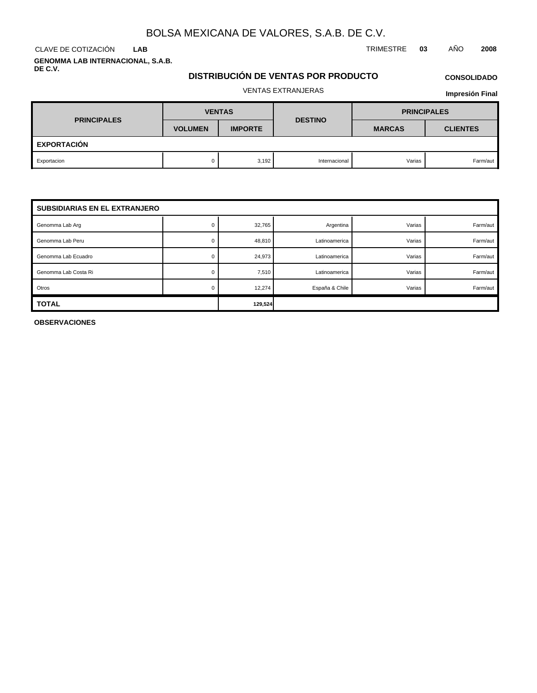**LAB**

**GENOMMA LAB INTERNACIONAL, S.A.B. DE C.V.**

## CLAVE DE COTIZACIÓN TRIMESTRE **03** AÑO **2008**

## **DISTRIBUCIÓN DE VENTAS POR PRODUCTO**

# **CONSOLIDADO**

## VENTAS EXTRANJERAS

**Impresión Final**

| <b>PRINCIPALES</b> | <b>VENTAS</b>  |                | <b>DESTINO</b> | <b>PRINCIPALES</b> |                 |  |  |  |
|--------------------|----------------|----------------|----------------|--------------------|-----------------|--|--|--|
|                    | <b>VOLUMEN</b> | <b>IMPORTE</b> |                | <b>MARCAS</b>      | <b>CLIENTES</b> |  |  |  |
| <b>EXPORTACIÓN</b> |                |                |                |                    |                 |  |  |  |
| Exportacion        |                | 3,192          | Internacional  | Varias             | Farm/aut        |  |  |  |

| <b>SUBSIDIARIAS EN EL EXTRANJERO</b> |         |        |                |        |          |
|--------------------------------------|---------|--------|----------------|--------|----------|
| Genomma Lab Arg                      |         | 32,765 | Argentina      | Varias | Farm/aut |
| Genomma Lab Peru                     | U       | 48,810 | Latinoamerica  | Varias | Farm/aut |
| Genomma Lab Ecuadro                  |         | 24,973 | Latinoamerica  | Varias | Farm/aut |
| Genomma Lab Costa Ri                 |         | 7,510  | Latinoamerica  | Varias | Farm/aut |
| Otros                                |         | 12,274 | España & Chile | Varias | Farm/aut |
| <b>TOTAL</b>                         | 129,524 |        |                |        |          |

**OBSERVACIONES**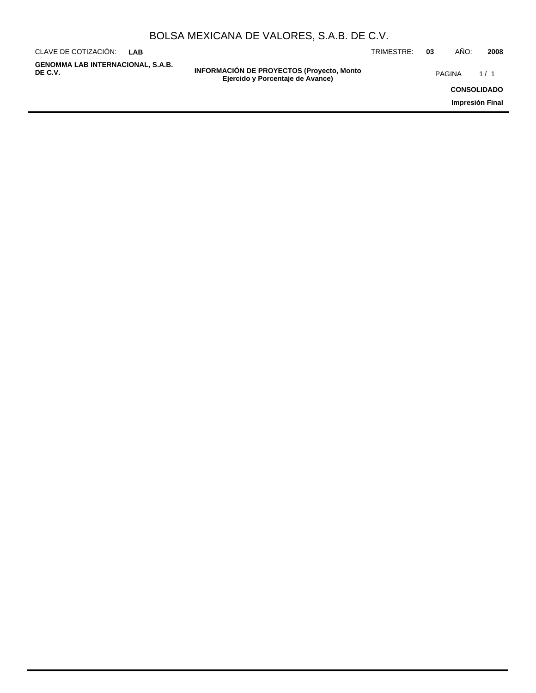| BOLSA MEXICANA DE VALORES, S.A.B. DE C.V. |  |  |
|-------------------------------------------|--|--|
|-------------------------------------------|--|--|

**INFORMACIÓN DE PROYECTOS (Proyecto, Monto DE C.V.** PAGINA 1 / 1**Ejercido y Porcentaje de Avance)** CLAVE DE COTIZACIÓN: TRIMESTRE: **03** AÑO: **2008 LAB CONSOLIDADO Impresión Final GENOMMA LAB INTERNACIONAL, S.A.B.**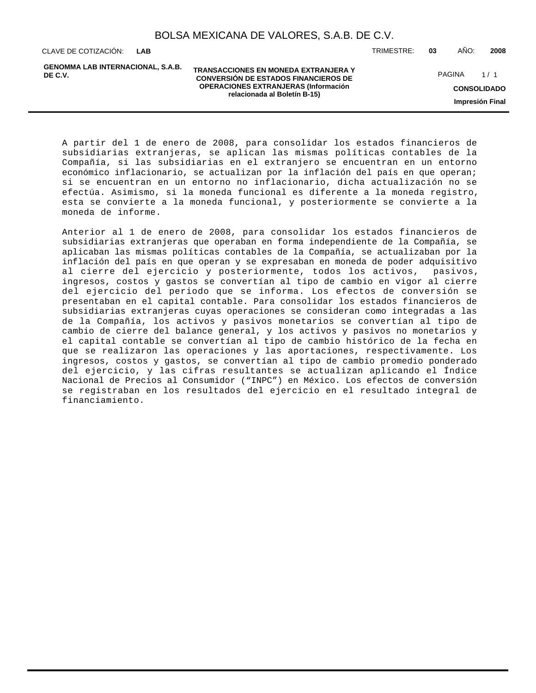**LAB**

**GENOMMA LAB INTERNACIONAL, S.A.B. DE C.V.**

**TRANSACCIONES EN MONEDA EXTRANJERA Y CONVERSIÓN DE ESTADOS FINANCIEROS DE OPERACIONES EXTRANJERAS (Información relacionada al Boletín B-15)**

CLAVE DE COTIZACIÓN: TRIMESTRE: **03** AÑO: **2008**

**CONSOLIDADO** PAGINA 1/1

**Impresión Final**

A partir del 1 de enero de 2008, para consolidar los estados financieros de subsidiarias extranjeras, se aplican las mismas políticas contables de la Compañía, si las subsidiarias en el extranjero se encuentran en un entorno económico inflacionario, se actualizan por la inflación del país en que operan; si se encuentran en un entorno no inflacionario, dicha actualización no se efectúa. Asimismo, si la moneda funcional es diferente a la moneda registro, esta se convierte a la moneda funcional, y posteriormente se convierte a la moneda de informe.

Anterior al 1 de enero de 2008, para consolidar los estados financieros de subsidiarias extranjeras que operaban en forma independiente de la Compañía, se aplicaban las mismas políticas contables de la Compañía, se actualizaban por la inflación del país en que operan y se expresaban en moneda de poder adquisitivo al cierre del ejercicio y posteriormente, todos los activos, pasivos, ingresos, costos y gastos se convertían al tipo de cambio en vigor al cierre del ejercicio del periodo que se informa. Los efectos de conversión se presentaban en el capital contable. Para consolidar los estados financieros de subsidiarias extranjeras cuyas operaciones se consideran como integradas a las de la Compañía, los activos y pasivos monetarios se convertían al tipo de cambio de cierre del balance general, y los activos y pasivos no monetarios y el capital contable se convertían al tipo de cambio histórico de la fecha en que se realizaron las operaciones y las aportaciones, respectivamente. Los ingresos, costos y gastos, se convertían al tipo de cambio promedio ponderado del ejercicio, y las cifras resultantes se actualizan aplicando el Índice Nacional de Precios al Consumidor ("INPC") en México. Los efectos de conversión se registraban en los resultados del ejercicio en el resultado integral de financiamiento.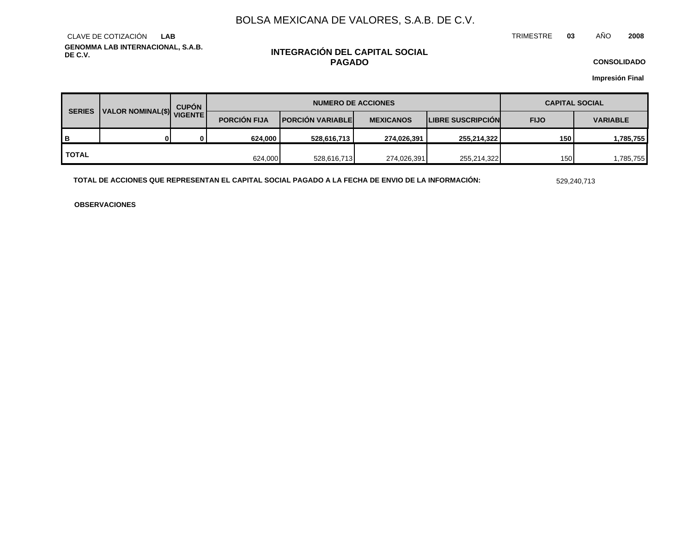TRIMESTRE **03** AÑO **2008**

**GENOMMA LAB INTERNACIONAL, S.A.B. DE C.V.** CLAVE DE COTIZACIÓN **LAB**

### **INTEGRACIÓN DEL CAPITAL SOCIAL PAGADO**

**CONSOLIDADO**

**Impresión Final**

| <b>SERIES</b> | VICENTE | <b>CUPÓN</b> | <b>NUMERO DE ACCIONES</b> |                         |                  |                   | <b>CAPITAL SOCIAL</b> |                 |
|---------------|---------|--------------|---------------------------|-------------------------|------------------|-------------------|-----------------------|-----------------|
|               |         |              | <b>PORCIÓN FIJA</b>       | <b>PORCIÓN VARIABLE</b> | <b>MEXICANOS</b> | LIBRE SUSCRIPCIÓN | <b>FIJO</b>           | <b>VARIABLE</b> |
| B             |         | 0            | 624,000                   | 528,616,713             | 274,026,391      | 255,214,322       | 150                   | 1,785,755       |
| <b>TOTAL</b>  |         |              | 624,000                   | 528,616,713             | 274,026,391      | 255,214,322       | 150                   | .785,755        |

**TOTAL DE ACCIONES QUE REPRESENTAN EL CAPITAL SOCIAL PAGADO A LA FECHA DE ENVIO DE LA INFORMACIÓN:** 529,240,713

**OBSERVACIONES**